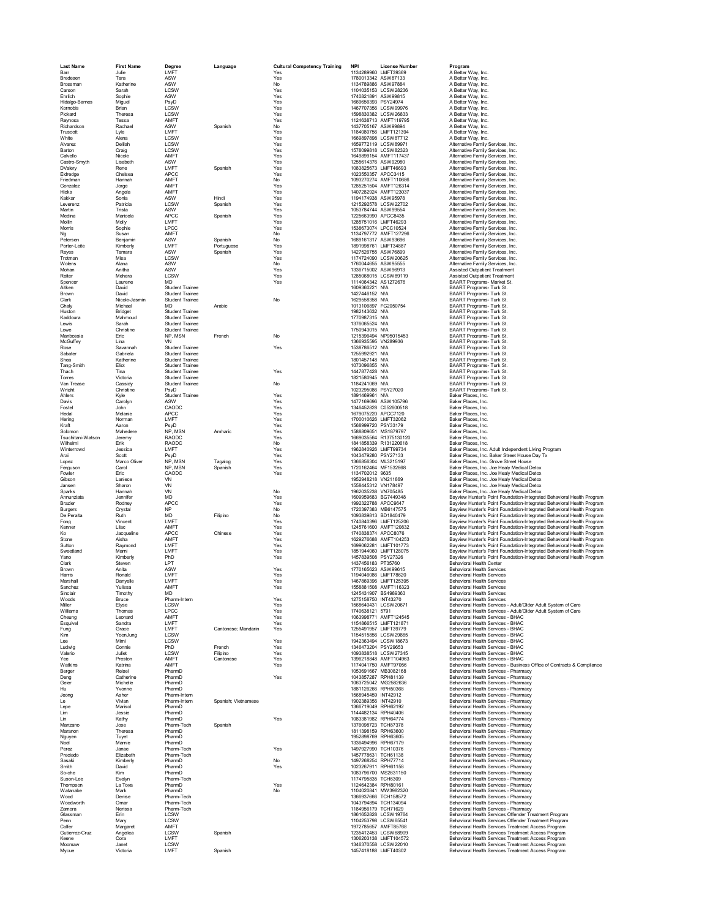| <b>Last Name</b>         | <b>First Name</b>    | Degree                                           | Language              | <b>Cultural Competency Training</b> | <b>NPI</b>                                 | <b>License Number</b>                         | Program                                                                                                                                          |
|--------------------------|----------------------|--------------------------------------------------|-----------------------|-------------------------------------|--------------------------------------------|-----------------------------------------------|--------------------------------------------------------------------------------------------------------------------------------------------------|
| Barr                     | Julie                | LMFT                                             |                       | Yes                                 |                                            | 1134289960 LMFT39369                          | A Better Way, Inc.                                                                                                                               |
| Bredesen                 | Tara                 | ASW                                              |                       | Yes                                 |                                            | 1780013342 ASW87133                           | A Better Way, Inc.                                                                                                                               |
| Brossman<br>Carson       | Katherine<br>Sarah   | ASW<br><b>LCSW</b>                               |                       | No<br>Yes                           |                                            | 1134789886 ASW97884<br>1104035153   CSW28236  | A Better Way, Inc.<br>A Better Way, Inc.                                                                                                         |
| Ehrlich                  | Sophie               | ASW                                              |                       | Yes                                 |                                            | 1740821891 ASW99815                           | A Better Way, Inc.                                                                                                                               |
| Hidalgo-Barnes           | Miguel               | PsyD                                             |                       | Yes                                 | 1669656393 PSY24974                        |                                               | A Better Wav. Inc.                                                                                                                               |
| Kornobis                 | Brian                | LCSW                                             |                       | Yes                                 |                                            | 1467707356 LCSW99976                          | A Better Way, Inc.                                                                                                                               |
| Pickard                  | Theresa              | LCSW                                             |                       | Yes                                 |                                            | 1598830382 LCSW26833                          | A Better Way, Inc.                                                                                                                               |
| Reynosa                  | Tessa<br>Rachael     | AMFT<br>ASW                                      |                       | Yes                                 |                                            | 1124638713 AMFT119795<br>1437705167 ASW99894  | A Better Way, Inc.                                                                                                                               |
| Richardson<br>Truscott   | Lvle                 | I MFT                                            | Spanish               | No<br>Yes                           |                                            | 1184080756 LMFT121394                         | A Better Way, Inc.<br>A Better Way, Inc.                                                                                                         |
| White                    | Alena                | LCSW                                             |                       | Yes                                 |                                            | 1669897898   CSW87712                         | A Better Way Inc.                                                                                                                                |
| Alvarez                  | Delilah              | <b>LCSW</b>                                      |                       | Yes                                 |                                            | 1659772119 LCSW89971                          | Alternative Family Services, Inc.                                                                                                                |
| Barton                   | Craig                | LCSW                                             |                       | Yes                                 |                                            | 1578099818 LCSW82323                          | Alternative Family Services, Inc.                                                                                                                |
| Calvello                 | Nicole               | AMFT                                             |                       | Yes                                 |                                            | 1649899154 AMFT117437                         | Alternative Family Services, Inc.                                                                                                                |
| Castro-Smyth<br>DValery  | Lisabeth<br>Rene     | ASW<br>LMFT                                      | Spanish               | Yes<br>Yes                          |                                            | 1255614376 ASW92980<br>1083825673 LMFT46693   | Alternative Family Services, Inc.<br>Alternative Family Services, Inc.                                                                           |
| Eldredge                 | Chelsea              | APCC                                             |                       | Yes                                 |                                            | 1023550357 APCC3415                           | Alternative Family Services, Inc.                                                                                                                |
| Friedman                 | Hannah               | AMFT                                             |                       | No                                  |                                            | 1093270274 AMFT110686                         | Alternative Family Services, Inc.                                                                                                                |
| Gonzalez                 | Jorge                | AMFT                                             |                       | Yes                                 |                                            | 1285251504 AMFT126314                         | Alternative Family Services Inc.                                                                                                                 |
| <b>Hicks</b>             | Angela               | AMFT                                             |                       | Yes                                 |                                            | 1407282924 AMFT123037                         | Alternative Family Services, Inc.                                                                                                                |
| Kakkar                   | Sonia                | ASW                                              | Hindi                 | Yes                                 |                                            | 1194174938 ASW95978                           | Alternative Family Services Inc.                                                                                                                 |
| Leverenz<br>Martin       | Patricia<br>Trista   | LCSW<br>ASW                                      | Spanish               | Yes<br>Yes                          |                                            | 1215292578 LCSW22702<br>1053784744 ASW99554   | Alternative Family Services, Inc.<br>Alternative Family Services, Inc.                                                                           |
| Medina                   | Maricela             | <b>APCC</b>                                      | Spanish               | Yes                                 |                                            | 1225663990 APCC8435                           | Alternative Family Services, Inc.                                                                                                                |
| Mollin                   | Molly                | LMFT                                             |                       | Yes                                 |                                            | 1285751016 LMFT46293                          | Alternative Family Services, Inc.                                                                                                                |
| Morris                   | Sophie               | LPCC                                             |                       | Yes                                 |                                            | 1538673074 LPCC10524                          | Alternative Family Services, Inc.                                                                                                                |
| Ng                       | Susan                | AMFT                                             |                       | No                                  |                                            | 1134797772 AMFT127296                         | Alternative Family Services, Inc.                                                                                                                |
| Petersen<br>Porter-Leite | Benjamin<br>Kimberly | ASW<br>LMFT                                      | Spanish<br>Portuguese | No<br>Yes                           |                                            | 1689161317 ASW93696<br>1891998761 LMFT34887   | Alternative Family Services, Inc.<br>Alternative Family Services, Inc.                                                                           |
| Reves                    | Tamara               | ASW                                              | Spanish               | Yes                                 |                                            | 1427526755 ASW76899                           | Alternative Family Services, Inc.                                                                                                                |
| Trotman                  | Misa                 | LCSW                                             |                       | Yes                                 |                                            | 1174724090 LCSW20625                          | Alternative Family Services, Inc.                                                                                                                |
| Wolens                   | Alana                | ASW                                              |                       | No                                  |                                            | 1760044655 ASW95555                           | Alternative Family Services, Inc.                                                                                                                |
| Mohan                    | Anitha               | ASW                                              |                       | Yes                                 |                                            | 1336715002 ASW96913                           | Assisted Outpatient Treatment                                                                                                                    |
| Reiter                   | Mehera               | LCSW<br><b>MD</b>                                |                       | Yes                                 |                                            | 1285068015 LCSW89119                          | Assisted Outpatient Treatment                                                                                                                    |
| Spencer<br>Aitken        | Laurene<br>David     | <b>Student Trainee</b>                           |                       | Yes                                 | 1609360221 N/A                             | 1114064342 AS1272676                          | BAART Programs- Market St.<br>BAART Programs- Turk St.                                                                                           |
| <b>Brown</b>             | David                | Student Trainee                                  |                       |                                     | 1427446152 N/A                             |                                               | BAART Programs- Turk St.                                                                                                                         |
| Clark                    | Nicole-Jasmin        | <b>Student Trainee</b>                           |                       | No                                  | 1629558358 N/A                             |                                               | BAART Programs- Turk St.                                                                                                                         |
| Ghaly                    | Michael              | <b>MD</b>                                        | Arabic                |                                     |                                            | 1013106897 FG2050754                          | BAART Programs- Turk St.                                                                                                                         |
| Huston                   | Bridget              | <b>Student Trainee</b>                           |                       |                                     | 1982143632 N/A                             |                                               | BAART Programs- Turk St.                                                                                                                         |
| Kaddoura<br>Lewis        | Mahmoud<br>Sarah     | <b>Student Trainee</b><br><b>Student Trainee</b> |                       |                                     | 1770987315 N/A<br>1376065524 N/A           |                                               | BAART Programs- Turk St.<br>BAART Programs- Turk St.                                                                                             |
| Lowe                     | Christine            | <b>Student Trainee</b>                           |                       |                                     | 1750943015 N/A                             |                                               | BAART Programs- Turk St.                                                                                                                         |
| Manbossia                | Eric                 | NP MSN                                           | French                | No                                  |                                            | 1215396494 NP95015453                         | BAART Programs- Turk St.                                                                                                                         |
| McGuffev                 | Lina                 | VN                                               |                       |                                     | 1366935595 VN289936                        |                                               | BAART Programs- Turk St.                                                                                                                         |
| Rose                     | Savannah             | <b>Student Trainee</b>                           |                       | Yes                                 | 1538786512 N/A                             |                                               | BAART Programs- Turk St.                                                                                                                         |
| Sabater                  | Gabriela             | <b>Student Trainee</b>                           |                       |                                     | 1255992921 N/A                             |                                               | BAART Programs- Turk St.                                                                                                                         |
| Shea<br>Tang-Smith       | Katherine            | <b>Student Trainee</b>                           |                       |                                     | 1801457148 N/A                             |                                               | BAART Programs- Turk St.<br>BAART Programs- Turk St.                                                                                             |
| Thach                    | Eliot<br>Tina        | <b>Student Trainee</b><br><b>Student Trainee</b> |                       | Yes                                 | 1073096855 N/A<br>1447877428 N/A           |                                               | BAART Programs- Turk St.                                                                                                                         |
| Torres                   | Victoria             | <b>Student Trainee</b>                           |                       |                                     | 1821580945 N/A                             |                                               | BAART Programs- Turk St.                                                                                                                         |
| Van Trease               | Cassidy              | <b>Student Trainee</b>                           |                       | No                                  | 1184241069 N/A                             |                                               | BAART Programs- Turk St.                                                                                                                         |
| Wright                   | Christine            | PsyD                                             |                       |                                     | 1023295086 PSY27020                        |                                               | BAART Programs- Turk St.                                                                                                                         |
| Ahlers                   | Kyle                 | <b>Student Trainee</b>                           |                       | Yes                                 | 1891469961 N/A                             |                                               | Baker Places, Inc.                                                                                                                               |
| Davis<br>Fostel          | Carolyn<br>John      | ASW<br>CAODC                                     |                       | Yes<br>Yes                          |                                            | 1477169696 ASW105796<br>1346452828 C052600518 | Baker Places, Inc.<br>Baker Places, Inc.                                                                                                         |
| Hedal                    | Melanie              | <b>APCC</b>                                      |                       | Yes                                 |                                            | 1679075220 APCC7120                           | Baker Places, Inc.                                                                                                                               |
| Hering                   | Norman               | LMFT                                             |                       | Yes                                 |                                            | 1700010626 LMFT32062                          | Baker Places, Inc.                                                                                                                               |
| Kraft                    | Aaron                | PsyD                                             |                       | Yes                                 | 1568999720 PSY33179                        |                                               | Baker Places, Inc.                                                                                                                               |
| Solomon                  | Mahedere             | NP. MSN                                          | Amharic               | Yes                                 |                                            | 1588809651 MS1879797                          | Baker Places, Inc.                                                                                                                               |
| Tsuchitani-Watson        | Jeremy               | RAODC                                            |                       | Yes                                 |                                            | 1669035564 R1375130120                        | Baker Places, Inc.                                                                                                                               |
| Wilhelmi<br>Winterrowd   | Erik<br>Jessica      | <b>RAODC</b><br>LMFT                             |                       | No<br>Yes                           |                                            | 1841858339 R131220618<br>1962840926 LMFT99734 | <b>Baker Places Inc.</b><br>Baker Places, Inc. Adult Independent Living Program                                                                  |
| Arai                     | Scott                | PsyD                                             |                       | Yes                                 | 1043479280 PSY27133                        |                                               | Baker Places, Inc. Baker Street House Day Tx                                                                                                     |
| Lopez                    | Marco Oliver         | NP, MSN                                          | Tagalog               | Yes                                 |                                            | 1366856304 ML3215197                          | Baker Places, Inc. Grove Street House                                                                                                            |
| Ferguson                 | Carol                | NP, MSN                                          | Spanish               | Yes                                 |                                            | 1720162464 MF1532868                          | Baker Places, Inc. Joe Healy Medical Detox                                                                                                       |
| Fowler                   | Eric                 | CAODC                                            |                       | Yes                                 | 1134702012 9635                            |                                               | Baker Places, Inc. Joe Healy Medical Detox                                                                                                       |
| Gibson                   | Laniece              | VN                                               |                       |                                     | 1952948218 VN211869                        |                                               | Baker Places, Inc. Joe Healy Medical Detox                                                                                                       |
| Jansen<br>Sparks         | Sharon<br>Hannah     | VN<br>VN                                         |                       | No                                  | 1558445312 VN178497<br>1962035238 VN705485 |                                               | Baker Places, Inc. Joe Healy Medical Detox                                                                                                       |
| Annunziata               | Jennifer             | MD                                               |                       | Yes                                 |                                            | 1609959683 BG7449348                          | Baker Places, Inc. Joe Healy Medical Detox<br>Bayview Hunter's Point Foundation-Integrated Behavioral Health Program                             |
| Brazier                  | Rodney               | <b>APCC</b>                                      |                       | Yes                                 |                                            | 1992322788 APCC9647                           | Bayview Hunter's Point Foundation-Integrated Behavioral Health Program                                                                           |
| <b>Burgers</b>           | Crystal              | <b>NP</b>                                        |                       | No                                  |                                            | 1720397383 MB6147575                          | Bayview Hunter's Point Foundation-Integrated Behavioral Health Program                                                                           |
| De Peralta               | Ruth                 | <b>MD</b>                                        | Filipino              | No                                  |                                            | 1093839813 BD1840479                          | Bayview Hunter's Point Foundation-Integrated Behavioral Health Program                                                                           |
| Fong                     | Vincent              | LMFT                                             |                       | Yes                                 |                                            | 1740840396 LMFT125206                         | Bayview Hunter's Point Foundation-Integrated Behavioral Health Program                                                                           |
| Kenner                   | Lilac                | AMFT<br>APCC                                     |                       | Yes                                 |                                            | 1245761600 AMFT120832<br>1740838374 APCC8076  | Bayview Hunter's Point Foundation-Integrated Behavioral Health Program<br>Bayview Hunter's Point Foundation-Integrated Behavioral Health Program |
| Ko<br>Stone              | Jacqueline<br>Aisha  | AMFT                                             | Chinese               | Yes<br>Yes                          |                                            | 1629276688 AMFT104253                         | Bayview Hunter's Point Foundation-Integrated Behavioral Health Program                                                                           |
| Sutton                   | Raymond              | LMFT                                             |                       | Yes                                 |                                            | 1699062281 LMFT101773                         | Bayview Hunter's Point Foundation-Integrated Behavioral Health Program                                                                           |
| Sweetland                | Marni                | LMFT                                             |                       | Yes                                 |                                            | 1851944060 LMFT128075                         | Bayview Hunter's Point Foundation-Integrated Behavioral Health Program                                                                           |
| Yano                     | Kimberly             | PhD                                              |                       | Yes                                 | 1457839508 PSY27326                        |                                               | Bayview Hunter's Point Foundation-Integrated Behavioral Health Program                                                                           |
| Clark                    | Steven               | LPT                                              |                       |                                     | 1437456183 PT35760                         |                                               | Behavioral Health Center                                                                                                                         |
| Brown<br>Harris          | Anita<br>Ronald      | ASW<br>LMF <sub>1</sub>                          |                       | Yes<br>Yes                          |                                            | 1770165623 ASW99615<br>1194046086 LMFT78620   | <b>Behavioral Health Services</b><br><b>Behavioral Health Services</b>                                                                           |
| Marshal                  | Danyelle             | LMFT                                             |                       | Yes                                 |                                            | 1467869396 LMFT125395                         | <b>Behavioral Health Services</b>                                                                                                                |
| Sanchez                  | Yulissa              | AMFT                                             |                       | Yes                                 |                                            | 1558881508 AMFT116323                         | <b>Behavioral Health Services</b>                                                                                                                |
| Sinclair                 | Timothy              | MD                                               |                       |                                     |                                            | 1245431907 BS4989363                          | <b>Rehavioral Health Services</b>                                                                                                                |
| Woods                    | Bruce                | Pharm-Intern                                     |                       | Yes                                 | 1275158750 INT43270                        |                                               | <b>Behavioral Health Services</b>                                                                                                                |
| Miller                   | Elyse                | LCSW                                             |                       | Yes                                 |                                            | 1568640431 LCSW20671                          | Behavioral Health Services - Adult/Older Adult System of Care                                                                                    |
| Williams<br>Cheung       | Thomas<br>Leonard    | <b>LPCC</b><br>AMFT                              |                       | Yes<br>Yes                          | 1740638121 5791                            | 1063998771 AMFT124545                         | Behavioral Health Services - Adult/Older Adult System of Care<br>Behavioral Health Services - BHAC                                               |
| Esquivel                 | Sandra               | I MFT                                            |                       | Yes                                 |                                            | 1154866515 LMFT121871                         | Behavioral Health Services - BHAC                                                                                                                |
| Fung                     | Grace                | LMFT                                             | Cantonese; Mandarin   | Yes                                 |                                            | 1255491957 LMFT39779                          | Behavioral Health Services - BHAC                                                                                                                |
| Kim                      | YoonJung             | LCSW                                             |                       |                                     |                                            | 1154515856 LCSW29865                          | Behavioral Health Services - BHAC                                                                                                                |
| Lee<br>Ludwig            | Mimi<br>Connie       | LCSW<br>PhD                                      | French                | Yes<br>Yes                          |                                            | 1942363494 LCSW18673<br>1346473204 PSY29653   | Behavioral Health Services - BHAC<br>Behavioral Health Services - BHAC                                                                           |
| Valerio                  | Juliet               | LCSW                                             | Filipino              | Yes                                 |                                            | 1093838518 LCSW27345                          | Behavioral Health Services - BHAC                                                                                                                |
| Yee                      | Preston              | AMFT                                             | Cantonese             | Yes                                 |                                            | 1396218848 AMFT104963                         | Behavioral Health Services - BHAC                                                                                                                |
| Watkins                  | Katrina              | AMFT                                             |                       | Yes                                 |                                            | 1174041750 AMFT97056                          | Behavioral Health Services - Business Office of Contracts & Compliance                                                                           |
| Berger                   | Reisel               | PharmD                                           |                       |                                     |                                            | 1053691667 MB3082168                          | Behavioral Health Services - Pharmacy                                                                                                            |
| Deng                     | Catherine            | PharmD                                           |                       | Yes                                 |                                            | 1043857287 RPH81139                           | <b>Behavioral Health Services - Pharmacy</b>                                                                                                     |
| Geier                    | Michelle             | PharmD<br>PharmD                                 |                       |                                     |                                            | 1063725042 MG2582636<br>1881126266 RPH50368   | Behavioral Health Services - Pharmacy<br>Behavioral Health Services - Pharmacy                                                                   |
| Hu<br>Jeong              | Yvonne<br>Asher      | Pharm-Intern                                     |                       |                                     | 1568945459 INT42912                        |                                               | Behavioral Health Services - Pharmacy                                                                                                            |
| Le                       | Vivian               | Pharm-Intern                                     | Spanish; Vietnamese   |                                     | 1902389356 INT42910                        |                                               | Behavioral Health Services - Pharmacy                                                                                                            |
| Lepe                     | Marisol              | PharmD                                           |                       |                                     |                                            | 1366719049 RPH62192                           | Behavioral Health Services - Pharmacy                                                                                                            |
| Lim                      | Jessie               | PharmD                                           |                       |                                     |                                            | 1144482134 RPH40406                           | Behavioral Health Services - Pharmacy                                                                                                            |
| Lin                      | Kathy                | PharmD                                           |                       | Yes                                 |                                            | 1083381982 RPH64774                           | Behavioral Health Services - Pharmacy                                                                                                            |
| Manzano<br>Maranon       | Jose<br>Theresa      | Pharm-Tech<br>PharmD                             | Spanish               |                                     | 1376098723 TCH87378                        | 1811398159 RPH63600                           | Behavioral Health Services - Pharmacy<br>Behavioral Health Services - Pharmacy                                                                   |
| Nguyen                   | Tuyet                | PharmD                                           |                       |                                     |                                            | 1952898769 RPH63605                           | Behavioral Health Services - Pharmacy                                                                                                            |
| Noel                     | Marnie               | PharmD                                           |                       |                                     |                                            | 1336494996 RPH67179                           | Behavioral Health Services - Pharmacy                                                                                                            |
| Perez                    | Janae                | Pharm-Tech                                       |                       | Yes                                 |                                            | 1497927990 TCH10376                           | Behavioral Health Services - Pharmacy                                                                                                            |
| Preciado                 | Elizabeth            | Pharm-Tech                                       |                       |                                     | 1457778631 TCH61138                        |                                               | Behavioral Health Services - Pharmacy                                                                                                            |
| Sasaki                   | Kimberly             | PharmD                                           |                       | No                                  |                                            | 1497268254 RPH77714                           | Behavioral Health Services - Pharmacy                                                                                                            |
| Smith<br>So-che          | David<br>Kim         | PharmD<br>PharmD                                 |                       | Yes                                 |                                            | 1023267911 RPH61158<br>1083796700 MS2631150   | Behavioral Health Services - Pharmacy<br>Behavioral Health Services - Pharmacv                                                                   |
| Suson-Lee                | Evelyn               | Pharm-Tech                                       |                       |                                     | 1174795835 TCH6309                         |                                               | Behavioral Health Services - Pharmacy                                                                                                            |
| Thompson                 | La Tova              | PharmD                                           |                       | Yes                                 | 1124642384 RPH80161                        |                                               | Behavioral Health Services - Pharmacy                                                                                                            |
| Watanabe                 | Mark                 | PharmD                                           |                       | No                                  |                                            | 1104020841 MW3982320                          | Behavioral Health Services - Pharmacy                                                                                                            |
| Wood                     | Denise               | Pharm-Tech                                       |                       |                                     |                                            | 1366937666 TCH158572                          | Behavioral Health Services - Pharmacy                                                                                                            |
| Woodworth                | Omar                 | Pharm-Tech                                       |                       |                                     |                                            | 1043794894 TCH134094                          | Behavioral Health Services - Pharmacy                                                                                                            |
| Zamora<br>Glassman       | Nerissa              | Pharm-Tech<br>LCSW                               |                       |                                     | 1184956179 TCH71629                        |                                               | Behavioral Health Services - Pharmacy<br>Behavioral Health Services Offender Treatment Program                                                   |
| Penn                     |                      |                                                  |                       |                                     |                                            | 1861652828 LCSW19764                          |                                                                                                                                                  |
|                          | Erin<br>Mary         |                                                  |                       |                                     |                                            |                                               |                                                                                                                                                  |
| Colfer                   | Margaret             | LCSW<br>AMFT                                     |                       |                                     |                                            | 1104253798 LCSW65541<br>1972785657 AMFT85768  | Behavioral Health Services Offender Treatment Program<br>Behavioral Health Services Treatment Access Program                                     |
| Gutierrez-Cruz           | Angelica             | LCSW                                             | Spanish               |                                     |                                            | 1235412453 LCSW68909                          | Behavioral Health Services Treatment Access Program                                                                                              |
| Keene                    | Cora                 | LMFT                                             |                       |                                     |                                            | 1306203138 LMFT104572                         | Behavioral Health Services Treatment Access Program                                                                                              |
| Moomaw<br>Mycue          | Janet<br>Victoria    | LCSW<br>LMFT                                     | Spanish               |                                     |                                            | 1346370558 LCSW22010<br>1457418188 LMFT40302  | Behavioral Health Services Treatment Access Program<br>Behavioral Health Services Treatment Access Program                                       |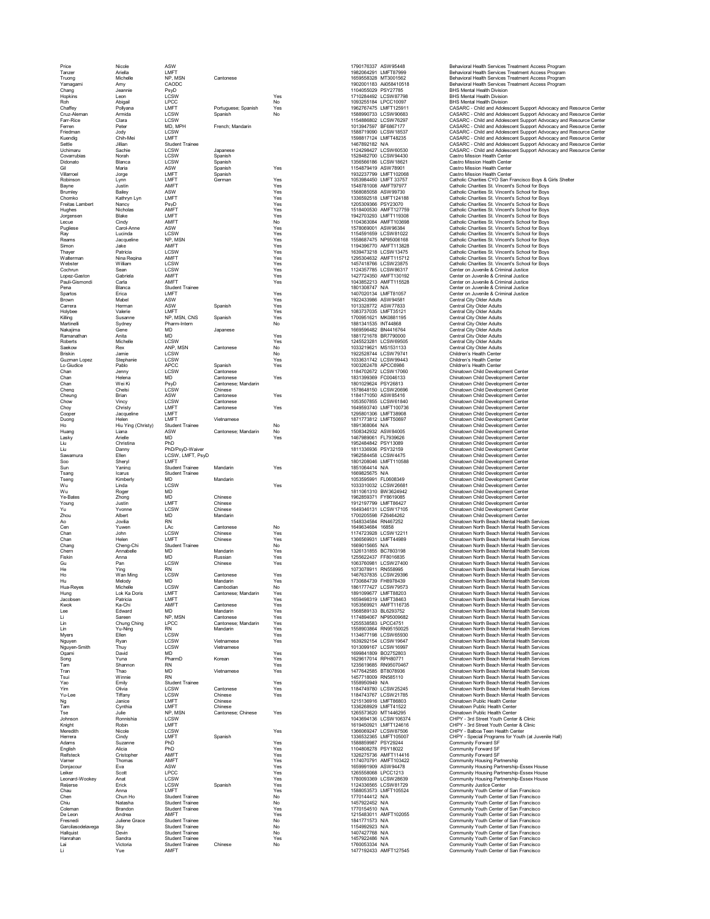| rice<br>F<br>Tar<br>۱<br>zei<br>Truong<br>'amagai<br>'ni<br>١ |
|---------------------------------------------------------------|
|                                                               |
|                                                               |
|                                                               |
| Chang<br>Hopkir<br>ıs                                         |
| Roh                                                           |
| Ó<br><b>Chaffey</b>                                           |
| .<br>Cruz-Aler<br>Ó                                           |
| Farr-Rice<br>Fer<br>ren                                       |
| Friedmar                                                      |
| <b>Cuendig</b><br>ŀ                                           |
| Settle                                                        |
| Uchimaru                                                      |
| Covarrubias<br>Ó                                              |
| Didonato<br>f<br>Эil                                          |
| Villarroel                                                    |
| Robinsor                                                      |
| Bayne                                                         |
| Brumley                                                       |
| Chomko<br>mbert<br>Freitas I                                  |
| Hughes                                                        |
| Jorger<br>isen                                                |
| Ī<br>ecue                                                     |
| Pugliese                                                      |
| Ray                                                           |
| Reams                                                         |
| Simon<br>Thayer                                               |
| Walterman                                                     |
| Webster                                                       |
| ۲<br>م<br>Cochrun                                             |
| $\overline{\phantom{a}}$<br>pez-<br>3<br>isto                 |
| Gisr<br>Pauli<br>ıdi<br>'n<br>ō                               |
| Pena<br>Spartos                                               |
| Brown                                                         |
| Carrera<br>Ó                                                  |
| Holybee                                                       |
| Killing                                                       |
| Martinelli<br>Nakajima                                        |
| Ramanath<br>าลเ                                               |
| Roberts                                                       |
| Saekow                                                        |
| Briskin                                                       |
| Guzman L<br>.op                                               |
| l<br>o Giudio<br>e.<br>ţ                                      |
| Chan<br>Chan                                                  |
| ŕ,<br>Ó<br>har<br>۱                                           |
| Cheng                                                         |
| heur.<br>Ó<br>٦g                                              |
| .<br>Chow<br>Ó                                                |
| Choy                                                          |
| .<br>Cooper<br>Ó                                              |
| Duong                                                         |
| t.<br>١<br>ŕ                                                  |
| Huang<br>ŀ<br>asky<br>Ī                                       |
| l<br>.iu                                                      |
| .<br>Liu                                                      |
| Saw<br><i>ramura</i>                                          |
| Soo                                                           |
| Sun<br>Tsang                                                  |
| Tser<br>١g                                                    |
| Wu                                                            |
| <br>Wu                                                        |
| Ye-Bates                                                      |
| .<br>Young                                                    |
| Ýu                                                            |
| Zhou<br>A<br>h                                                |
| Cen                                                           |
| )<br>han<br>C                                                 |
| Chan                                                          |
| .<br>Chang<br>Ó                                               |
|                                                               |
| Ó                                                             |
| .<br>Chern<br>Fiskin                                          |
| Gu<br>Ó                                                       |
| He                                                            |
| Ho                                                            |
| łu<br>e.                                                      |
|                                                               |
| Hua-Rey<br>Hung<br>Jacob<br>sen                               |
| (wok<br>ţ                                                     |
| Lee                                                           |
| .<br>Li                                                       |
| Lin<br>Ī                                                      |
| in<br>Myers                                                   |
| Nguyer<br>١                                                   |
| ì<br>s<br>mith                                                |
| .<br>Ogami                                                    |
| Song                                                          |
| Tam                                                           |
| Tran<br>Tsui                                                  |
| Yao                                                           |
| Yim                                                           |
| Yu<br>J.<br>ee                                                |
| Ng<br>Tam                                                     |
| Tse                                                           |
| Johnson                                                       |
| Knight                                                        |
| Meredith<br>ì                                                 |
| Herrera                                                       |
| Adams                                                         |
| English<br>Reifsteck                                          |
| Varner                                                        |
|                                                               |
| •<br>Donjacour<br>Leiker                                      |
| onard<br>Ī<br>Ń,<br>e.<br>٧d                                  |
| Reijerse<br>í                                                 |
| Chau<br>Chen                                                  |
| Chiu                                                          |
| -<br>Coleman<br>Ó                                             |
| De Leon                                                       |
| Fresnedi                                                      |
| Garcilaso<br>delavega                                         |
| Hallquist<br>١                                                |
| . .<br>Hanrahar<br>Lai<br>ı i                                 |

| Nicole                            |
|-----------------------------------|
| Ariella                           |
| Michelle                          |
| Amy                               |
| Jeannie<br>.eon<br>l              |
| Abigail                           |
| Pollyana<br>Armida                |
| Clara                             |
| Peter                             |
| Jody<br>ć                         |
| Chih-Mei<br>Jillian               |
| Sachie                            |
| Norah                             |
| Blanca<br>Maria                   |
| Jorge                             |
| Lynn                              |
| Justin<br>Bailey                  |
| Kathryn I<br>.y                   |
| Nancy                             |
| Nicholas<br>Blake                 |
| Cindy<br>$\mathbf$                |
| -<br>Carol-<br>Ar<br>1ľ           |
| .<br>Lucinda<br>Jacquelin         |
| Jake                              |
| Patricia                          |
| Nina Re<br>gi                     |
| William<br>Sean                   |
| Gabriela                          |
| Ó<br>Carla                        |
| Blanca                            |
| Erica<br>Mabel                    |
| Hermar<br>١                       |
| Valerie                           |
| Susanr<br>١ē<br>Sydney            |
| Gene                              |
| Anita                             |
| Michelle<br>Rex                   |
| Jamie                             |
| Stepha<br>۱ie                     |
| ablo<br>F                         |
| Jenny<br>Helena                   |
| Wei Ki                            |
| Chelsi<br>Ó                       |
| Brian<br>Vinc<br>C)               |
| Christy                           |
| Jacquelir<br>١ė                   |
| Helen                             |
| Ying (Christ<br>Hiu<br>Liana      |
| Arielle                           |
| <b>Christina</b><br>Ó             |
| Danny<br>Ellen                    |
|                                   |
|                                   |
| Sheryl<br>'aning<br>Y<br>ï        |
| Icarus                            |
| <b>Kimberly</b><br>ŀ              |
| Linda                             |
| Roger<br>Zhong                    |
| Justin                            |
| vonr<br>١f                        |
| Albert<br>Jovilia                 |
| Yuwer                             |
| John                              |
| Helen                             |
| Cheng-Chi<br>Annabelle            |
| Anna                              |
| Pan                               |
| Ying<br>Wan Ming                  |
| Melody                            |
| Michelle                          |
| Lok Ka I<br>)oris<br>Patricia     |
| Ka-0<br>Chi                       |
| Edward                            |
| <b>Sareen</b><br>Chung C<br>Ching |
| Yu<br>-Ning                       |
| Ellen                             |
| Ryan                              |
| <br>Thuy<br>David                 |
| Yuna                              |
| Shanno                            |
| Thao<br>Winnie                    |
| Emily                             |
| Olivia                            |
| Tiffany<br>Janio<br>٠p            |
| Cynthia                           |
| Julie                             |
| Ronnishia<br>Robin                |
| Nicole                            |
| Cindy                             |
| Suzanne<br>Alicia                 |
| <b>Cristophe</b><br>Ó             |
| Thomas                            |
| Eva                               |
| Scott<br>Anat                     |
| Erick                             |
| Anna<br>Ò<br>١                    |
| hun He                            |
| .<br>Natasha<br>Brandor<br>۱      |
| Andrea                            |
| Juliene Gra<br>é                  |
| Sky<br>Devin                      |
| Sandra<br>Victoria                |

| Price                     | Nicole                   | ASW                            |                        |            | 1790176337 ASW95448                          |                                                | Behavioral Health Services Treatment Access I                                                        |
|---------------------------|--------------------------|--------------------------------|------------------------|------------|----------------------------------------------|------------------------------------------------|------------------------------------------------------------------------------------------------------|
| Tanzer                    | Ariella<br>Michelle      | LMFT                           |                        |            | 1982064291 LMFT87999                         |                                                | Behavioral Health Services Treatment Access I<br>Behavioral Health Services Treatment Access I       |
| Truong<br>Yamagami        | Amy                      | NP, MSN<br>CAODC               | Cantonese              |            | 1659558328 MT3001562                         | 1902001183 Aii058410518                        | Behavioral Health Services Treatment Access I                                                        |
| Chang                     | Jeannie                  | PsyD                           |                        |            | 1104055029 PSY27785                          |                                                | <b>BHS Mental Health Division</b>                                                                    |
| Hopkins                   | Leon                     | LCSW                           |                        | Yes        | 1710284492 LCSW87798                         |                                                | <b>BHS Mental Health Division</b>                                                                    |
| Roh                       | Abigail                  | <b>LPCC</b>                    |                        | No         | 1093255184 LPCC10097                         |                                                | BHS Mental Health Division                                                                           |
| Chaffev                   | Pollvana                 | LMFT                           | Portuguese: Spanish    | Yes        | 1962767475 LMFT125911                        |                                                | CASARC - Child and Adolescent Support Advo                                                           |
| Cruz-Aleman               | Armida                   | LCSW                           | Spanish                | No         | 1588990733 LCSW90683                         |                                                | CASARC - Child and Adolescent Support Advo                                                           |
| Farr-Rice<br>Ferren       | Clara<br>Peter           | LCSW<br>MD, MPH                | French; Mandarin       |            | 1154886802 LCSW76297<br>1013947597 BF6867177 |                                                | CASARC - Child and Adolescent Support Advo<br>CASARC - Child and Adolescent Support Advo             |
| Friedman                  | Jody                     | LCSW                           |                        |            | 1588719090 LCSW18537                         |                                                | CASARC - Child and Adolescent Support Advo                                                           |
| Kuendig                   | Chih-Mei                 | LMFT                           |                        |            | 1598817124 LMFT48235                         |                                                | CASARC - Child and Adolescent Support Advo                                                           |
| Settle                    | Jillian                  | <b>Student Trainee</b>         |                        |            | 1467892182 N/A                               |                                                | CASARC - Child and Adolescent Support Advo                                                           |
| Uchimaru                  | Sachie                   | LCSW                           | Japanese               |            | 1124298427 LCSW60530                         |                                                | CASARC - Child and Adolescent Support Advo                                                           |
| Covarrubias               | Norah                    | LCSW<br>LCSW                   | Spanish<br>Spanish     |            | 1528482700 LCSW94430<br>1356566186 LCSW18621 |                                                | Castro Mission Health Center<br>Castro Mission Health Center                                         |
| Didonato<br>Gil           | Blanca<br>Maria          | ASW                            | Spanish                | Yes        | 1154879419 ASW78901                          |                                                | Castro Mission Health Center                                                                         |
| Villarroel                | Jorge                    | LMFT                           | Spanish                |            |                                              | 1932237799 LMFT102068                          | Castro Mission Health Center                                                                         |
| Robinson                  | Lynn                     | LMFT                           | German                 | Yes        | 1053984450 LMFT 33757                        |                                                | Catholic Charities CYO San Francisco Boys &                                                          |
| Bayne                     | Justin                   | AMFT                           |                        | Yes        | 1548781008 AMFT97977                         |                                                | Catholic Charities St. Vincent's School for Boys                                                     |
| Brumley                   | Bailey                   | ASW                            |                        | Yes        | 1568085058 ASW99730                          |                                                | Catholic Charities St. Vincent's School for Boys                                                     |
| Chomko<br>Freitas Lambert | Kathryn Lyn<br>Nancy     | LMFT<br>PsvD                   |                        | Yes<br>Yes | 1205309366 PSY23070                          | 1336592518 LMFT124188                          | Catholic Charities St. Vincent's School for Boys<br>Catholic Charities St. Vincent's School for Boys |
| Hughes                    | Nicholas                 | AMFT                           |                        | Yes        |                                              | 1518400530 AMFT127759                          | Catholic Charities St. Vincent's School for Boys                                                     |
| Jorgensen                 | Blake                    | LMFT                           |                        | Yes        |                                              | 1942703293 LMFT119308                          | Catholic Charities St. Vincent's School for Boys                                                     |
| Lecue                     | Cindy                    | AMFT                           |                        | No         |                                              | 1104363084 AMFT103698                          | Catholic Charities St. Vincent's School for Boys                                                     |
| Pugliese                  | Carol-Anne               | ASW                            |                        | Yes        | 1578069001 ASW96384                          |                                                | Catholic Charities St. Vincent's School for Boys                                                     |
| Ray                       | Lucinda                  | LCSW                           |                        | Yes        | 1154591659 LCSW81022                         |                                                | Catholic Charities St. Vincent's School for Boys                                                     |
| Reams<br>Simon            | Jacqueline<br>Jake       | NP, MSN<br>AMFT                |                        | Yes<br>Yes |                                              | 1558687475 NP95006168<br>1194396770 AMFT113828 | Catholic Charities St. Vincent's School for Boys<br>Catholic Charities St. Vincent's School for Boys |
| Thayer                    | Patricia                 | LCSW                           |                        | Yes        |                                              | 1639473218 LCSW13475                           | Catholic Charities St. Vincent's School for Boys                                                     |
| Walterman                 | Nina Regina              | AMFT                           |                        | Yes        |                                              | 1295304632 AMFT115712                          | Catholic Charities St. Vincent's School for Boys                                                     |
| Webster                   | William                  | LCSW                           |                        | Yes        |                                              | 1457418766 LCSW23875                           | Catholic Charities St. Vincent's School for Boys                                                     |
| Cochrun                   | Sean                     | LCSW                           |                        | Yes        |                                              | 1124357785 LCSW86317                           | Center on Juvenile & Criminal Justice                                                                |
| Lopez-Gaston              | Gabriela                 | AMFT                           |                        | Yes        |                                              | 1427724350 AMFT130192                          | Center on Juvenile & Criminal Justice                                                                |
| Pauli-Gismondi<br>Pena    | Carla<br>Blanca          | AMFT<br><b>Student Trainee</b> |                        | Yes        | 1801308747 N/A                               | 1043852213 AMFT115528                          | Center on Juvenile & Criminal Justice<br>Center on Juvenile & Criminal Justice                       |
| Spartos                   | Erica                    | LMFT                           |                        | Yes        | 1407020134 LMFT81057                         |                                                | Center on Juvenile & Criminal Justice                                                                |
| Brown                     | Mabel                    | ASW                            |                        | Yes        | 1922433986 ASW94581                          |                                                | Central City Older Adults                                                                            |
| Carrera                   | Herman                   | ASW                            | Spanish                | Yes        | 1013328772 ASW77833                          |                                                | Central City Older Adults                                                                            |
| Holybee                   | Valerie                  | LMFT                           |                        | Yes        | 1083737035 LMFT35121                         |                                                | Central City Older Adults                                                                            |
| Killing                   | Susanne                  | NP, MSN, CNS                   | Spanish                | Yes        | 1700951621 MK0881195                         |                                                | Central City Older Adults                                                                            |
| Martinelli                | Sydney                   | Pharm-Intern<br><b>MD</b>      |                        | No         | 1881341535 INT44868                          |                                                | Central City Older Adults                                                                            |
| Nakajima<br>Ramanathan    | Gene<br>Anita            | <b>MD</b>                      | Japanese               | Yes        | 1669596482 BN4416764<br>1881721678 BR7790000 |                                                | Central City Older Adults<br>Central City Older Adults                                               |
| Roberts                   | Michelle                 | <b>I CSW</b>                   |                        | Yes        | 1245523281 LCSW69505                         |                                                | Central City Older Adults                                                                            |
| Saekow                    | Rex                      | ANP, MSN                       | Cantonese              | No         | 1033219621 MS1531133                         |                                                | Central City Older Adults                                                                            |
| Briskin                   | Jamie                    | LCSW                           |                        | No         | 1922528744 LCSW79741                         |                                                | Children's Health Center                                                                             |
| Guzman Lopez              | Stephanie                | LCSW                           |                        | Yes        | 1033631742 LCSW99443                         |                                                | Children's Health Center                                                                             |
| Lo Giudice                | Pablo                    | <b>APCC</b>                    | Spanish                | Yes        | 1003262478 APCC6986                          |                                                | Children's Health Center                                                                             |
| Chan<br>Chan              | Jenny<br>Helena          | LCSW<br><b>MD</b>              | Cantonese<br>Cantonese | Yes        | 1184702672 LCSW17060<br>1831399369 FC0046133 |                                                | Chinatown Child Development Center<br>Chinatown Child Development Center                             |
| Chan                      | Wei Ki                   | PsyD                           | Cantonese: Mandarin    |            | 1801029624 PSY26813                          |                                                | Chinatown Child Development Center                                                                   |
| Cheng                     | Chelsi                   | LCSW                           | Chinese                |            | 1578648150 LCSW20696                         |                                                | Chinatown Child Development Center                                                                   |
| Cheuna                    | Brian                    | ASW                            | Cantonese              | Yes        | 1184171050 ASW85416                          |                                                | Chinatown Child Development Center                                                                   |
| Chow                      | Vincy                    | LCSW                           | Cantonese              |            | 1053507855 LCSW61840                         |                                                | Chinatown Child Development Center                                                                   |
| Chov                      | Christy                  | LMFT                           | Cantonese              | Yes        |                                              | 1649593740 LMFT100736                          | Chinatown Child Development Center                                                                   |
| Cooper<br>Duona           | Jacqueline<br>Helen      | LMFT<br>LMFT                   | Vietnamese             |            | 1295801306 LMFT38908<br>1871773812 LMFT50697 |                                                | Chinatown Child Development Center<br>Chinatown Child Development Center                             |
| Ho                        | Hiu Ying (Christy)       | <b>Student Trainee</b>         |                        | No         | 1891368064 N/A                               |                                                | Chinatown Child Development Center                                                                   |
| Huang                     | Liana                    | ASW                            | Cantonese; Mandarin    | No         | 1508342932 ASW84005                          |                                                | Chinatown Child Development Center                                                                   |
| Lasky                     | Arielle                  | <b>MD</b>                      |                        | Yes        | 1467989061 FL7939626                         |                                                | Chinatown Child Development Center                                                                   |
| Liu                       | Christina                | PhD                            |                        |            | 1952484842 PSY13089                          |                                                | Chinatown Child Development Center                                                                   |
| Liu                       | Danny                    | PhD/PsyD-Waiver                |                        |            | 1811336936 PSY32159                          |                                                | Chinatown Child Development Center                                                                   |
| Sawamura                  | Ellen                    | LCSW, LMFT, PsyD<br>LMFT       |                        |            | 1962584458 LCSW4475                          | 1801208046 LMFT110588                          | Chinatown Child Development Center<br>Chinatown Child Development Center                             |
| Soo<br>Sun                | Shervl<br>Yaning         | <b>Student Trainee</b>         | Mandarin               | Yes        | 1851064414 N/A                               |                                                | Chinatown Child Development Center                                                                   |
| Tsang                     | Icarus                   | <b>Student Trainee</b>         |                        |            | 1669825675 N/A                               |                                                | Chinatown Child Development Center                                                                   |
| Tseng                     | Kimberly                 | <b>MD</b>                      | Mandarin               |            | 1053595991 FL0608349                         |                                                | Chinatown Child Development Center                                                                   |
| Wu                        | Linda                    | LCSW                           |                        | Yes        | 1033310032 LCSW26681                         |                                                | Chinatown Child Development Center                                                                   |
| Wu                        | Roger                    | <b>MD</b>                      |                        |            | 1811061310 BW3624942                         |                                                | Chinatown Child Development Center                                                                   |
| Ye-Bates                  | Zhong                    | MD<br>LMFT                     | Chinese<br>Chinese     |            | 1962859371 FY8619085<br>1912197799 LMFT86427 |                                                | Chinatown Child Development Center<br>Chinatown Child Development Center                             |
| Young<br>Yu               | Justin<br>Yvonne         | LCSW                           | Chinese                |            | 1649346131 LCSW17105                         |                                                | Chinatown Child Development Center                                                                   |
| Zhou                      | Albert                   | MD                             | Mandarin               |            | 1700205598 FZ6464262                         |                                                | Chinatown Child Development Center                                                                   |
| Ao                        | Jovilia                  | <b>RN</b>                      |                        |            | 1548334584 RN467252                          |                                                | Chinatown North Beach Mental Health Services                                                         |
| Cen                       | Yuwen                    | LAc                            | Cantonese              | No         | 1649634684 16858                             |                                                | Chinatown North Beach Mental Health Services                                                         |
| Chan                      | John                     | LCSW                           | Chinese                | Yes        | 1174723928 LCSW12211                         |                                                | Chinatown North Beach Mental Health Services                                                         |
| Chan                      | Helen<br>Cheng-Chi       | LMFT<br>Student Trainee        | Chinese                | Yes        | 1366569931 LMFT44989<br>1669015665 N/A       |                                                | Chinatown North Beach Mental Health Services                                                         |
| Chang<br>Chern            | Annabelle                | <b>MD</b>                      | Mandarin               | No.<br>Yes | 1326131855 BC7803198                         |                                                | Chinatown North Beach Mental Health Services<br>Chinatown North Beach Mental Health Services         |
| Fiskin                    | Anna                     | MD                             | Russian                | Yes        | 1255622437 FF8016835                         |                                                | Chinatown North Beach Mental Health Services                                                         |
| Gu                        | Pan                      | LCSW                           | Chinese                | Yes        | 1063760981 LCSW27400                         |                                                | Chinatown North Beach Mental Health Services                                                         |
| He                        | Ying                     | <b>RN</b>                      |                        |            | 1073078911 RN558995                          |                                                | Chinatown North Beach Mental Health Services                                                         |
| Ho                        | Wan Ming                 | LCSW                           | Cantonese              | Yes        | 1467637835 LCSW29396                         |                                                | Chinatown North Beach Mental Health Services                                                         |
| Hu                        | Melody                   | MΡ                             | Mandarin               | Υes        | 1730684739 FH8978439                         |                                                | Chinatown North Beach Mental Health Services                                                         |
| Hua-Reyes                 | Michelle                 | LCSW<br>LMFT                   | Cambodian              | No<br>Yes  | 1891099677 LMFT88203                         | 1861777427 LCSW79573                           | Chinatown North Beach Mental Health Services<br>Chinatown North Beach Mental Health Services         |
| Hung<br>Jacobsen          | Lok Ka Doris<br>Patricia | LMFT                           | Cantonese; Mandarin    | Yes        | 1659498319 LMFT38463                         |                                                | Chinatown North Beach Mental Health Services                                                         |
| Kwok                      | Ka-Chi                   | AMFT                           | Cantonese              | Yes        |                                              | 1053569921 AMFT116735                          | Chinatown North Beach Mental Health Services                                                         |
| Lee                       | Edward                   | <b>MD</b>                      | Mandarin               | Yes        | 1568589133 BL6293752                         |                                                | Chinatown North Beach Mental Health Services                                                         |
| Li                        | Sareen                   | NP, MSN                        | Cantonese              | Yes        |                                              | 1174894067 NP95009682                          | Chinatown North Beach Mental Health Services                                                         |
| Lin                       | Chung Ching              | <b>LPCC</b>                    | Cantonese; Mandarin    | Yes        | 1255538583 LPCC4751<br>1558903864 RN95150025 |                                                | Chinatown North Beach Mental Health Services<br>Chinatown North Beach Mental Health Services         |
| Lin<br>Myers              | Yu-Ning<br>Ellen         | <b>RN</b><br>LCSW              | Mandarin               | Yes<br>Yes | 1134677198 LCSW65930                         |                                                | Chinatown North Beach Mental Health Services                                                         |
| Nguyen                    | Rvan                     | <b>I CSW</b>                   | Vietnamese             | Yes        | 1639292154 LCSW19647                         |                                                | Chinatown North Beach Mental Health Services                                                         |
| Nguyen-Smith              | Thuy                     | LCSW                           | Vietnamese             |            | 1013099167 LCSW16997                         |                                                | Chinatown North Beach Mental Health Services                                                         |
| Ogami                     | David                    | <b>MD</b>                      |                        | Yes        | 1699841809 BO2752803                         |                                                | Chinatown North Beach Mental Health Services                                                         |
| Song                      | Yuna                     | PharmD                         | Korean                 | Yes        | 1629617014 RPH80771                          |                                                | Chinatown North Beach Mental Health Services                                                         |
| Tam                       | Shannon                  | <b>RN</b>                      |                        | Yes        | 1235619685 RN95070467                        |                                                | Chinatown North Beach Mental Health Services                                                         |
| Tran<br>Tsui              | Thao<br>Winnie           | <b>MD</b><br><b>RN</b>         | Vietnamese             | Yes        | 1477642585 BT8078936<br>1457718009 RN585110  |                                                | Chinatown North Beach Mental Health Services<br>Chinatown North Beach Mental Health Services         |
| Yao                       | Emily                    | Student Trainee                |                        | Yes        | 1558950949 N/A                               |                                                | Chinatown North Beach Mental Health Services                                                         |
| Yim                       | Olivia                   | LCSW                           | Cantonese              | Yes        | 1184749780 LCSW25245                         |                                                | Chinatown North Beach Mental Health Services                                                         |
| Yu-Lee                    | Tiffany                  | LCSW                           | Chinese                | Yes        | 1184743767 LCSW21785                         |                                                | Chinatown North Beach Mental Health Services                                                         |
| Ng                        | Janice                   | LMFT                           | Chinese                |            | 1215136916 LMFT86803                         |                                                | Chinatown Public Health Center                                                                       |
| Tam                       | Cynthia                  | LMFT                           | Chinese                |            | 1336268929 LMFT41522                         |                                                | Chinatown Public Health Center                                                                       |
| Tse                       | Julie                    | NP, MSN                        | Cantonese; Chinese     | Yes        | 1265573620 MT1446295                         |                                                | Chinatown Public Health Center                                                                       |
| Johnson                   | Ronnishia<br>Robin       | LCSW<br>LMFT                   |                        |            |                                              | 1043694136 LCSW106374<br>1619450921 LMFT124616 | CHPY - 3rd Street Youth Center & Clinic<br>CHPY - 3rd Street Youth Center & Clinic                   |
| Knight<br>Meredith        | Nicole                   | LCSW                           |                        | Yes        |                                              | 1366069247 LCSW87506                           | CHPY - Balboa Teen Health Center                                                                     |
| Herrera                   | Cindy                    | LMFT                           | Spanish                |            |                                              | 1336532365 LMFT105007                          | CHPY - Special Programs for Youth (at Juvenil                                                        |
| Adams                     | Suzanne                  | PhD                            |                        | Yes        | 1588859987 PSY29244                          |                                                | Community Forward SF                                                                                 |
| English                   | Alicia                   | PhD                            |                        | Yes        | 1104808278 PSY18022                          |                                                | Community Forward SF                                                                                 |
| Reifsteck                 | Cristopher               | AMFT                           |                        | Yes        |                                              | 1326275736 AMFT114416                          | Community Forward SF                                                                                 |
| Varner                    | Thomas                   | AMFT                           |                        | Yes        |                                              | 1174070791 AMFT103422                          | Community Housing Partnership                                                                        |
| Donjacour<br>Leiker       | Eva<br>Scott             | ASW<br>LPCC                    |                        | Yes<br>Yes | 1659991909 ASW94478<br>1265558068 LPCC1213   |                                                | Community Housing Partnership-Essex House<br>Community Housing Partnership-Essex House               |
| Leonard-Wookey            | Anat                     | LCSW                           |                        | Yes        | 1780093369 LCSW28639                         |                                                | Community Housing Partnership-Essex House                                                            |
| Reijerse                  | Erick                    | LCSW                           | Spanish                | Yes        | 1124336565 LCSW81729                         |                                                | Community Justice Center                                                                             |
| Chau                      | Anna                     | LMFT                           |                        | Yes        |                                              | 1588053573 LMFT105524                          | Community Youth Center of San Francisco                                                              |
| Chen                      | Chun Ho                  | <b>Student Trainee</b>         |                        | No         | 1770144412 N/A                               |                                                | Community Youth Center of San Francisco                                                              |
| Chiu                      | Natasha                  | <b>Student Trainee</b>         |                        | No         | 1457922452 N/A                               |                                                | Community Youth Center of San Francisco                                                              |
| Coleman                   | Brandon                  | <b>Student Trainee</b>         |                        | Yes        | 1770154510 N/A                               |                                                | Community Youth Center of San Francisco                                                              |
| De Leon<br>Fresnedi       | Andrea<br>Juliene Grace  | AMFT<br><b>Student Trainee</b> |                        | Yes<br>No  | 1841771573 N/A                               | 1215483011 AMFT102055                          | Community Youth Center of San Francisco<br>Community Youth Center of San Francisco                   |
| Garcilasodelavega         | Sky                      | <b>Student Trainee</b>         |                        | No         | 1154992923 N/A                               |                                                | Community Youth Center of San Francisco                                                              |
| Hallquist                 | Devin                    | <b>Student Trainee</b>         |                        | No         | 1407427768 N/A                               |                                                | Community Youth Center of San Francisco                                                              |
| Hanrahan                  | Sandra                   | <b>Student Trainee</b>         |                        | Yes        | 1457922486 N/A                               |                                                | Community Youth Center of San Francisco                                                              |
| Lai                       | Victoria                 | <b>Student Trainee</b>         | Chinese                | No         | 1760053334 N/A                               |                                                | Community Youth Center of San Francisco                                                              |
| Li                        | Yue                      | AMFT                           |                        |            |                                              | 1477192433 AMFT127545                          | Community Youth Center of San Francisco                                                              |

| 1790176337                   | ASW95448<br>LMFT87999                       |
|------------------------------|---------------------------------------------|
| 1982064291<br>1659558328     | MT3001562                                   |
| 1902001183                   | Aii058410518                                |
| 1104055029                   | PSY27785                                    |
| 1710284492<br>1093255184     | CSW87798<br>ı<br>PCC10097                   |
| 1962767475                   | LMFT12591<br>1                              |
| 1588990733                   | LCSW90683                                   |
| 1154886802<br>1013947597     | SW76297<br>$\epsilon$<br>Ī                  |
| 1588719090                   | BF686717<br>7<br><b>LCSW18537</b>           |
| 1598817124                   | LMFT48235                                   |
| 1467892182<br>1124298427     | N/A                                         |
|                              | LCSW60530                                   |
| 1528482700<br>1356566186     | LCSW94430<br>LCSW18621                      |
| 1154879419                   | ASW78901                                    |
| 1932237799                   | LMFT102068                                  |
| 1053984450<br>1548781008     | MFT 33757<br>j<br><b>AMFT9797</b><br>7      |
| 1568085058                   | ASW99730                                    |
| 1336592518                   | LMFT124188                                  |
| 1205309366                   | PSY23070                                    |
| 1518400530<br>1942703293     | -<br>AMFT127759<br>LMFT119308<br>AMFT103698 |
| 1104363084                   |                                             |
| 1578069001                   | ASW96384                                    |
| 1154591659                   | LCSW81022                                   |
| 1558687475<br>1194396770     | NP95006168<br>AMFT113828                    |
| 1639473218                   | CSW13475                                    |
| 1295304632                   | AMFT115712                                  |
| 1457418766                   | LCSW23875                                   |
| 1124357785<br>1427724350     | LCSW86317<br>AMFT130192                     |
| 1043852213                   | AMFT115528                                  |
| 1801308747                   | N/A                                         |
| 1407020134<br>1922433986     | LMFT81057<br>ASW94581                       |
| 1013328772                   | ASW77833                                    |
| 1083737035                   | MFT35121<br>ı                               |
| 1700951621<br>1881341535     | MK0881195<br><b>INT44868</b>                |
| 1669596482                   | BN4416764                                   |
| 1881721678                   | BR7790000                                   |
| 124552<br>3281<br>1033219621 | .<br>SW69505<br>L<br>l<br>MS1531133         |
| 1922528744                   | CSW79741<br>ı                               |
| 1033631742                   | CSW99443                                    |
| 1003262478                   | APCC6986                                    |
| 1184702672<br>1831399369     | LCSW17060<br>FC0046133                      |
| 1801029624                   | PSY26813                                    |
| 1578648150                   | LCSW20696                                   |
| 1184171050<br>1053507855     | ASW85416<br>LCSW61840                       |
| 1649593740                   | LMFT100736                                  |
| 1295801306                   | LMFT38908                                   |
| 1871773812<br>189136806<br>4 | LMFT50697<br>N/A                            |
| 1508342932                   | ASW84005                                    |
| 1467989061                   | FL7939626                                   |
| 1952484842<br>1811336936     | PSY13089<br>PSY32159                        |
| 1962584458                   | <b>LCSW4475</b>                             |
|                              |                                             |
| 1801208046                   | LMFT110588                                  |
| 1851064414                   | N/A                                         |
| 1669825675                   | N/A                                         |
| 1053595991                   | FL0608349<br>LCSW26681                      |
| 1033310032<br>1811061310     | BW3624942                                   |
| 1962859371                   | FY8619085                                   |
| 1912197799<br>1649346131     | LMFT86427<br>LCSW17105                      |
| 1700205598                   | FZ6464262                                   |
| 1548334584                   | RN467252                                    |
| 1649634684<br>1174723928     | 16858<br>CSW12211<br>Ĺ                      |
| 1366569931                   | LMFT44989                                   |
| 1669015665                   | N/A                                         |
| 1326131855<br>1255622437     | BC7803198<br>FF8016835                      |
| 1063760981                   | LCSW27400                                   |
| 1073078911                   | RN558995                                    |
| 1467637835<br><br>1730684739 | LCSW29396<br>FH8978439                      |
| 1861777427                   | LCSW79573                                   |
| 1891099677                   |                                             |
| 1659498319<br>1053569921     | LMFT88203<br>LMFT38463<br>ť<br>AMFT116735   |
| 1568589133                   | BL6293752                                   |
| 1174894067                   | NP95009682<br>1                             |
| 1255538583<br>1558903864     | LPCC475<br>RN95150025                       |
| 1134677198                   | LCSW65930                                   |
| 16<br>39292154               | LCSW19647                                   |
| 1013099167<br>1699841809     | LCSW16997                                   |
| 1629617014                   | BO2752803<br>RPH80771                       |
| 1235619685                   | RN95070467                                  |
| 1477642585<br>1457718009     | BT8078936<br>RN585110                       |
| 1558950949                   | N/A                                         |
| 1184749780                   | LCSW25245<br>ı                              |
| 1184743767<br>1215136916     | CSW21785<br>LMFT86803                       |
| 1336268929                   | LMFT41522                                   |
| 1265573620                   | MT1446295<br>ı                              |
| 1043694136                   | CSW106374                                   |
| 1619450921<br>1366069247     | LMFT124616<br><b>LCSW87506</b>              |
| 1336532365                   | MFT105007<br>Ī                              |
| 1588859987<br>1104808278     | PSY29244<br>PSY18022<br>18022               |
| 1326275736                   | AMFT114416                                  |
| 1174070791                   | AMFT103422                                  |
| 1659991909<br>1265558068     | ASW94478<br>LPCC1213                        |
| 1780093369                   | CSW28639<br>t                               |
| 1124336565<br>٩              | LCSW81729                                   |
| 158805357<br>1770144412      | LMF<br>T105524<br>N/A                       |
| 1457922452                   | N/A                                         |
| 1770154510                   | N/A<br>AMF                                  |
| 1215483011<br>1841771573     | T102055<br>N/A                              |
| 1154992923                   | N/A                                         |
| 1407427<br>768<br>1457922486 | N/A<br>N/A<br>N/A                           |

Price Micole ASW ASW ASW ASW ASW ASWS448 Behavioral Health Services Treatment Access Program<br>Tanzer Anella LMFT (Annum Lault LMF) 1982064291 LMFT87999 Behavioral Health Services Program<br>Truong Michelle NP, MSN Cantonese Ca Yamangami Amerikan Kaomanan († 1902)<br>1902 - Aiid 1903 Aiid 1902 Aiid 1903<br>1903 - Aiid 1903 Aiid 1903 Aiid 1903<br>1903 - Aiid 1903 Aiid 1903 Aiid 1903 Aiid 1903 Aiid 1903 Aiid 1903 Aiid 1903<br>1903 - Aiid 1903 Aiid 1903 Aiid 19 ольно — менее подару по согласно подару по согласно подарх (подарх согласно подарх согласно подарх согласно по<br>
подарх согласно подарх согласно подарх согласно подарх (подарх согласно подарх согласно подарх согласно Chinatown North Beach Mental Health Services Chinatown North Beach Mental Health Services<br>Chinatown North Beach Mental Health Services Tam<br>
Tampel (print) (and MFT) Chinese Chinese West 13365896824 LUFT142262<br>
Note that the start of the start of the start of the start of the start of the start of the start of the start<br>
Note (and MFT) Note 1997 - Note tha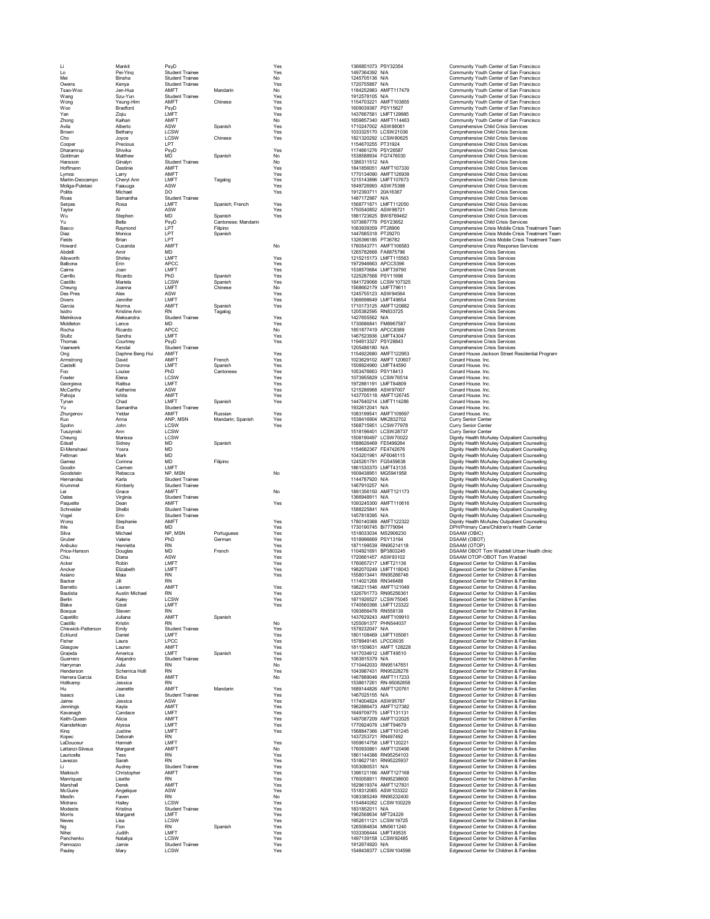Wartin-Deocampo Cheryl American LMFT (Mandre Cheryl American Cheryl American Cheryl American Child Crisis Services<br>
Michael Donne (Mandre Donne (Mandre Des Services)<br>
Politics Michael Donne (Mandre 1799)<br>
Politics Service Armstrong Daphne Beng Hui AMFT (1992)<br>
Armstrong Daphne Beng Hui AMFT French Yes 1154922900 AMFT122953<br>
Armstrong David AMFT Spanish Yes 1023629102 AMFT120907 Conard House. Inc.<br>
Fow Louise Philosopher Edition Canton Cont Castelli Donna LMFT Spanish Yes 1508924960 LMFT44590 Conard House. Inc. Foo Louise PhD Cantonese Yes 1053476663 PSY18413 Conard House. Inc.<br>1999 - Elena LCSW - Yes 10137395829 CONFORT 10073956829 LCSW76514 Conard House. Inc.<br>1972881191 LMFT - Yes 1972881191 LMFT4809 Conard House. Inc. Fowler Elena LCSW Yes 1073955829 LCSW76514 Conard House. Inc. Georgieva Ralitsa LMFT (1972) Yes 1972-881191 LMFT84809 Conard House. Inc. 1972<br>Georgieva Rality (1972) Yes 1972-98968 ASSN97007 Conard House. Inc.<br>1970 LMFT (1972) Spanish Yes 1447640214 LMFT114286 Conard House. Inc. 201 McCarthy Katherine ASW Yes 1215286968 ASW97007 Conard House. Inc. Pahoja Ishita AMFT Yes 1437705118 AMFT126745 Conard House. Inc. Tynan Charl Mac LMFT Spanish Yes 147640214 IMF114286 Conard House.Inc.<br>21 Mac Samantha Student Trainee Russian Yes 1932612041 NAT Conard House.Inc.<br>21 Mac - AMFT Mussian Russian Yes 1083199541 AMFT109597 Conard House.Inc.<br> Silva Michael NP, MSN Portuguese Yes 1518033034 MS2906230 DSAAM (OBIC)<br>Gruber - Valerie PhD German Yes 151899669 PSY13194 DSAAM (OBOT)<br>Anibuko Henrietta RN ROMA

Li Mankit PsyD Yes 1968851073 PYST23236 AMFT117479 Community Youth Center of San Francisco (New Birsha Student Traine<br>
Mei Pie-Ying Student Traine<br>
Mei Traine Mandarin Yes 1497364382 NA Community Youth Center of San Franci Lo Pei-Ying Student Trainee Yes (1497364392 NA Community Youth Center of San Francisco<br>Community Youth Center of San Francisco<br>Community Youth Center of San Francisco<br>Jen-Hua Student Trainee Mandarin Yes (170755887 NA Comm Mei Binsha Student Trainee No 1245705136 N/A Community Youth Center of San Francisco Student Trainee Trainee Trainee Trainee Trainee Trainee Yes 1720755887 N/A Community Youth Center of San Francisco<br>AMFT Mandarin Mo No 1184252983 AMFT117479 Community Youth Center of San Francisco Tsao-Woo Jen-Hua AMFT Mandarin No 1184252983 AMFT117479 Community Youth Center of San Francisco New Space of San Francisco Motor Trainee (1912)<br>
Memory Motor Center of San Francisco Motor Physics (1912)<br>
2010<br>
2010<br>
2010<br>
2010<br>
2010<br>
2010<br>
2010<br>
2010<br>
2010<br>
2010<br>
2010<br>
2010<br>
2010<br>
2010<br>
2010<br>
2010<br>
2010<br>
2010<br>
2010<br> Woon Yeung-Him AMFT (Chinese Yes 115470221 MMF1103856<br>
Moon Bradford Paylo LMT Periodics (Mariam AMFT Yes 1609039387 PSY156227 Community Youth Center of San Francisco<br>
The Chinese Him Separation of the Spanish No 15568575 Basco Raymond LPT Filipino 1083931 PT 1 1083939359 PT28906 Comprehensive Crisis Treatment Team<br>1992 - Monica LPT Filipino Soanish Diaz Monica LPT Spanish 1447685318 PT29270 Comprehensive Crisis Mobile Crisis Treatment Team Fields Brian LPT 1326396185 PT36782 Comprehensive Crisis Mobile Crisis Treatment Team No 1760547771 AMFT<br>
Amire AMFT<br>
Amire MD<br>
Howard Cusar March Cusar (1895/2006)<br>
Amire Cusar Cusar Cusar Cusar Cusar Cusar Cusar Cusar Cusar Cusar Cusar Cusar Crisis Revices<br>
Spanish Test (1892-2023)<br>
March Comprehensive Cr Abiswarth Amir Munic Microsofte Material Christopheniste Crisis Services<br>Aliswarth Shirley Alisman APCC The Spanish Tes 1923-25768 APC25386663 APC25386663 APC253867768 APC253867663 Camprehensive Crisis Services<br>Carlis Joa Cheung Marissa (SSW) - LOSW - 1508190497 LOSW10022 - Dignity Health McAuley Outpatient Counseling<br>1999 - The Spanish - Spanish - Spanish - 1154682367 FE4742676 - Dignity Health McAuley Outpatient Counseling<br>1999 - Mark - Goodin Carenary Carenary Carenary Sammatha Shudent Traine Spanish McCounseling (1997)<br>
The Carenary of Manufacture of Manufacture Spanish Meadam; Spanish McCow Yes (1933-201241 NA Counseling Contact House inc.<br>
The Carenar Goodstein Rebecca NP, MSN No 1609438951 MG5941958 Dignity Health McAuley Outpatient Counseling<br>1999-1999 Health McAuley Outpatient Counseling<br>2009-1999 Kundar (Manager Martial Student Trainee 1999-1999) No 1691356150 AMFT1 Hernandez Karla Student Trainee 114787920 N/Ad-144787920 N/A Dignity Health McAuley Outpatient Counseling Dignity Health McAuley Outpatient Counseling<br>Krummel Kimberly Student Trainee 1467–1479 N/A 147910257 N/A Dignity He Lei Grace AMFT No 1891356150 AMFT121173 Dignity Health McAuley Outpatient Counseling Oates Virginia Student Trainee 1366948911 N/A Dignity Health McAuley Outpatient Counseling Paquette Dean AMFT Yes 1093245300 AMFT110616 Dignity Health McAuley Outpatient Counseling Schneider Shelbi Student Trainee 1588225841 N/A Dignity Health McAuley Outpatient Counseling Vogel Erin Student Trainee 1457818395 N/A Dignity Health McAuley Outpatient Counseling Wong Stephanie AMFT Yes 1780140368 AMFT122322 Dignity Health McAuley Outpatient Counseling Ihle Eva MD Yes 1730190745 BI7779094 DPH/Primary Care/Children's Health Center Price-Hanson Douglas MD Prench Yes 1120-9061457 ASW93102 DSAAM OTOP-OBOT Tom Waddell Urban Health clinic<br>Chiu Diana ASW Prench Yes 1720-061457 ASW93102 DSAAM OTOP-OBOT Tom Waddell<br>Chiu Diana MD LMFT Yes 1760-657217 LMFT111 Castillo Kristin RN – –––––––– No 1255091377 PHN544037 Edgewood Center for Children & Families<br>Chiswick-Patterson Emiliy Student Trainee – Yes 157823047 NA 1989 1989 Edgewood Center for Children & Families<br>Ecklund Daniel L Chiswick-Patterson Emily Student Trainee 1988 Yes 1578232047 N/A Edgewood Center for Children & Families<br>Coklund Daniel LMFT 1990 NMET Yes 1801108469 LMFT105061 Edgewood Center for Children & Families Ecklund Daniel LMFT LMET Yes Yes 1801108469 LMFT105061 Edgewood Center for Children & Families<br>Alther Laura LPCC Yes Yes 181109903146 Hamilies (1892)<br>Clasgow Lauren AMFT Yes Yes 1811509631 AMFT126228 Edgewood Center for Ch Fisher Laura LPCC Yes 1578949145 LPCC6035 Edgewood Center for Children & Families Cliago Lauren AMPT (1922)<br>Carl Carl Marmiles America (1976)<br>Conserved Carl Marmiles (1976)<br>Harvyman Julia Student Traine<br>Price Schemin Harvyman Julia (1976)<br>Marmiles Schemin Harvyman Julia (1979)<br>Marmiles (1979)<br>Herres Gar Cause (Children Alicia AMFT AMF) (Samish Yes 1417034612 LMFT12222<br>
Carriero America AMFT (Samish Romite) Spanish Yes 1497034612 LMFT12202<br>
Hermateron Alujando Sudent Traine Romite<br>
Hermateron Julia RN RN Yes 1608914203 RN9 Kain-Guodon (Allysia – Allysia LMFT – The Ves – Hardwood Center (Allysia) – Desember (Allysia) – Desember (Allysia<br>Kianidehkian – Alysia – LMFT – Yes – Hardwood Center (Allysia) – Hardwood Center (Children & Families<br>Kope King The Mac 1568947366 LMFT101245 Edgewood Center for Children & Families<br>RN 1437253721 Edgewood Center for Children & Families<br>LMFT 12021 Edgewood Center for Children & Families Expectra (Children Ramille 2002)<br>Capovocal Paramient Ramille 2002–2014 RNAT (1922–2014)<br>Capovocal Hammah Maria 2002–2014 RNAT (2002–2014)<br>Capovocal America Maria 2002–2014 RNAT (2002–2014)<br>Capovocal Center of Children & F LaDouceur Hannah LMFT Yes 165614758 1659614758 LMFT120221 Edgewood Center for Children & Families<br>است المعروف المعروف المستقار المعروف المعروف المعروف المعروف المعروف المعروف المعروف المعروف Edgewood Center for Children & 2002 Marzi-Silveus Marzi 2004 Marci 2003<br>2008 Marzi 2009 Marzi 2009 Marzi 2009 Marzi 2009 Marzi 2009 Marzi 2009<br>2009 Marzi 2009 Marzi 2009 Marzi 2009 Marzi 2009 Marzi 2009 Marzi 2009 Marzi 2009 Marzi 2009 Marzi 2009 Marzi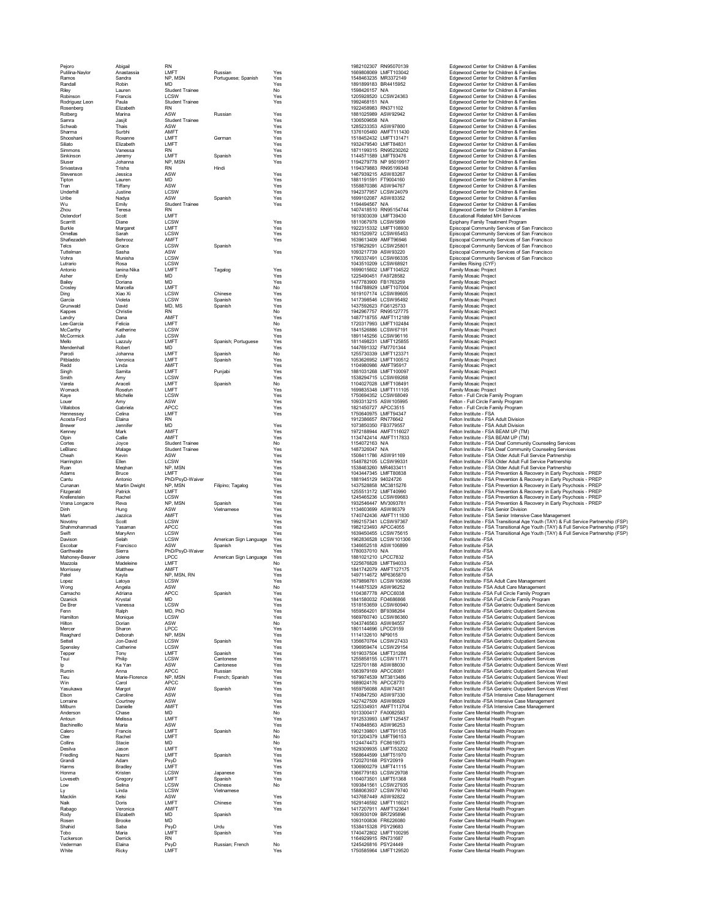Pejoro Abigail RN 1982107 Russian Russian 1982102307 RN95070139 Edgewood Center for Children & Families<br>Putilina-Naylor Anastassia LMFT Russian Yes 1669808069 LMFT103042 Edgewood Center for Children & Families Ramos Sandra NP, MSN Portuguese; Spanish Yes 1548463235 MR3372149 Edgewood Center for Children & Families Randall Robin MD Yes 1891899183 BR4415952 Edgewood Center for Children & Families Extern Student Trainee No 1598426157 NA Edgewood Center for Children & Families<br>1205928520 LCSW Families Edgewood Center for Children & Families Robinson Francis (1989-2003)<br>
Robinson Francis (1989-2003)<br>
Robinson Francis Suldent Trainee<br>
Robinson Francis Suldent Trainee<br>
Robinson Francis ASW Russian Yes 1992463151 NA 1992463151 NA 1992463151 NA 1992463151 NA 19924 Rodinguez. Leo Budain Sudent Framine Schemel (1990)<br>Change (1990) Student Schemel (1990) Student Schemel (1990) Student Schemel (1990) Student Schemel (1990) Student Schemel (1990) Student Schemel (1990) Student Schemel (1 Lutrario Rosa LCSW 1043510209 LCSW68921 Families Rising (CYF) Antonio Ianina Nika LMFT Tagalog Yes 1699015602 LMFT104522 Family Mosaic Project Asher Emily MD Yes 1225490451 FA9728582 Family Mosaic Project Bailey Doriana MD Yes 1477783900 FB1763259 Family Mosaic Project Crosley Marcella LMFT No 1184788929 LMFT107004 Family Mosaic Project Ding Xiao Xi LCSW Chinese Yes 1619107174 LCSW89605 Family Mosaic Project Garcia Violeta LCSW Spanish Yes 1417398546 LCSW95492 Family Mosaic Project Grunwald David MD, MS Spanish Yes 1437592623 FG6125733 Family Mosaic Project Kappes Christie RN No 1942967757 RN95127775 Family Mosaic Project Landry Dana AMFT / Yes 1487718755 AMFT112189 Froject 1488<br>Lee-Garcia Felicia LMFT / No 1720317993 LMFT102484 Family Mosaic Project McCarthy Katherine LCSW Yes 1841526886 LCSW67191 Family Mosaic Project McCormick Julia LCSW Yes 1891145256 LCSW96116 Family Mosaic Project Andre<br>
Andre Iamina Nikai MD<br>
Andre Endy Mosaic Projects<br>
Baley Drinan Michael MD<br>
Mello Lazzuly Aliances<br>
Cross Marchine (1990)<br>
Marchine Mosaic Projects<br>
Carumund Mosaic Projects<br>
Carumund Mosaic Projects<br>
Carumund Mosai Mendenhall Robert MD Yes 1447691332 FM7701344 Family Mosaic Project Parodi Johanna LMFT Spanish No 1255730339 LMFT123371 Family Mosaic Project Pitbladdo Veronica LMFT Spanish Yes 1053626952 LMFT100512 Family Mosaic Project Redd Linda AMFT Yes Yes 1104980986 AMFT95917 Family Mosaic Project<br>Singh Samita LMFT Punjabi Yes 1881031268 LMFT100097 Family Mosaic Project Smith Amy LCSW Res + 1538294715 LCSW69268 Family Mosaic Project<br>Varela Araceli LMFT Spanish No 104021028 LMF108491 Family Mosaic Project<br>Womack Roselyn LMFT - Spanish Yes + 1699835348 LMFT111105 Family Mosaic Project Kaye (SSW ) Michelle LCSW ) Yes - 1750694352 LCSW68049 - Felton Full Circle Family Program<br>Louer Amy ASW - Yes - Yes - 1093313215 ASW105995 - Felton - Full Circle Family Program<br>- Gabriela APCC - Yes - 1821450727 APCC3515 Touer Mark (1993-13214 ASW106996)<br>
Villalobos (Sabriela LMFT Yes 1921450727 APCC3515<br>
Hennessey Celina LMFT<br>
Acosta Ford Jennifer MD<br>
Eliana RN Yes 175728894 AMFT1176347<br>
Element Jennifer Mark AMFT<br>
Cortes Chean Callie AM "Davison Schalm Schalm (CSW) American Sign Language Yes (State 1982819528 LCSW101306 / Felton Institute FSA<br>1990 - Early Schalm Schalm Schalm (Spanish Yes 1348652518 ASW1016899 / Felton Institute FSA<br>1990/2011/2003/101 - Morrissey Matthew AMFT Yes 1841742079 AMFT127175 Felton Institute -FSA Patel Kayla NP, MSN, RN Yes 1497114672 MP6365870 Felton Institute -FSA Grandi Adam<br>Marmis Brandley LMFT (Spannese Ves 1720270168 PSY20919 (1992/1992)<br>Homma Engley LCSW Japanese Ves 1104073501 LMFT11115 Foster Care Mental Health Program<br>Loweseth Gregory LCSW Chinese Nes 1104073501 LMFT151368<br>L

Scarritt Diane LCSW Yes Yes 181106778 LCSW5899 Epiphany Family Treatment Program<br>Burkle Margaret LMFT - Yes 1922315332 LMFT108930 Episcopal Community Services of San Francisco Ornellas Sarah Magnet LCSW - The CONTROL SCRIPT (1990)<br>2020 - District Magnet LAIFT (1990)<br>20221520972 LCSW65453 LCSW654532 LMFT (1990)<br>20231520972 LCSW65453 Episcopal Community Services of San Francisco<br>2014 Share Servic Shafiezadeh Behrooz AMFT (Yes Yes 1639613409 AMFT96946 Episcopal Community Services of San Francisco<br>Telcs Grace LCSW Spanish (Yes 1578629291 LCSW25801 Episcopal Community Services of San Francisco Telcs Grace LCSW Spanish 1578629291 LCSW25801 Episcopal Community Services of San Francisco Tuttelman Sasha ASW Yes 109321739 ASW92320 Episcopal Community Services of San Francisco<br>179037491 Community Services of San Francisco (1990) 1790337491 LCSW66335 Episcopal Community Services of San Francisco Accels For Elional Revin<br>
And Elional Revine Motion (1978)<br>
Margins (1978)<br>
Margins (1980)<br>
Margins (1980)<br>
Caline Student Trainee Motion (1980)<br>
Channel Student Trainee Motion (1980)<br>
Channel Student Trainee Motion (1980) Logica Ladion (CSW)<br>Compass Ladion Control Sowish View transfersion (CSW) (CSW) (CSW) (CSW) (CSW) (CSW) (CSW)<br>Compass Movement (CSW) (CSW) View transfersion (CSW) (CSW) (CSW) (CSW) (CSW) (CSW) (CSW) (CSW) (CSW) (CSW) (CS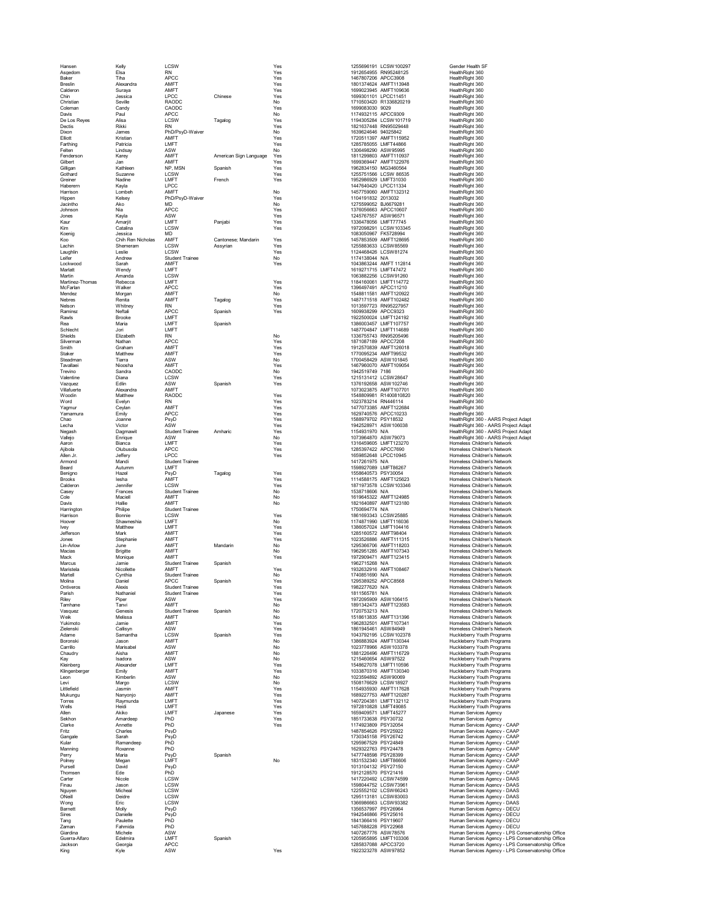|                      |                     | <b>LCSW</b>                    |                        |            |                                            | 1255696191 LCSW100297                          | Gender Health SF                                                    |
|----------------------|---------------------|--------------------------------|------------------------|------------|--------------------------------------------|------------------------------------------------|---------------------------------------------------------------------|
| Hansen<br>Asgedom    | Kelly<br>Elsa       | <b>RN</b>                      |                        | Yes<br>Yes |                                            | 1912654955 RN95248125                          | HealthRight 360                                                     |
| Baker                | Tiha                | APCC                           |                        | Yes        |                                            | 1467807206 APCC3908                            | HealthRight 360                                                     |
| <b>Breslin</b>       | Alexandra           | AMFT                           |                        | Yes        |                                            | 1801374624 AMFT113948                          | HealthRight 360                                                     |
| Calderon             | Surava              | AMFT                           |                        | Yes        |                                            | 1699023945 AMFT109636                          | HealthRight 360                                                     |
| Chin<br>Christian    | Jessica             | <b>LPCC</b>                    | Chinese                | Yes        |                                            | 1699301101   PCC11451                          | HealthRight 360                                                     |
| Coleman              | Seville<br>Candy    | RAODC<br>CAODC                 |                        | No<br>Yes  | 1699083030 9029                            | 1710503420 R1336820219                         | HealthRight 360<br>HealthRight 360                                  |
| Davis                | Paul                | APCC                           |                        | No         |                                            | 1174932115 APCC9309                            | HealthRight 360                                                     |
| De Los Reves         | Alisa               | LCSW                           | Tagalog                | Yes        |                                            | 1194305284   CSW101719                         | HealthRight 360                                                     |
| Dectis               | Rikki               | <b>RN</b>                      |                        | Yes        |                                            | 1821637448 RN95029448                          | HealthRight 360                                                     |
| Dixon                | James               | PhD/PsvD-Waiver                |                        | No         | 1639624646 94025842                        |                                                | HealthRight 360                                                     |
| Elliott              | Kristian            | AMFT                           |                        | Yes        |                                            | 1720511397 AMFT115952                          | HealthRight 360                                                     |
| Farthing<br>Felten   | Patricia<br>Lindsay | LMFT<br>ASW                    |                        | Yes<br>No  |                                            | 1285785055 LMFT44866<br>1306498290 ASW95995    | HealthRight 360<br>HealthRight 360                                  |
| Fenderson            | Karey               | AMFT                           | American Sign Language | Yes        |                                            | 1811299803 AMFT110937                          | HealthRight 360                                                     |
| Gilbert              | Jan                 | AMFT                           |                        | Yes        |                                            | 1699369447 AMFT122976                          | HealthRight 360                                                     |
| Gilligan             | Kathleen            | NP, MSN                        | Spanish                | Yes        |                                            | 1962834150 MG3460564                           | HealthRight 360                                                     |
| Gothard              | Suzanne             | LCSW                           |                        | Yes        |                                            | 1255751566 LCSW 86535                          | HealthRight 360                                                     |
| Greiner              | Nadine              | LMFT                           | French                 | Yes        |                                            | 1952986929 LMFT31030                           | HealthRight 360                                                     |
| Haberern             | Kavla               | LPCC                           |                        |            |                                            | 1447640420 LPCC11334                           | HealthRight 360                                                     |
| Harrison             | Lombeh              | AMFT                           |                        | No         |                                            | 1457759060 AMFT132312                          | HealthRight 360                                                     |
| Hippen               | Kelsev              | PhD/PsyD-Waiver                |                        | Yes        | 1104191832 2013032                         |                                                | HealthRight 360                                                     |
| Jacintho<br>Johnson  | Ako<br>Nia          | MD<br>APCC                     |                        | No         | 1275599052 BJ6679281                       |                                                | HealthRight 360                                                     |
| Jones                | Kavla               | ASW                            |                        | Yes<br>Yes |                                            | 1376056663 APCC10607<br>1245767557 ASW96571    | HealthRight 360<br>HealthRight 360                                  |
| Kaur                 | Amarjit             | LMFT                           | Panjabi                | Yes        |                                            | 1336478056 LMFT77745                           | HealthRight 360                                                     |
| Kim                  | Catalina            | LCSW                           |                        | Yes        |                                            | 1972098291 LCSW103345                          | HealthRight 360                                                     |
| Koenig               | Jessica             | <b>MD</b>                      |                        |            |                                            | 1083050967 FK5728994                           | HealthRight 360                                                     |
| Koo                  | Chih Ren Nicholas   | AMFT                           | Cantonese: Mandarin    | Yes        |                                            | 1457853509 AMFT128695                          | HealthRight 360                                                     |
| Lachin               | Shemeram            | LCSW                           | Assyrian               | Yes        |                                            | 1255883633 LCSW85569                           | HealthRight 360                                                     |
| Laughlin             | Leslie              | LCSW                           |                        | Yes        |                                            | 1124468426 LCSW81274                           | HealthRight 360                                                     |
| Leifer               | Andrew<br>Sarah     | <b>Student Trainee</b><br>AMFT |                        | No<br>Yes  | 1174138044 N/A                             | 1043863244 AMFT 112814                         | HealthRight 360<br>HealthRight 360                                  |
| Lockwood<br>Marlatt  | Wendy               | <b>I MFT</b>                   |                        |            |                                            | 1619271715 LMFT47472                           | HealthRight 360                                                     |
| Martin               | Amanda              | LCSW                           |                        |            |                                            | 1063882256 LCSW91260                           | HealthRight 360                                                     |
| Martinez-Thomas      | Rebecca             | LMFT                           |                        | Yes        |                                            | 1184160061 LMFT114772                          | HealthRight 360                                                     |
| McFarlan             | Walker              | APCC                           |                        | Yes        |                                            | 1396497491 APCC11210                           | HealthRight 360                                                     |
| Mendez               | Morgan              | AMFT                           |                        | No         |                                            | 1548811581 AMFT120922                          | HealthRight 360                                                     |
| Nebres               | Renita              | AMFT                           | Tagalog                | Yes        |                                            | 1487171518 AMFT102482                          | HealthRight 360                                                     |
| Nelson               | Whitney<br>Neftali  | <b>RN</b><br>APCC              |                        | Yes        |                                            | 1013597723 RN95227957<br>1609938299 APCC9323   | HealthRight 360<br>HealthRight 360                                  |
| Ramirez<br>Rawls     | Brooke              | LMFT                           | Spanish                | Yes        |                                            | 1922500024 LMFT124192                          | HealthRight 360                                                     |
| Rea                  | Maria               | LMFT                           | Spanish                |            |                                            | 1386003457 LMFT107757                          | HealthRight 360                                                     |
| Schlecht             | Jori                | LMFT                           |                        |            |                                            | 1487704847 LMFT114689                          | HealthRight 360                                                     |
| Shields              | Elizabeth           | <b>RN</b>                      |                        | No         |                                            | 1336755743 RN95205496                          | HealthRight 360                                                     |
| Silverman            | Nathan              | APCC                           |                        | Yes        |                                            | 1871087189 APCC7208                            | HealthRight 360                                                     |
| Smith                | Graham              | AMFT                           |                        | Yes        |                                            | 1912570839 AMFT126018                          | HealthRight 360                                                     |
| Staker               | Matthew             | AMFT                           |                        | Yes        |                                            | 1770095234 AMFT99532                           | HealthRight 360                                                     |
| Steadman             | Tiarra              | ASW                            |                        | No         |                                            | 1700458429 ASW101845                           | HealthRight 360                                                     |
| Tavallaei            | Nioosha             | AMFT                           |                        | Yes        |                                            | 1467960070 AMFT109054                          | HealthRight 360                                                     |
| Trevino<br>Valentine | Sandra<br>Diana     | CAODC<br>LCSW                  |                        | No<br>Yes  | 1942519749 7186                            | 1215131412 LCSW28647                           | HealthRight 360<br>HealthRight 360                                  |
| Vazquez              | Edlin               | ASW                            | Spanish                | Yes        |                                            | 1376192658 ASW102746                           | HealthRight 360                                                     |
| Villafuerte          | Alexandra           | AMFT                           |                        |            |                                            | 1073023875 AMFT107701                          | HealthRight 360                                                     |
| Woodin               | Matthew             | RAODC                          |                        | Yes        |                                            | 1548809981 R1400810820                         | HealthRight 360                                                     |
| Word                 | Evelyn              | <b>RN</b>                      |                        | Yes        | 1023783214 RN446114                        |                                                | HealthRight 360                                                     |
| Yagmur               | Ceylan              | AMFT                           |                        | Yes        |                                            | 1477073385 AMFT122684                          | HealthRight 360                                                     |
| Yamamura             | Emily               | APCC                           |                        | Yes        |                                            | 1629740576 APCC10233                           | HealthRight 360                                                     |
| Chao                 | Joanne              | PsvD                           |                        | Yes        | 1588979702 PSY18532                        |                                                | HealthRight 360 - AARS Project Adapt                                |
| Lecha                | Victor              | ASW                            |                        | Yes        |                                            | 1942528971 ASW106038                           | HealthRight 360 - AARS Project Adapt                                |
| Negash               | Dagmawit            | <b>Student Trainee</b>         | Amharic                | Yes        | 1154931970 N/A                             |                                                | HealthRight 360 - AARS Project Adapt                                |
| Vallejo<br>Aaron     | Enrique<br>Bianca   | ASW<br>LMFT                    |                        | No<br>Yes  |                                            | 1073964870 ASW79073<br>1316459605 LMFT123270   | HealthRight 360 - AARS Project Adapt<br>Homeless Children's Network |
| Ajibola              | Olubusola           | APCC                           |                        | Yes        |                                            | 1285397422 APCC7690                            | Homeless Children's Network                                         |
| Allen Jr.            | Jefferv             | LPCC                           |                        | Yes        |                                            | 1659852648 LPCC10945                           | Homeless Children's Network                                         |
| Armond               | Mandi               | <b>Student Trainee</b>         |                        |            | 1417261975 N/A                             |                                                | Homeless Children's Network                                         |
| Beard                | Autumm              | LMFT                           |                        |            |                                            | 1598927089 LMFT86267                           | Homeless Children's Network                                         |
| Beniano              | Hazel               | PsyD                           | Tagalog                | Yes        | 1558640573 PSY30054                        |                                                | Homeless Children's Network                                         |
| Brooks               | lesha               | AMFT                           |                        | Yes        |                                            | 1114588175 AMFT125623                          | Homeless Children's Network                                         |
| Calderon             | Jennifer            | LCSW                           |                        | Yes        |                                            | 1871973578 LCSW103346                          | Homeless Children's Network                                         |
| Casey<br>Cole        | Frances<br>Maciell  | Student Trainee<br>AMFT        |                        | No<br>No   | 1538718606 N/A                             | 1619645322 AMFT124985                          | Homeless Children's Network<br>Homeless Children's Network          |
| Davis                | Hallie              | AMFT                           |                        | No         |                                            | 1821640897 AMFT123180                          | <b>Homeless Children's Network</b>                                  |
| Harrington           | Philipe             | Student Trainee                |                        |            | 1750694774 N/A                             |                                                | Homeless Children's Network                                         |
| Harrison             | Bonnie              | <b>LCSW</b>                    |                        | Yes        |                                            | 1861693343   CSW25885                          | Homeless Children's Network                                         |
| Hoove                | Shawneshia          | LMFT                           |                        | No         |                                            | 1174871990 LMFT116036                          | Homeless Children's Network                                         |
| <b>Ivev</b>          | Matthew             | LMFT                           |                        | Yes        |                                            | 1386057024 LMFT104416                          | Homeless Children's Network                                         |
| Jefferson            | Mark                | AMFT                           |                        | Yes        |                                            | 1285160572 AMFT98404                           | Homeless Children's Network                                         |
| Jones                | Stephanie           | AMFT                           |                        | Yes        |                                            | 1023526886 AMFT111315                          | <b>Homeless Children's Network</b>                                  |
| Lin-Arlow            | June                | AMFT                           | Mandarin               | No         |                                            | 1295366706 AMFT118203                          | Homeless Children's Network                                         |
| Macias<br>Mack       | Brigitte<br>Monique | AMFT<br>AMFT                   |                        | No<br>Yes  |                                            | 1962951285 AMFT107343<br>1972909471 AMFT123415 | Homeless Children's Network<br>Homeless Children's Network          |
| Marcus               | Jamie               | <b>Student Trainee</b>         | Spanish                |            | 1962715268 N/A                             |                                                | Homeless Children's Network                                         |
| Maristela            | Nicollette          | AMFT                           |                        | Yes        |                                            | 1932632916 AMFT108467                          | Homeless Children's Network                                         |
| Martell              | Cynthia             | <b>Student Trainee</b>         |                        | No         | 1740851690 N/A                             |                                                | Homeless Children's Network                                         |
| Molina               | Daniel              | <b>APCC</b>                    | Spanish                | Yes        |                                            | 1295389252 APCC8568                            | Homeless Children's Network                                         |
| Ontiveros            | Alexis              | <b>Student Trainee</b>         |                        | Yes        | 1982277620 N/A                             |                                                | Homeless Children's Network                                         |
| Parish               | Nathaniel           | <b>Student Trainee</b>         |                        | Yes        | 1811565781 N/A                             |                                                | Homeless Children's Network                                         |
| Riley<br>Tamhane     | Piper<br>Tanvi      | ASW<br>AMFT                    |                        | Yes<br>No  |                                            | 1972095909 ASW106415<br>1891342473 AMFT123583  | Homeless Children's Network<br>Homeless Children's Network          |
| Vasquez              | Genesis             | <b>Student Trainee</b>         | Spanish                | No         | 1720753213 N/A                             |                                                | Homeless Children's Network                                         |
| Weik                 | Melissa             | AMFT                           |                        | No         |                                            | 1518613835 AMFT131396                          | Homeless Children's Network                                         |
| Yukimoto             | Jamie               | AMFT                           |                        | Yes        |                                            | 1962832501 AMFT107341                          | Homeless Children's Network                                         |
| Zielenski            | Callisyn            | ASW                            |                        | Yes        |                                            | 1861945461 ASW84949                            | Homeless Children's Network                                         |
| Adame                | Samantha            | LCSW                           | Spanish                | Yes        |                                            | 1043792195 LCSW102378                          | Huckleberry Youth Programs                                          |
| Boronski<br>Carrillo | Jason<br>Marisabel  | AMFT<br>ASW                    |                        | No<br>No   |                                            | 1386883924 AMFT130344<br>1023778966 ASW103378  | Huckleberry Youth Programs<br>Huckleberry Youth Programs            |
| Chaudry              | Aisha               | AMFT                           |                        | No         |                                            | 1881226496 AMFT116729                          | Huckleberry Youth Programs                                          |
| Kay                  | Isadora             | ASW                            |                        | No         |                                            | 1215460654 ASW97522                            | Huckleberry Youth Programs                                          |
| Kleinberg            | Alexander           | <b>I MFT</b>                   |                        | Yes        |                                            | 1548627078 LMFT110596                          | Huckleberry Youth Programs                                          |
| Klingenberger        | Emily               | AMFT                           |                        | Yes        |                                            | 1033870316 AMFT130340                          | Huckleberry Youth Programs                                          |
| Leon                 | Kimberlin           | ASW                            |                        | No         |                                            | 1023594892 ASW90069                            | Huckleberry Youth Programs                                          |
| Levi                 | Margo               | LCSW                           |                        | No         |                                            | 1508176629 LCSW18927                           | Huckleberry Youth Programs                                          |
| Littlefield          | Jasmin              | AMFT                           |                        | Yes        |                                            | 1154935930 AMFT117628                          | Huckleberry Youth Programs                                          |
| Mukungu<br>Torres    | Nanyonjo            | AMFT<br>LMFT                   |                        | Yes<br>Yes |                                            | 1689227753 AMFT120287<br>1407204381 LMFT132112 | Huckleberry Youth Programs<br>Huckleberry Youth Programs            |
| Wells                | Raymunda<br>Heidi   | <b>I MFT</b>                   |                        | Yes        |                                            | 1972810828 LMFT49085                           | Huckleberry Youth Programs                                          |
| Allen                | Akiko               | LMFT                           | Japanese               | Yes        |                                            | 1659409571 LMFT45277                           | Human Services Agency                                               |
| Sekhon               | Amardeep            | PhD                            |                        | Yes        | 1851733638 PSY30732                        |                                                | Human Services Agency                                               |
| Clarke               | Annette             | PhD                            |                        | Yes        | 1174923809 PSY32054                        |                                                | Human Services Agency - CAAP                                        |
| Fritz                | Charles             | PsyD                           |                        |            | 1487854626 PSY25922                        |                                                | Human Services Agency - CAAP                                        |
| Gangale              | Sarah               | PsyD                           |                        |            | 1730345158 PSY26742                        |                                                | Human Services Agency - CAAP                                        |
| Kular                | Ramandeep           | PhD                            |                        |            | 1295967529 PSY24849                        |                                                | Human Services Agency - CAAP                                        |
| Manning              | Roxanne             | PhD                            |                        |            | 1629322763 PSY24478                        |                                                | Human Services Agency - CAAP                                        |
| Perry<br>Polney      | Maria               | PsyD<br>LMFT                   | Spanish                | No         | 1477748598 PSY28399                        | 1831532340 LMFT86606                           | Human Services Agency - CAAP                                        |
| Pursell              | Megan<br>David      | PsyD                           |                        |            | 1013104132 PSY27150                        |                                                | Human Services Agency - CAAP<br>Human Services Agency - CAAP        |
| Thomsen              | Ede                 | PhD                            |                        |            | 1912128570 PSY21416                        |                                                | Human Services Agency - CAAP                                        |
| Carter               | Nicole              | LCSW                           |                        |            |                                            | 1417220492 LCSW74599                           | Human Services Agency - DAAS                                        |
| Finau                | Jason               | LCSW                           |                        |            |                                            | 1598044752 LCSW73961                           | Human Services Agency - DAAS                                        |
| Nguyen               | Micheal             | LCSW                           |                        |            |                                            | 1225552102 LCSW66243                           | Human Services Agency - DAAS                                        |
| ONeill               | Deidre              | LCSW                           |                        |            |                                            | 1295113181 LCSW83003                           | Human Services Agency - DAAS                                        |
| Wong                 | Eric                | LCSW                           |                        |            |                                            | 1366986663 LCSW93382                           | Human Services Agency - DAAS                                        |
| Barnett              | Molly<br>Danielle   | PsyD<br>PsyD                   |                        |            | 1356537997 PSY26964<br>1942546866 PSY25616 |                                                | Human Services Agency - DECU<br>Human Services Agency - DECU        |
| Sires<br>Tang        | Paulette            | PhD                            |                        |            | 1841366416 PSY19607                        |                                                | Human Services Agency - DECU                                        |
| Zaman                | Fahmida             | PhD                            |                        |            | 1457688228 PSY22968                        |                                                | Human Services Agency - DECU                                        |
| Giardina             | Michele             | ASW                            |                        |            |                                            | 1407267776 ASW78576                            | Human Services Agency - LPS Conservatorship Office                  |
| Guerra-Alfaro        | Edelmira            | LMFT                           | Spanish                |            |                                            | 1205955895 LMFT103306                          | Human Services Agency - LPS Conservatorship Office                  |
| Jackson              | Georgia             | APCC                           |                        |            |                                            | 1285837088 APCC3720                            | Human Services Agency - LPS Conservatorship Office                  |
| King                 | Kyle                | ASW                            |                        | Yes        |                                            | 1922323278 ASW97852                            | Human Services Agency - LPS Conservatorship Office                  |
|                      |                     |                                |                        |            |                                            |                                                |                                                                     |

| 1255696191                             |                                                      |
|----------------------------------------|------------------------------------------------------|
|                                        | LCSW100297                                           |
| 1912654955                             | RN95248125<br>APCC3908                               |
| 1467807206<br>1801374624               | AMFT113948                                           |
| 1699023945                             | AMFT109636                                           |
| 1699301101                             | LPCC11451                                            |
| 1710503420<br>1699083030               | R1336820219<br>9029                                  |
| 1174932115                             |                                                      |
| 1194305284                             | APCC9309<br>LCSW101719                               |
| 1821637448                             | RN95029448                                           |
| 1639624646<br>1720511397               | 94025842                                             |
| 1285785055                             | AMFT115952<br>LMFT44866                              |
| 1306498290                             | ASW95995                                             |
| 1811299803                             | AMFT110937<br>AMFT122976                             |
| 1699369447<br>1962834150               | MG3460564                                            |
| 1255751566                             | <b>LCSW 86535</b>                                    |
| 1952986929                             | LMFT31030                                            |
| 1447640420<br>1457759060               | LPCC11334<br>AMFT132312                              |
| 1104191832                             | 2013032                                              |
| 1275599052                             | BJ6679281<br>APCC10607                               |
| 1376056663                             |                                                      |
| 1245767557<br>1336478056               | ASW96571                                             |
| 1972098291                             | LMFT77745<br>LCSW103345                              |
| 1083050967                             | FK5728994                                            |
| 1457853509                             | AMFT128695<br>CSW85569<br>Ĺ                          |
| 1255883633<br>1124468426               | LCSW81274                                            |
| 1174138044                             | N/A                                                  |
| 1043863244                             | AMFT 112814<br>LMFT47472                             |
| 1619271715<br>1063882256               | LCSW91260                                            |
| 1184160061                             | MFT114772<br>L                                       |
| 1396497491                             | APCC11210                                            |
| 1548811581<br>1487171518               |                                                      |
| 1013597723                             | RN95227957                                           |
| 1609938299                             | APCC9323                                             |
| 1922500024                             | LMFT124192                                           |
| 1386003457                             | LMFT107757                                           |
| 1487704847<br>1336755743               | LMFT114689<br>RN95205496                             |
| 1871087189                             | <b>APCC7208</b>                                      |
| 1912570839                             | AMFT126018<br>AMFT99532                              |
| 1770095234<br>1700458429               | ASW101845                                            |
| 1467960070                             | AMFT109054                                           |
| 1942519749<br>1215131412               | 186<br>7                                             |
| 1376192658                             | LCSW28647<br>ASW102746                               |
| 1073023875                             | <br>AMFT107701                                       |
| 1548809981                             | R1400810820                                          |
| 1023783214<br>1477073385               | RN446114<br>AMFT122684                               |
| 1629740576                             | APCC10233                                            |
| 1588979702                             | PSY18532                                             |
| 1942528971<br>1154931970               | ASW106038<br>N/A                                     |
| 1073964870                             | ASW79073                                             |
| 1316459605                             | LMFT123270<br>APCC7690                               |
| 1285397422<br>1659852648               | LPCC10945                                            |
| 1417261975                             | N/A                                                  |
| 1598927089                             | MFT86267<br>ı                                        |
| 1558640573<br>1114588175               | PSY30054<br>AMFT125623                               |
| 1871973578                             | CSW103346<br>L                                       |
| 1538718606                             | N/A                                                  |
|                                        |                                                      |
| 1619645322                             |                                                      |
| 1821640897                             | <br>AMFT124985<br>AMFT123180                         |
| 1750694774<br>1861693343               | N/A<br>LCSW25885                                     |
| 1174871990                             |                                                      |
| 1386057024                             | LMFT116036<br>LMFT116036<br>L                        |
| 1285160572<br>1023526886               | AMFT98404                                            |
| 1295366706                             |                                                      |
| 1962951285                             | AMI 130404<br>AMFT111315<br>AMFT118203<br>AMFT107343 |
| 1972909471                             | AMFT123415                                           |
| 1962715268<br>1932632916               | N/A<br>AMFT108467                                    |
| 7408516<br>g                           | N/L                                                  |
| 1295389252                             | <b>APCC8568</b>                                      |
| 1982277620<br>1811565781               | N/A<br>N/A                                           |
| 1972095909                             | ASW106415                                            |
| 1891342473                             | AMFT123583<br>N/A                                    |
| 1720753213<br>1518613835               | AMFT131396                                           |
| 1962832501                             | AMFT107341                                           |
|                                        | ASW84949                                             |
| 1861945461<br>1043792195<br>1386883924 | CSW102378<br>L<br>AMFT130344                         |
| 1023778966                             | ASW103378                                            |
| 1881226496                             | AMFT116729                                           |
| 1215460654<br>1548627078               | ASW97522<br>LMFT110596                               |
| 1033870316                             | AMFT130340                                           |
| 1023594892                             | ASW90069                                             |
| 1508176629<br>1154935930               | LCSW18927                                            |
| 1689227753                             | LOC<br>AMFT117628<br>AMFT120287                      |
| 1407204381                             | AMFT120287<br>LMFT132112                             |
| 1972810828<br>1659409571               | LMFT49085                                            |
| 1851733638                             | LMFT45277<br>PSY30732                                |
| 1174923809                             | PSY32054                                             |
| 1487854626<br>1730345158               | PSY25922<br>PSY26742                                 |
| 1295967529                             | PSY24849                                             |
| 1629322763                             | PSY24478                                             |
| 1477748598                             | PSY28399                                             |
| 1831532340<br>1013104132               | LMF<br>T86606<br>PSY27150                            |
| 1912128570                             | PSY21416                                             |
| 1417220492                             | LCSW74599                                            |
| 1598044752<br>1225552102               | LCSW<br>73961<br>LCSW66243                           |
| 1295113181                             | CSW83003<br>ı                                        |
| 1366986663                             | CSW93382                                             |
| 1356537997<br>1942546866               | PSY26964                                             |
| 1841366416                             | PSY25616<br>PSY19607                                 |
| 1457688228                             | PSY22968                                             |
| 1407267776                             | ASW78576                                             |
| 1205955895<br>1285837088<br>1922323278 | LMFT103306<br>APCC3720<br>ASW97852                   |

| HealthRight 360                                                                                                                           |
|-------------------------------------------------------------------------------------------------------------------------------------------|
| HealthRight 360<br>HealthRight 360                                                                                                        |
| HealthRight 360                                                                                                                           |
| HealthRight 360<br>HealthRight 360                                                                                                        |
| HealthRight<br>360<br>HealthRight 360                                                                                                     |
| HealthRight 360                                                                                                                           |
| ŀ<br>lealthRight 360<br>HealthRight 360                                                                                                   |
| HealthRight 360                                                                                                                           |
| HealthRight 360<br>HealthRight<br>360                                                                                                     |
| HealthRight 360<br>HealthRight 360                                                                                                        |
| HealthRight 360<br>HealthRight 360                                                                                                        |
| HealthRight 360                                                                                                                           |
| HealthRight 360<br>HealthRight 360                                                                                                        |
| HealthRight 360                                                                                                                           |
| HealthRight 360<br>HealthRight 360                                                                                                        |
| HealthRight<br>360                                                                                                                        |
| HealthRight 360<br>HealthRight 360                                                                                                        |
| HealthRight 360<br>HealthRight 360                                                                                                        |
| HealthRight 360                                                                                                                           |
| HealthRight 360<br>HealthRight 360                                                                                                        |
| HealthRight 360<br>HealthRight 360                                                                                                        |
| HealthRight 360                                                                                                                           |
| HealthRight 360<br>HealthRight 360                                                                                                        |
| HealthRight 360<br>HealthRight<br>360                                                                                                     |
| HealthRight 360                                                                                                                           |
| HealthRight 360                                                                                                                           |
| HealthRight 360<br>HealthRight 360<br>HealthRight 360                                                                                     |
| HealthRight 360                                                                                                                           |
| HealthRight 360<br>HealthRight 360                                                                                                        |
| HealthRight 360                                                                                                                           |
| HealthRight 360<br>HealthRight<br>360                                                                                                     |
| HealthRight 360<br>HealthRight 360                                                                                                        |
| HealthRight 360                                                                                                                           |
| HealthRight 360<br>HealthRight 360                                                                                                        |
| HealthRight 360<br>HealthRight 360                                                                                                        |
| HealthRight 360                                                                                                                           |
| HealthRight 360 - AARS Project Adapt<br>HealthRight 360 - AARS Project Adapt                                                              |
| HealthRight 360 - AARS Project Adapt<br>HealthRight 360 - AARS Project Adapt                                                              |
| Homeless Children's Network<br>Homeless Children's Network                                                                                |
| Homeless Children's Network<br>Homeless Children's Network                                                                                |
| Homeless Children's Network                                                                                                               |
| Homeless Children's Network<br>Homeless Children's Network                                                                                |
| Homeless Children's Network<br>Homeless Children's Network                                                                                |
| Homeless Children's Network<br>Homeless Children's Network                                                                                |
| Homeless Children's Network                                                                                                               |
| Homeless Children's Network<br>Homeless Children's Network                                                                                |
| Homeless Children's Network<br>Homeless Children's Network                                                                                |
| Homeless Children's Network                                                                                                               |
| Homeless Children's Network<br>Homeless Children's Network                                                                                |
| Homeless Children's Network<br>Homeless Children's Network                                                                                |
| Homeless Children's Network                                                                                                               |
| Homeless Children's Network<br>Homeless Children's Network                                                                                |
| Homeless Children's Netw<br>Homeless Children's Network                                                                                   |
| Homeless Children's Network<br>Homeless Children's Network                                                                                |
| Homeless Children's Network                                                                                                               |
| Homeless Children's Network<br>Homeless Children's Network                                                                                |
| Homeless Children's Network<br>Huckleberry Youth Programs                                                                                 |
| Huckleberry Youth Programs<br>Huckleberry Youth Programs                                                                                  |
| Huckleberry Youth Programs                                                                                                                |
| Huckleberry Youth Programs<br>Huckleberry Youth Programs                                                                                  |
| Huckleberry Youth Programs<br>Huckleberry Youth Programs                                                                                  |
| Huckleberry Youth Programs<br>Huckleberry Youth Programs                                                                                  |
| Huckleberry Youth Programs                                                                                                                |
| Huckleberry Youth Programs<br>Huckleberry Youth Programs                                                                                  |
| Human Services Agency<br>Human Services Agency                                                                                            |
| Human Services Agency - CAAP<br>Human Services Agency - CAAP                                                                              |
| Human Services Agency - CAAP                                                                                                              |
| Human Services Agency - CAAP<br>Human Services Agency - 0<br>AAP:                                                                         |
| Human Services Agency - CAAP<br>Human Services Agency - CAAP                                                                              |
| Human Services Agency - CAAF                                                                                                              |
| Human Services Agency - CAAP<br>Human Services Agency - DAAS                                                                              |
| Human Services Agency - DAAS<br>Human Services Agency - DAAS                                                                              |
| Human Services Agency - DAAS<br>Human Services Agency - DAAS                                                                              |
| Human Services Agency - DECU                                                                                                              |
| Human Services Agency - DEO<br>эu<br>Human Services Agency - DECU                                                                         |
| Human Services Agency - DECU                                                                                                              |
| Human Services Agency - LPS Conservatorship<br>Human Services Agency - LPS Conservatorship<br>Human Services Agency - LPS Conservatorship |
| Human<br>Senices<br>Agency<br><b>IDS</b><br>one an ratore hir<br>r                                                                        |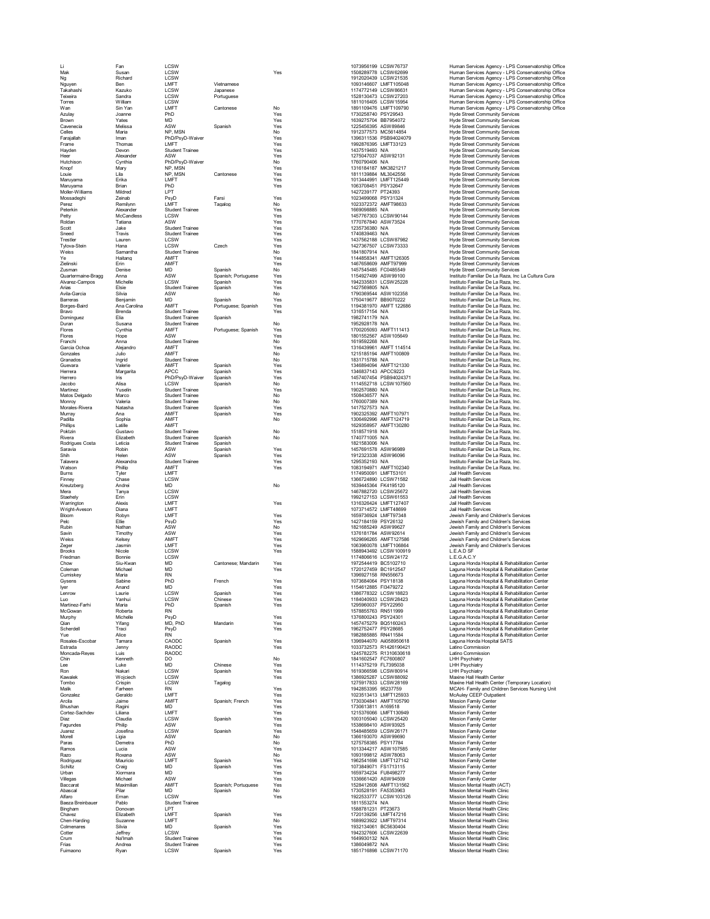| Li                          | Fan                   | LCSW                                             |                        |            |                                              | 1073956199 LCSW76737                              | Human Services Agency - LPS Conse                                              |
|-----------------------------|-----------------------|--------------------------------------------------|------------------------|------------|----------------------------------------------|---------------------------------------------------|--------------------------------------------------------------------------------|
| Mak                         | Susan                 | LCSW                                             |                        | Yes        |                                              | 1508289778 LCSW62699                              | Human Services Agency - LPS Conse                                              |
| Ng                          | Richard               | <b>I CSW</b>                                     |                        |            |                                              | 1912020439 LCSW21535                              | Human Services Agency - LPS Conse                                              |
| Nguyen                      | Ben                   | LMFT<br><b>LCSW</b>                              | Vietnamese<br>Japanese |            |                                              | 1093146607 LMFT105048                             | Human Services Agency - LPS Conse                                              |
| Takahashi<br>Teixeira       | Kazuko<br>Sandra      | LCSW                                             | Portuguese             |            |                                              | 1174772149 LCSW86631<br>1528130473 LCSW27203      | Human Services Agency - LPS Conse<br>Human Services Agency - LPS Conse         |
| Torres                      | William               | LCSW                                             |                        |            |                                              | 1811016405 LCSW15954                              | Human Services Agency - LPS Conse                                              |
| Wan                         | Sin Yan               | LMFT                                             | Cantonese              | No         |                                              | 1891109476 LMFT109790                             | Human Services Agency - LPS Conse                                              |
| Azulay                      | Joanne                | PhD                                              |                        | Yes        | 1730258740 PSY29543                          |                                                   | <b>Hyde Street Community Services</b>                                          |
| Brown                       | Yates                 | <b>MD</b>                                        |                        | Yes        | 1639275704 BB7954072                         |                                                   | Hyde Street Community Services                                                 |
| Cavenecia<br>Celles         | Melissa<br>Maria      | ASW<br>NP. MSN                                   | Spanish                | Yes<br>No  | 1225456395 ASW89846<br>1912377573 MC5614854  |                                                   | Hyde Street Community Services<br><b>Hyde Street Community Services</b>        |
| Farajallah                  | Iman                  | PhD/PsyD-Waiver                                  |                        | Yes        |                                              | 1396311536 PSB94024079                            | Hyde Street Community Services                                                 |
| Frame                       | Thomas                | <b>I MFT</b>                                     |                        | Yes        | 1992876395 LMFT33123                         |                                                   | Hyde Street Community Services                                                 |
| Hayden                      | Devon                 | <b>Student Trainee</b>                           |                        | Yes        | 1437519493 N/A                               |                                                   | Hyde Street Community Services                                                 |
| Heer                        | Alexander             | ASW                                              |                        | Yes        | 1275047037 ASW92131                          |                                                   | <b>Hyde Street Community Services</b>                                          |
| Hutchison                   | Cynthia               | PhD/PsyD-Waiver                                  |                        | No         | 1760790406 N/A                               |                                                   | Hyde Street Community Services                                                 |
| Knopf<br>Louie              | Marv<br>l ila         | NP, MSN<br>NP. MSN                               | Cantonese              | Yes<br>Yes | 1316184187 MK3821217<br>1811139884 ML3042556 |                                                   | <b>Hyde Street Community Services</b><br><b>Hyde Street Community Services</b> |
| Maruyama                    | Erika                 | LMFT                                             |                        | Yes        |                                              | 1013444991 LMFT125449                             | <b>Hyde Street Community Services</b>                                          |
| Maruyama                    | Brian                 | PhD                                              |                        | Yes        | 1063708451 PSY32647                          |                                                   | Hyde Street Community Services                                                 |
| Moller-Williams             | Mildred               | LPT                                              |                        |            | 1427239177 PT24393                           |                                                   | Hyde Street Community Services                                                 |
| Mossadeghi                  | Zeinab                | PsyD                                             | Farsi                  | Yes        | 1023499068 PSY31324                          |                                                   | <b>Hyde Street Community Services</b>                                          |
| Perez<br>Peterkin           | Remilynn<br>Alexander | LMFT<br><b>Student Trainee</b>                   | Tagalog                | No<br>Yes  | 1023372372 AMFT98633<br>1669098885 N/A       |                                                   | Hyde Street Community Services<br><b>Hyde Street Community Services</b>        |
| Petty                       | McCandless            | LCSW                                             |                        | Yes        |                                              | 1457767303 LCSW90144                              | <b>Hyde Street Community Services</b>                                          |
| Roldan                      | Tatiana               | ASW                                              |                        | Yes        | 1770767840 ASW73524                          |                                                   | <b>Hyde Street Community Services</b>                                          |
| Scott                       | Jake                  | <b>Student Trainee</b>                           |                        | Yes        | 1235736380 N/A                               |                                                   | <b>Hyde Street Community Services</b>                                          |
| Sneed                       | Travis                | <b>Student Trainee</b>                           |                        | Yes        | 1740839463 N/A                               |                                                   | Hyde Street Community Services                                                 |
| Trestler                    | Lauren                | <b>LCSW</b>                                      |                        | Yes        |                                              | 1437562188 LCSW87982                              | <b>Hyde Street Community Services</b>                                          |
| Tylova-Stein<br>Weiss       | Hana<br>Samantha      | LCSW<br><b>Student Trainee</b>                   | Czech                  | Yes<br>No  | 1841807914 N/A                               | 1427367507 LCSW73333                              | Hyde Street Community Services                                                 |
| Ye                          | Haitang               | AMFT                                             |                        | Yes        |                                              | 1144858341 AMFT126305                             | Hyde Street Community Services<br>Hyde Street Community Services               |
| Zielinski                   | Erin                  | AMFT                                             |                        | Yes        | 1467658609 AMFT97999                         |                                                   | <b>Hyde Street Community Services</b>                                          |
| Zusman                      | Denise                | <b>MD</b>                                        | Spanish                | No         | 1457545485 FC0485549                         |                                                   | Hyde Street Community Services                                                 |
| Quartermaine-Bragg          | Anna                  | ASW                                              | Spanish; Portuguese    | Yes        | 1154927499 ASW99100                          |                                                   | Instituto Familiar De La Raza, Inc La 0                                        |
| Alvarez-Campos              | Michelle              | <b>I CSW</b>                                     | Spanish                | Yes        |                                              | 1942335831 LCSW25228                              | Instituto Familiar De La Raza, Inc.                                            |
| Arias<br>Avila-Garcia       | Elsie<br>Silvia       | <b>Student Trainee</b><br>ASW                    | Spanish                | Yes<br>No  | 1427569805 N/A                               | 1790369544 ASW102358                              | Instituto Familiar De La Raza, Inc.<br>Instituto Familiar De La Raza, Inc.     |
| Barreras                    | Benjamin              | <b>MD</b>                                        | Spanish                | Yes        | 1750419677 BB9070222                         |                                                   | Instituto Familiar De La Raza, Inc.                                            |
| Borges-Baird                | Ana Carolina          | AMFT                                             | Portuguese; Spanish    | Yes        |                                              | 1194381970 AMFT 122686                            | Instituto Familiar De La Raza, Inc.                                            |
| Bravo                       | Brenda                | <b>Student Trainee</b>                           |                        | Yes        | 1316517154 N/A                               |                                                   | Instituto Familiar De La Raza, Inc.                                            |
| Dominguez                   | Elia                  | <b>Student Trainee</b>                           | Spanish                |            | 1982741179 N/A                               |                                                   | Instituto Familiar De La Raza, Inc.                                            |
| Duran                       | Susana                | <b>Student Trainee</b>                           |                        | No         | 1952928178 N/A                               |                                                   | Instituto Familiar De La Raza, Inc.                                            |
| Flores                      | Cynthia               | AMFT                                             | Portuguese; Spanish    | Yes        |                                              | 1700205093 AMFT111413                             | Instituto Familiar De La Raza, Inc.                                            |
| Flores                      | Hope                  | ASW                                              |                        | Yes        |                                              | 1801552567 ASW105649                              | Instituto Familiar De La Raza, Inc.                                            |
| Franchi<br>Garcia Ochoa     | Anna<br>Aleiandro     | <b>Student Trainee</b><br>AMFT                   |                        | No<br>Yes  | 1619592268 N/A                               | 1316439961 AMFT 114514                            | Instituto Familiar De La Raza, Inc.<br>Instituto Familiar De La Raza, Inc.     |
| Gonzales                    | Julio                 | AMFT                                             |                        | No         |                                              | 1215185194 AMFT100809                             | Instituto Familiar De La Raza, Inc.                                            |
| Granados                    | Inarid                | <b>Student Trainee</b>                           |                        | No         | 1831715788 N/A                               |                                                   | Instituto Familiar De La Raza, Inc.                                            |
| Guevara                     | Valerie               | AMFT                                             | Spanish                | Yes        |                                              | 1346894094 AMFT121330                             | Instituto Familiar De La Raza, Inc.                                            |
| Herrera                     | Margarita             | <b>APCC</b>                                      | Spanish                | Yes        | 1346837143 APCC9223                          |                                                   | Instituto Familiar De La Raza, Inc.                                            |
| Herrero                     | Iris                  | PhD/PsyD-Waiver                                  | Spanish                | Yes        |                                              | 1457407454 PSB94024371                            | Instituto Familiar De La Raza, Inc.                                            |
| Jacobo                      | Alisa                 | LCSW                                             | Spanish                | No         |                                              | 1114552718 LCSW107560                             | Instituto Familiar De La Raza, Inc.                                            |
| Martinez                    | Yuselin               | <b>Student Trainee</b>                           |                        | Yes        | 1902570880 N/A                               |                                                   | Instituto Familiar De La Raza, Inc.                                            |
| Matos Delgado<br>Monroy     | Marco<br>Valeria      | <b>Student Trainee</b><br><b>Student Trainee</b> |                        | No<br>No   | 1508436577 N/A<br>1760007389 N/A             |                                                   | Instituto Familiar De La Raza, Inc.<br>Instituto Familiar De La Raza, Inc.     |
| Morales-Rivera              | Natasha               | <b>Student Trainee</b>                           | Spanish                | Yes        | 1417527573 N/A                               |                                                   | Instituto Familiar De La Raza, Inc.                                            |
| Murray                      | Ana                   | AMFT                                             | Spanish                | Yes        |                                              | 1902325392 AMFT107971                             | Instituto Familiar De La Raza, Inc.                                            |
| Padilla                     | Sophia                | AMFT                                             |                        | No         |                                              | 1306492996 AMFT124719                             | Instituto Familiar De La Raza, Inc.                                            |
| Phillips                    | Latille               | AMFT                                             |                        |            |                                              | 1629358957 AMFT130280                             | Instituto Familiar De La Raza, Inc.                                            |
| Poktzin                     | Gustavo               | <b>Student Trainee</b>                           |                        | No         | 1518571918 N/A                               |                                                   | Instituto Familiar De La Raza, Inc.                                            |
| Rivera                      | Elizabeth             | <b>Student Trainee</b>                           | Spanish                | No         | 1740771005 N/A                               |                                                   | Instituto Familiar De La Raza, Inc.                                            |
| Rodrigues Costa<br>Saravia  | I eticia<br>Robin     | <b>Student Trainee</b><br>ASW                    | Spanish<br>Spanish     | Yes        | 1821583006 N/A<br>1457691578 ASW96989        |                                                   | Instituto Familiar De La Raza, Inc.<br>Instituto Familiar De La Raza, Inc.     |
| Shih                        | Helen                 | ASW                                              | Spanish                | Yes        | 1912323338 ASW96096                          |                                                   | Instituto Familiar De La Raza, Inc.                                            |
| Talavera                    | Alexandra             | <b>Student Trainee</b>                           |                        | Yes        | 1295352193 N/A                               |                                                   | Instituto Familiar De La Raza, Inc.                                            |
| Watson                      | Phillip               | AMFT                                             |                        | Yes        |                                              | 1083194971 AMFT102340                             | Instituto Familiar De La Raza, Inc.                                            |
| <b>Burns</b>                | Tyler                 | <b>I MFT</b>                                     |                        |            | 1174950091 LMFT53101                         |                                                   | Jail Health Services                                                           |
| Finney                      | Chase                 | LCSW                                             |                        |            |                                              | 1366724890 LCSW71582                              | Jail Health Services                                                           |
| Kreutzberg                  | Andrei                | <b>MD</b>                                        |                        | No         | 1639445364 FK4195120                         |                                                   | Jail Health Services                                                           |
| Mera                        | Tanva                 | LCSW                                             |                        |            |                                              | 1467882720 LCSW25672                              | Jail Health Services                                                           |
| Staehely                    | Erin                  | LCSW<br>LMFT                                     |                        |            |                                              | 1992127153 LCSW61553                              | Jail Health Services                                                           |
| Warrington<br>Wright-Aveson | Alexis<br>Diana       | LMFT                                             |                        | Yes        | 1073714572 LMFT48699                         | 1316326424 LMFT127407                             | Jail Health Services<br>Jail Health Services                                   |
| Bloom                       | Robyn                 | LMFT                                             |                        | Yes        | 1659736924 LMFT97348                         |                                                   | Jewish Family and Children's Services                                          |
| Pelc                        | Ellie                 | PsyD                                             |                        | Yes        | 1427184159 PSY26132                          |                                                   | Jewish Family and Children's Services                                          |
| Rubin                       | Nathan                | ASW                                              |                        | No         | 1821685249 ASW99627                          |                                                   | Jewish Family and Children's Services                                          |
| Savin                       | Timothy               | ASW                                              |                        | Yes        | 1376181784 ASW92614                          |                                                   | Jewish Family and Children's Services                                          |
| Weiss                       | Kelsey                | AMFT                                             |                        | Yes        |                                              | 1629696265 AMFT127586                             | Jewish Family and Children's Services                                          |
| Zeger                       | Jasmin                | LMFT                                             |                        | Yes        |                                              | 1063960078 LMFT106864                             | Jewish Family and Children's Services                                          |
| <b>Brooks</b>               | Nicole                | LCSW<br>LCSW                                     |                        | Yes        |                                              | 1588943492 LCSW100919                             | L.E.A.D SF<br>L.E.G.A.C.Y                                                      |
| Friedman<br>Chow            | Bonnie<br>Siu-Kwan    | <b>MD</b>                                        | Cantonese: Mandarin    | Yes        | 1972544419 BC5102710                         | 1174806616 LCSW24172                              | Laguna Honda Hospital & Rehabilitatio                                          |
| Coleman                     | Michael               | <b>MD</b>                                        |                        | Yes        | 1720127459 BC1912547                         |                                                   | Laguna Honda Hospital & Rehabilitatio                                          |
| Cumiskey                    | Maria                 | <b>RN</b>                                        |                        |            | 1396927158 RN556673                          |                                                   | Laguna Honda Hospital & Rehabilitatio                                          |
| .jyse                       | Sahir                 | PhP                                              | French                 |            | 1073684064 PSY18138                          |                                                   | aguna Honda Hospital & Rebabilitatio                                           |
| Iyer                        | Anand                 | <b>MD</b>                                        |                        | Yes        | 1154612885 FI3479272                         |                                                   | Laguna Honda Hospital & Rehabilitatio                                          |
| Lenrow                      | Laurie                | <b>I CSW</b>                                     | Spanish                | Yes        |                                              | 1386778322 LCSW18823                              | Laguna Honda Hospital & Rehabilitatio                                          |
| Luo<br>Martinez-Farhi       | Yanhui<br>Maria       | LCSW<br>PhD                                      | Chinese<br>Spanish     | Yes<br>Yes | 1295960037 PSY22950                          | 1184040933 LCSW28423                              | Laguna Honda Hospital & Rehabilitatio<br>Laguna Honda Hospital & Rehabilitatio |
| McGowan                     | Roberta               | <b>RN</b>                                        |                        |            | 1578855763 RN511999                          |                                                   | Laguna Honda Hospital & Rehabilitatio                                          |
| Murphy                      | Michelle              | PsyD                                             |                        | Yes        | 1376800243 PSY24301                          |                                                   | Laguna Honda Hospital & Rehabilitatio                                          |
| Qian                        | Yifang                | MD, PhD                                          | Mandarin               | Yes        | 1457475279 BQ5160243                         |                                                   | Laguna Honda Hospital & Rehabilitatio                                          |
| Scherdell                   | Traci                 | PsyD                                             |                        | Yes        | 1962752477 PSY28685                          |                                                   | Laguna Honda Hospital & Rehabilitatio                                          |
| Yue                         | Alice                 | <b>RN</b>                                        |                        |            | 1982885885 RN411584                          |                                                   | Laguna Honda Hospital & Rehabilitatio                                          |
| Rosales-Escobar             | Tamara                | CAODC<br><b>RAODC</b>                            | Snanish                | Yes        |                                              | 1396944070 Aii058950618<br>1033732573 R1426190421 | Laguna Honda Hospital SATS<br>Latino Commission                                |
| Estrada                     | Jenny                 |                                                  |                        | Yes        |                                              | 1245782275 R1310630618                            |                                                                                |
| Moncada-Reyes<br>Chin       | Luis<br>Kenneth       | RAODC<br>DO                                      |                        | No         | 1841602547 FC7600807                         |                                                   | Latino Commission<br><b>LHH Psychiatry</b>                                     |
| Lee                         | Luke                  | <b>MD</b>                                        | Chinese                | Yes        | 1114375219 FL7395038                         |                                                   | <b>LHH Psychiatry</b>                                                          |
| Ron                         | Nakari                | LCSW                                             | Spanish                | Yes        |                                              | 1619366598 LCSW80914                              | LHH Psychiatry                                                                 |
| Kawalek                     | Wojciech              | <b>I CSW</b>                                     |                        | Yes        |                                              | 1386925287 LCSW88092                              | Maxine Hall Health Center                                                      |
| Tombo                       | Crispin               | LCSW                                             | Tagalog                |            |                                              | 1275917833 LCSW28169                              | Maxine Hall Health Center (Temporary                                           |
| Malik                       | Farheen               | <b>RN</b>                                        |                        | Yes        | 1942853395 95237759                          |                                                   | MCAH- Family and Children Services<br>McAuley CEEP Outpatient                  |
| Gonzalez<br>Arcila          | Geraldo<br>Jaime      | LMFT<br>AMFT                                     | Spanish: French        | Yes<br>Yes |                                              | 1023513413 LMFT125933<br>1730304841 AMFT105790    | Mission Family Center                                                          |
| Bhushan                     | Ragini                | <b>MD</b>                                        |                        | Yes        | 1730613811 A169518                           |                                                   | Mission Family Center                                                          |
| Cortez-Sachdev              | Liliana               | LMFT                                             |                        | Yes        |                                              | 1215376066 LMFT130949                             | <b>Mission Family Center</b>                                                   |
| Diaz                        | Claudia               | LCSW                                             | Spanish                | Yes        |                                              | 1003105040 LCSW25420                              | Mission Family Center                                                          |
| Fagundes                    | Philip                | ASW                                              |                        | Yes        | 1538698410 ASW93925                          |                                                   | <b>Mission Family Center</b>                                                   |
| Juarez                      | Josefina              | LCSW                                             | Spanish                | Yes        | 1548485659 LCSW26171                         |                                                   | <b>Mission Family Center</b>                                                   |
| Morell                      | Ligia                 | ASW                                              |                        | No         | 1366193070 ASW99690                          |                                                   | Mission Family Center                                                          |
| Paras                       | Demetra               | PhD                                              |                        | No         | 1275758385 PSY17784                          |                                                   | <b>Mission Family Center</b>                                                   |
| Ramos<br>Razo               | Lucia<br>Roxana       | ASW<br>ASW                                       |                        | Yes<br>No  | 1093199812 ASW78063                          | 1013344217 ASW107585                              | <b>Mission Family Center</b><br><b>Mission Family Center</b>                   |
| Rodriguez                   | Mauricio              | LMFT                                             | Spanish                | Yes        |                                              | 1962541698 LMFT127142                             | <b>Mission Family Center</b>                                                   |
| Schiltz                     | Craig                 | MD                                               | Spanish                | Yes        | 1073849071 FS1713115                         |                                                   | <b>Mission Family Center</b>                                                   |
| Urban                       | Xiormara              | <b>MD</b>                                        |                        | Yes        | 1659734234 FU8498277                         |                                                   | <b>Mission Family Center</b>                                                   |
| Villegas                    | Michael               | ASW                                              |                        | Yes        | 1336661420 ASW94509                          |                                                   | <b>Mission Family Center</b>                                                   |
| Baccarat                    | Maximilian            | AMFT                                             | Spanish; Portuguese    | Yes        |                                              | 1528412608 AMFT131562                             | Mission Mental Health (ACT)                                                    |
| Abascal                     |                       | <b>MD</b>                                        | Spanish                | No         | 1730528191 FA5353963                         |                                                   | Mission Mental Health Clinic                                                   |
|                             | Pilar                 |                                                  |                        |            |                                              | 1922533777 LCSW103126                             | Mission Mental Health Clinic                                                   |
| Alfaro                      | Ernan                 | LCSW                                             |                        | Yes        |                                              |                                                   |                                                                                |
| Baeza Breinbauer            | Pablo                 | <b>Student Trainee</b>                           |                        |            | 1811553274 N/A                               |                                                   | Mission Mental Health Clinic                                                   |
| Bingham                     | Donovan               | LPT                                              |                        |            | 1588781231 PT23673                           |                                                   | Mission Mental Health Clinic                                                   |
| Chavez<br>Chen-Harding      | Elizabeth<br>Suzanne  | LMFT<br>LMFT                                     | Spanish                | Yes<br>No  | 1720139256 LMFT47216<br>1689923922 LMFT97314 |                                                   | Mission Mental Health Clinic<br>Mission Mental Health Clinic                   |
| Colmenares                  | Silvia                | <b>MD</b>                                        | Spanish                | Yes        | 1932134061 BC5630404                         |                                                   | Mission Mental Health Clinic                                                   |
| Cotter                      | Jeffrey               | LCSW                                             |                        | Yes        |                                              | 1942327606 LCSW22639                              | Mission Mental Health Clinic                                                   |
| Crum                        | Na'lmah               | <b>Student Trainee</b>                           |                        | Yes        | 1649930132 N/A                               |                                                   | Mission Mental Health Clinic                                                   |
| Frias<br>Fuimaono           | Andrea<br>Ryan        | <b>Student Trainee</b><br>LCSW                   | Spanish                | Yes<br>Yes | 1386049872 N/A                               | 1851716898 LCSW71170                              | Mission Mental Health Clinic<br>Mission Mental Health Clinic                   |

Licsw - Formulation (SSW) - The Licsw - Market of the Market Market (SSW) - The Sous (SSW) - The Sous (SSW) - S<br>- Market Market (SSW) - Market Market - Market - Market - Market - Market - Market - Market - Market - Market Torica William Content Studies<br>
Many Union LCSV - Manual Content Studies<br>
And Union Manual Content Studies<br>
And Manual Manual Manual Manual Manual Manual Manual Manual Manual Manual Manual Manual Manual Manual Manual Manua Ves Samantha Sudent Trainee<br>
Ves Handlang AMFT Community Services Handlang AMF Teames AMF Yes Yes Handlang AMF Yes Handlang AMF Yes Handlang AMF Yes Handlang AMF Yes Handlang School and the Community Services Hyde Street Chow Sui-Kwan Michael MD Cantonese, Mandarín Yes (1972-2449 BC1912/24749 BC1912/24749 BC1912/24749 BC1912/247<br>Coleman Michael RN (Systems Sabine RN (Systems Sabine PhD French Yes (Systems 19720127149 BC1912/24749 BC1912/24 Qian Yifang MD, PhD Mandarin Yes 145747279 BQ5160243 Laguna Honda Hospital & Rehabilitation Center<br>Scherdell Traci PsyD PsyD, Yes 1962752477 PSY28685 Laguna Honda Hospital & Rehabilitation Cente Yue Alice RN 1982885885 RN411584 Laguna Honda Hospital & Rehabilitation Center Tombo Crispin LCSW Tagalog 1275917831LCSW28169 Maxine Hall Health Center (Temporary Location)<br>Maik Farheen RN RN Yes Yes 1942853395 95237759 MCAH- Family and Children Services Nursing Uni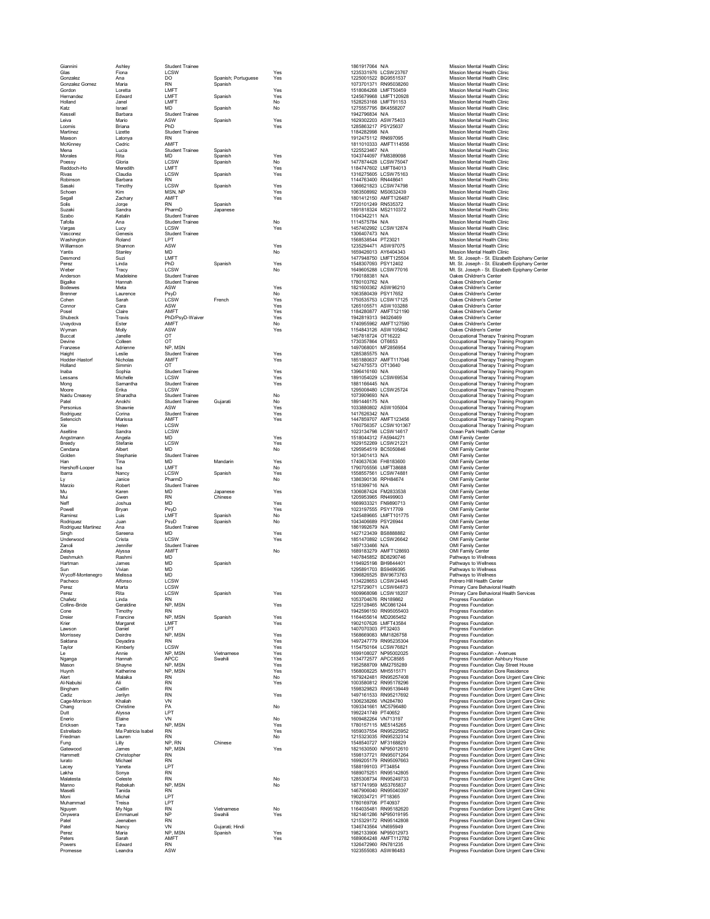Giannini Ashley Student Trainee 1861917064 N/A Mission Mental Health Clinic Glas Fiona LCSW Yes 1235331976 LCSW23767 Mission Mental Health Clinic Gias Conzalez Ana LCSW - The USW - Yes - 1235331976 LCSW23767 Mission Mental Health Clinic<br>Conzalez Ana DO Spanish; Portuguese Yes - 1225001522 BG9551537 Mission Mental Health Clinic<br>Cordon Loretta RN - Spanish - Yes - 151 Gonzalez Gomez Maria RN Spanish (1073701371 RN95038260) Mission Mental Health Clinic<br>Gordon Care Loretta Line Spanish (108)<br>Hernandez Edward Line Spanish (108) Nes (1245679968 LMFT1150928 Mission Mental Health Clinic<br>Holla Gordon Loretta Loretta Loretta Loretta (1989)<br>Gordon Loretta Loretta Loretta Spanish Yes 1245679968 LMFT120928 Mission Mental Health Clinic Hernandez Edward LMFT Spanish Yes 1245679968 LMFT120928 Mission Mental Health Clinic Holand Jane Jane More (1997-2003)<br>
More (1997-2003)<br>
More (1998-2002)<br>
More (1998-2002)<br>
More (1998-2002)<br>
More (1998-2002)<br>
More More (1998-2002)<br>
More More (1998-2002)<br>
More More More (1998-2002)<br>
More (1998-2002)<br>
More Solis Jorge RN Spanish 1720101249 RN535372 Mission Mental Health Clinic Suzaki Sandra PharmD Japanese 1891818324 MS2110372 Mission Mental Health Clinic Szabo Katalin Student Trainee 1104342211 N/A Mission Mental Health Clinic Tafolla Ana Student Trainee No 1114575784 N/A Mission Mental Health Clinic Vargas Lucy LCSW Yes 1457402992 LCSW12874 Mission Mental Health Clinic المس المستقاد المستقدم المستقدم المستقدم المستقدم المستقدم المستقدم المستقدم المستقدم المستقدم المستقدم المستق<br>11437784 NA Mission Mental Health Clinic<br>1306407473 Nission Mental Health Clinic<br>136838544 PT23021 Mission Men Washington Roland LPT 1568538544 PT23021 Mission Mental Health Clinic Williamson Shannon ASW Yes 1235294471 ASW Yes 1235294471 ASW970775 Mission Mental Health Clinic<br>
No Desmond Starl Microsoft - Microsoft - Microsoft - Microsoft - Microsoft - Microsoft - Microsoft - Microsoft - Microsoft -Yantis Stanley MD No 1659426013 AY6404343 Mission Mental Health Clinic Anderson Madeleine Student Trainee<br>Bigalke Hannah Student Trainee<br>Bodewes Meta ASW Magnus (1891-1903)<br>2014 - Meta ASW Meta ASW Nes (1821-1903-2022)<br>2014 - Contor Carlier Scante<br>2014 - Carlier Start (1993-2004)<br>2014 - Carl Shubeck Travis PhD/PsyD-Waiver Xenter Yes Yes 1942819313 94026469 Oakes Children's Center Uvaydova Ester AMFT No 1740955962 AMFT127590 Oakes Children's Center Wyman Molly ASW Yes 1154843126 ASW105842 Oakes Children's Center Aseltine Sandra LCSW - COMPONE 1518044398 (1923-1974-1980)<br>Angstmann Angela MD - MOV - Yes - 1518044312 FA5944271 - OMI Family Center<br>Breedy - Stefanie - LCSW - Yes - 192915269 (1929-1925-1920) - 1929-1925945<br>Cendana - Alb Golden Stephanie Student Trainee<br>1013401413 N/A MD Mandarin Yes 1740637636 FH8183600 OMI Family Center<br>Han Tina MD Mandarin Yes 1 Hershoff-Looper Isa LMFT No 1790705556 LMFT38688 OMI Family Center Ibarra Nancy LCSW Spanish Yes 1558557561 LCSW74881 OMI Family Center Ly Janice PharmD No 1386390136 RPH84674 OMI Family Center Marzio Robert Student Trainee 1518399716 N/A OMI Family Center Muarzio School Shudent Traine<br>Music School Shudent Traine<br>Muil (Saven MD Chinese Yes 1306087424 FM28335338 OMI Family Center<br>Muil (Saven MD Chinese Yes 1306087424 FM2833532 CH388903 OMI Family Center<br>Muil Joshua MD Yes 130 Note<br>
Medi Joshua RND Chinese<br>
Post 1999033.1 FN9890713 OM Family Center<br>
Post 199903.1 FN9890713 OM Family Center<br>
Post 19990719 OM Family Center<br>
Raminez Juan PsyD Spanish Note<br>
Rodríguez Juan PsyD Spanish Note<br>
Rodrígu New Hostela Joshua MD<br>
Pacheco Alfonso Luis LMFT Spanish Nes (1629933231 PN8960713<br>
Rodríguez Luis LMFT Spanish No (1454496665 LMF111017121071210716)<br>
Rodríguez Martinez Ana Student Traine<br>
MD Ves (16211927274439 BS8888882 Collins-Bride Geraldine NP, MSN Yes 1225124465 MC0861244 Progress Foundation<br>Cone Timothy RN RN 1942596150 1942596150 RN95055403 Dreier Francine NP, MSN Spanish Yes 1164455614 MD2065452 Progress Foundation Krier Margaret LMFT Yes 1902107626 LMFT43584 Progress Foundation Lawson Daniel LPT 1407070303 PT32403 Progress Foundation Morrissey Deirdre NP, MSN Yes 1568669083 MM1826758 Progress Foundation Saldana Deyadira RN Yes 1497247779 RN95235304 Progress Foundation Taylor Kimberly LCSW / CHAMP / Ves / 1154750164 LCSW76821<br>
1. Kimberly Annie NP, MSN / Ves / 115477277 APC/886<br>
Magnaga Hannah APC, MSN / Ves / 115277277 APC/886<br>
Huynh Katherine NP, MSN / Ves / 1562608225 MH5515171<br>
Huyn

Desmond Suzi LMFT 1477948750 LMFT125504 Mt. St. Joseph - St. Elizabeth Epiphany Center Perez Linda PhD Spanish Yes 1548307093 PSY12402 Mt. St. Joseph - St. Elizabeth Epiphany Center Weber Tracy LCSW No 1649605288 LCSW77016 Mt. St. Joseph - St. Elizabeth Epiphany Center Buccat Janelle OT 1467818724 OT16222 Occupational Therapy Training Program Devine Colleen OT 1730357864 OT6653 Occupational Therapy Training Program Franzese Adrienne NP, MSN 1497068001 MF2856954 Occupational Therapy Training Program Haight Leslie Student Trainee Yes 1285385575 N/A Occupational Therapy Training Program Hodder-Hastorf Nicholas AMFT Yes 1851880637 AMFT117046 Occupational Therapy Training Program Holland Sophia OT Sudent Trainee (Search Moscophia Persual Moscophia Persual Sophia Sudent Trainee (Search Moscophia Persual Moscophia Persual Moscophia Persual Moscophia Persual Moscophia Persual Moscophia Persual Moscop Pate Anckhi (Mindent Trainee Gujarati (Mindent Research 1990)<br>Personius Shawnie ASW (Mindent Press) (Mindent Press) (Mindent 1990)<br>Portophysics Mindent Student Trainee (Mindent Press) (Mindent 1417626342 NA (Mindent Drera Perez Marta LCSW 1275729071 LCSW64873 Primary Care Behavioral Health<br>Perez Rita LCSW Spanish Yes 160988098 LCSW18207 Progress Foundation Health Services<br>Chafetz Linda RN RN Le Armis We We View Venements Ve Ve 1990/08/2020/2023 Photograph Andreas Counter American Content Content (Content Content Content Content Content Content (Content Content Content Content Content Content Content (Content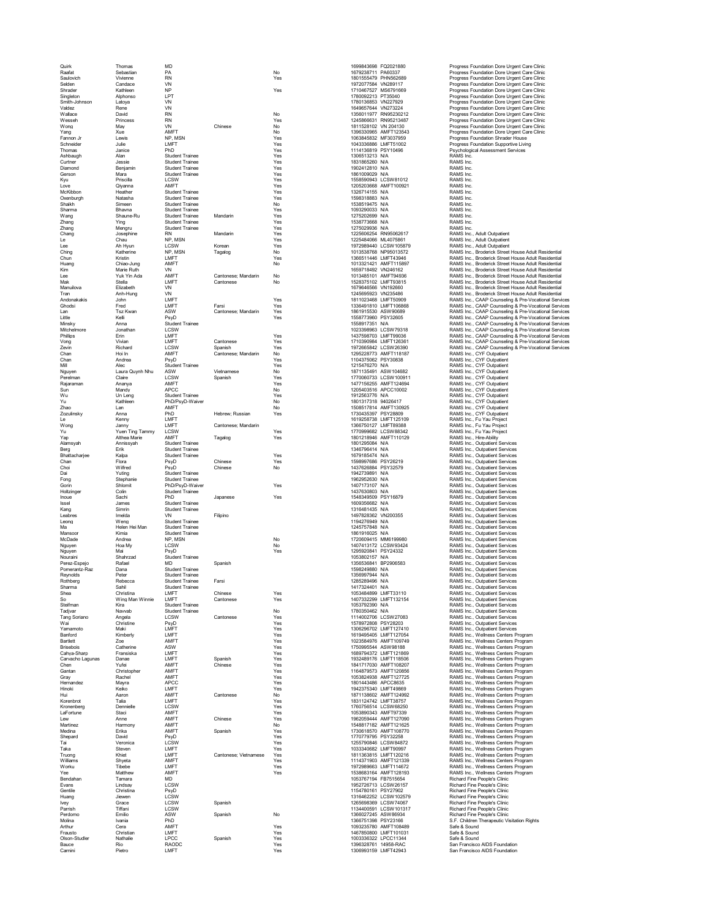| Quirk                                |
|--------------------------------------|
| Raafat<br>Saulovich                  |
| Selden<br>Shrader                    |
| Singleton                            |
| Smith-<br>Jol<br>Valdez              |
| Wallace                              |
| Wesseh<br>Wong                       |
| Yang<br>Fannon<br>J)                 |
| Schneider                            |
| Thomas<br>Ashbaugh                   |
| Curtner<br>Ó<br>Diamond              |
| Gerson                               |
| Kyu<br>l<br>ove.                     |
| McKibbor<br>í                        |
| <b>Oxenburgh</b><br>Shaikh           |
| Sharma<br>Wang                       |
| .<br>Zhang                           |
| Zhang<br>C<br>Chang                  |
| Le<br>Lee                            |
| <br>Ching                            |
| Chun<br>Huang                        |
| Kim<br>ı<br>ee                       |
| Mak                                  |
| Manuilova<br>Tran                    |
| Andonakakis                          |
| Ghodsi<br>Lan                        |
| ∟.<br>Little<br>Minsky               |
| Mitchelr<br>ore<br>'n                |
| Phillips<br>Vong                     |
| Zevin<br>Chan                        |
| .<br>Chan<br>Ó                       |
| Mill<br>Nguyer                       |
| Perelman                             |
| Rajar<br>am:<br>Sun                  |
| Wu<br>Yu                             |
| Zhao                                 |
| Zozulinsky<br>Le                     |
| Wong<br>Yu                           |
| Yap                                  |
| Alamsyah<br>Berg                     |
| Bhattacharjee                        |
| Chan<br>Choi                         |
| Dai<br>Fong                          |
| Gorin                                |
| loltzir<br>١<br>age<br>Inoue         |
| Issel<br>Kang                        |
| Leabres                              |
| j.<br>eong.<br>Ma                    |
| Mansor<br>۱<br>McDade                |
| Nguyen                               |
| Nguyen<br>Nouraini                   |
| Perez-Espejo                         |
| Pomerantz-Raz<br>Reynolds            |
| Rothbe<br>Sharma                     |
| Shea                                 |
| So<br>Steifman                       |
| Tadjvar<br>Tang Soria<br>ar          |
| Wai                                  |
| Yamamoto<br>Banford                  |
| Bartlett<br>Brisebois                |
| Cahya-Sharp                          |
| .<br>Carvacho Lagi<br>Ó<br>J<br>Chen |
| C<br>.<br>Gantan                     |
| Gray<br>Hernandez                    |
| Hinoki<br>Hui                        |
| Korenbrot                            |
| Kronenberg<br>.aFortune<br>ı         |
| Lew<br>Martinez                      |
| Medina                               |
| Shepard<br>Tai                       |
| Taka<br>Truong                       |
| Williams                             |
| Worku<br>Yee                         |
| Bendaha<br>àľ                        |
| Evans<br>Gentile                     |
| Huang<br>Ivey                        |
| Parrish                              |
| Perdomo<br>Molina                    |
| Arthur<br>Frausto                    |
| Olson-Studier<br>Bauce               |
|                                      |

| Quirk<br>Raafat          | Thomas<br>Sebastian       | MD<br>PA                                         |                       | No         | 1699843698 FQ2021880<br>1679238711 PA60337   |                                                | Progress Foundation Dore Urgent Care Cl                                            |
|--------------------------|---------------------------|--------------------------------------------------|-----------------------|------------|----------------------------------------------|------------------------------------------------|------------------------------------------------------------------------------------|
| Saulovich                | Vivienne                  | <b>RN</b>                                        |                       | Yes        | 1801555479 PHN562689                         |                                                | Progress Foundation Dore Urgent Care Cl<br>Progress Foundation Dore Urgent Care Cl |
| Selden                   | Candace                   | VN                                               |                       |            | 1972077584 VN289117                          |                                                | Progress Foundation Dore Urgent Care Cl                                            |
| Shrader                  | Kathleen                  | <b>NP</b>                                        |                       | Yes        | 1710467527 MS6791669                         |                                                | Progress Foundation Dore Urgent Care Cl                                            |
| Singleton                | Alphonso                  | LPT                                              |                       |            | 1780092213 PT35040                           |                                                | Progress Foundation Dore Urgent Care CI                                            |
| Smith-Johnson            | Latoya                    | VN                                               |                       |            | 1780136853 VN227929                          |                                                | Progress Foundation Dore Urgent Care Cl                                            |
| Valdez<br>Wallace        | Rene<br>David             | VN<br><b>RN</b>                                  |                       | No         | 1649657644 VN273224                          | 1356011977 RN95230212                          | Progress Foundation Dore Urgent Care Cl<br>Progress Foundation Dore Urgent Care Cl |
| Wesseh                   | Princess                  | <b>RN</b>                                        |                       | Yes        |                                              | 1245866631 RN95213487                          | Progress Foundation Dore Urgent Care Cl                                            |
| Wong                     | May                       | VN                                               | Chinese               | No         | 1811528102 VN 204130                         |                                                | Progress Foundation Dore Urgent Care Cl                                            |
| Yang                     | Xue                       | AMFT                                             |                       | No         |                                              | 1396330965 AMFT123543                          | Progress Foundation Dore Urgent Care Cl                                            |
| Fannon Jr                | Lewis                     | NP. MSN                                          |                       | Yes        | 1063845832 MF3037959                         |                                                | Progress Foundation Shrader House                                                  |
| Schneider<br>Thomas      | Julie<br>Janice           | LMFT<br>PhD                                      |                       | Yes<br>Yes | 1043336886 LMFT51002<br>1114136819 PSY10496  |                                                | Progress Foundation Supportive Living<br>Psychological Assessment Services         |
| Ashbaugh                 | Alan                      | <b>Student Trainee</b>                           |                       | Yes        | 1306513213 N/A                               |                                                | RAMS Inc.                                                                          |
| Curtner                  | Jessie                    | <b>Student Trainee</b>                           |                       | Yes        | 1831865260 N/A                               |                                                | RAMS Inc.                                                                          |
| Diamond                  | Benjamin                  | <b>Student Trainee</b>                           |                       | Yes        | 1902412810 N/A                               |                                                | RAMS Inc.                                                                          |
| Gerson                   | Mara                      | <b>Student Trainee</b>                           |                       | Yes        | 1861009029 N/A                               |                                                | RAMS Inc.                                                                          |
| Kyu                      | Priscilla                 | LCSW                                             |                       | Yes        |                                              | 1558590943 LCSW81012                           | RAMS Inc.                                                                          |
| Love                     | Qiyanna                   | AMFT<br><b>Student Trainee</b>                   |                       | Yes        | 1326714155 N/A                               | 1205203668 AMFT100921                          | RAMS Inc.<br>RAMS Inc.                                                             |
| McKibbon<br>Oxenburgh    | Heather<br>Natasha        | <b>Student Trainee</b>                           |                       | Yes<br>Yes | 1598318883 N/A                               |                                                | RAMS Inc.                                                                          |
| Shaikh                   | Simeen                    | <b>Student Trainee</b>                           |                       | No         | 1538519475 N/A                               |                                                | RAMS Inc.                                                                          |
| Sharma                   | Bhavna                    | <b>Student Trainee</b>                           |                       | Yes        | 1093290033 N/A                               |                                                | RAMS Inc.                                                                          |
| Wang                     | Shaune-Ru                 | <b>Student Trainee</b>                           | Mandarin              | Yes        | 1275202699 N/A                               |                                                | RAMS Inc.                                                                          |
| Zhang                    | Ying                      | <b>Student Trainee</b>                           |                       | Yes        | 1538773668 N/A                               |                                                | RAMS Inc.                                                                          |
| Zhang                    | Mengru                    | <b>Student Trainee</b><br><b>RN</b>              |                       | Yes<br>Yes | 1275029936 N/A                               | 1225606254 RN95062617                          | RAMS Inc.                                                                          |
| Chang<br>Le              | Josephine<br>Chau         | NP, MSN                                          | Mandarin              | Yes        | 1225484066 ML4075861                         |                                                | RAMS Inc., Adult Outpatient<br>RAMS Inc., Adult Outpatient                         |
| Lee                      | Ah Hyun                   | LCSW                                             | Korean                | Yes        |                                              | 1972989440 LCSW105879                          | RAMS Inc., Adult Outpatient                                                        |
| Ching                    | Katherine                 | NP, MSN                                          | Tagalog               | No         |                                              | 1013538768 NP95013572                          | RAMS Inc., Broderick Street House Adult                                            |
| Chun                     | Kristin                   | LMFT                                             |                       | Yes        |                                              | 1366511446 LMFT43946                           | RAMS Inc., Broderick Street House Adult                                            |
| Huang                    | Chiao-Jung                | AMFT                                             |                       | No         |                                              | 1013321421 AMFT115897                          | RAMS Inc., Broderick Street House Adult                                            |
| Kim<br>Lee               | Marie Ruth<br>Yuk Yin Ada | VN<br>AMFT                                       | Cantonese: Mandarin   | No         | 1659718492 VN246162                          |                                                | RAMS Inc., Broderick Street House Adult                                            |
| Mak                      | Stella                    | LMFT                                             | Cantonese             | No         | 1013485101 AMFT94936<br>1528375102 LMFT93815 |                                                | RAMS Inc., Broderick Street House Adult<br>RAMS Inc., Broderick Street House Adult |
| Manuilova                | Elizabeth                 | VN                                               |                       |            | 1679646566 VN192660                          |                                                | RAMS Inc., Broderick Street House Adult                                            |
| Tran                     | Anh-Hung                  | VN                                               |                       |            | 1245695923 VN235486                          |                                                | RAMS Inc., Broderick Street House Adult                                            |
| Andonakakis              | John                      | LMFT                                             |                       | Yes        | 1811023468 LMFT50909                         |                                                | RAMS Inc., CAAP Counseling & Pre-Voca                                              |
| Ghodsi                   | Fred                      | LMFT                                             | Farsi                 | Yes        |                                              | 1336491810 LMFT106868                          | RAMS Inc., CAAP Counseling & Pre-Voca                                              |
| Lan                      | <b>Tsz Kwan</b>           | ASW                                              | Cantonese: Mandarin   | Yes        | 1861915530 ASW90689                          |                                                | RAMS Inc., CAAP Counseling & Pre-Voca                                              |
| Little<br>Minsky         | Kelli<br>Anna             | PsyD<br><b>Student Trainee</b>                   |                       | Yes        | 1558773960 PSY32605<br>1558917351 N/A        |                                                | RAMS Inc., CAAP Counseling & Pre-Voca<br>RAMS Inc., CAAP Counseling & Pre-Voca     |
| Mitchelmore              | Jonathan                  | <b>LCSW</b>                                      |                       |            |                                              | 1023398963 LCSW79318                           | RAMS Inc., CAAP Counseling & Pre-Voca                                              |
| Phillips                 | Erin                      | LMFT                                             |                       | Yes        | 1437598703 LMFT99036                         |                                                | RAMS Inc., CAAP Counseling & Pre-Voca                                              |
| Vong                     | Vivian                    | LMFT                                             | Cantonese             | Yes        |                                              | 1710390984 LMFT126361                          | RAMS Inc., CAAP Counseling & Pre-Voca                                              |
| Zevin                    | Richard                   | LCSW                                             | Spanish               | Yes        |                                              | 1972665842 LCSW26390                           | RAMS Inc., CAAP Counseling & Pre-Voca                                              |
| Chan                     | Hoi In                    | AMFT                                             | Cantonese; Mandarin   | No         |                                              | 1295228773 AMFT118187                          | RAMS Inc., CYF Outpatient                                                          |
| Chan<br>Mill             | Andrea<br>Alec            | PsyD<br><b>Student Trainee</b>                   |                       | Yes<br>Yes | 1104375062 PSY30838<br>1215476270 N/A        |                                                | RAMS Inc., CYF Outpatient<br>RAMS Inc., CYF Outpatient                             |
| Nguyen                   | Laura Quynh Nhu           | ASW                                              | Vietnamese            | No         |                                              | 1871135491 ASW104682                           | RAMS Inc., CYF Outpatient                                                          |
| Perelman                 | Claire                    | LCSW                                             | Spanish               | Yes        |                                              | 1770060733 LCSW100911                          | RAMS Inc., CYF Outpatient                                                          |
| Rajaraman                | Ananya                    | AMFT                                             |                       | Yes        |                                              | 1477156255 AMFT124694                          | RAMS Inc., CYF Outpatient                                                          |
| Sun                      | Mandy                     | APCC                                             |                       | No         |                                              | 1205403516 APCC10002                           | RAMS Inc., CYF Outpatient                                                          |
| Wu<br>Yu                 | Un Leng<br>Kathleen       | <b>Student Trainee</b><br>PhD/PsyD-Waiver        |                       | Yes<br>No  | 1912563776 N/A<br>1801317318 94026417        |                                                | RAMS Inc., CYF Outpatient<br>RAMS Inc., CYF Outpatient                             |
| Zhao                     | Lan                       | AMFT                                             |                       | No         |                                              | 1508517814 AMFT130925                          | RAMS Inc., CYF Outpatient                                                          |
| Zozulinsky               | Anna                      | PhD                                              | Hebrew; Russian       | Yes        | 1730435397 PSY28809                          |                                                | RAMS Inc., CYF Outpatient                                                          |
| Le                       | Kenny                     | LMFT                                             |                       |            |                                              | 1619258738 LMFT125109                          | RAMS Inc., Fu Yau Project                                                          |
| Wong                     | Janny                     | LMFT                                             | Cantonese: Mandarin   |            | 1366750127 LMFT89388                         |                                                | RAMS Inc., Fu Yau Project                                                          |
| Yu                       | Yuen Ting Tammy           | LCSW                                             |                       | Yes        |                                              | 1770999682 LCSW88342                           | RAMS Inc., Fu Yau Project                                                          |
| Yap<br>Alamsyah          | Althea Marie<br>Annissvah | AMFT<br><b>Student Trainee</b>                   | Tagalog               | Yes        | 1801295084 N/A                               | 1801218946 AMFT110129                          | RAMS Inc., Hire-Ability<br>RAMS Inc., Outpatient Services                          |
| Berg                     | Erik                      | <b>Student Trainee</b>                           |                       |            | 1346796414 N/A                               |                                                | RAMS Inc., Outpatient Services                                                     |
| Bhattacharjee            | Kalpa                     | <b>Student Trainee</b>                           |                       | Yes        | 1679185474 N/A                               |                                                | RAMS Inc., Outpatient Services                                                     |
| Chan                     | Flora                     | PsyD                                             | Chinese               | Yes        | 1598997686 PSY26219                          |                                                | RAMS Inc., Outpatient Services                                                     |
| Choi                     | Wilfred                   | PsyD                                             | Chinese               | No         | 1437626884 PSY32579                          |                                                | RAMS Inc., Outpatient Services                                                     |
| Dai<br>Fong              | Yuting<br>Stephanie       | <b>Student Trainee</b><br><b>Student Trainee</b> |                       |            | 1942739891 N/A<br>1962952630 N/A             |                                                | RAMS Inc., Outpatient Services                                                     |
| Gorin                    | Shlomit                   | PhD/PsyD-Waiver                                  |                       | Yes        | 1407173107 N/A                               |                                                | RAMS Inc., Outpatient Services<br>RAMS Inc., Outpatient Services                   |
| Holtzinger               | Colin                     | Student Trainee                                  |                       |            | 1437630803 N/A                               |                                                | RAMS Inc., Outpatient Services                                                     |
| Inoue                    | Sachi                     | PhD                                              | Japanese              | Yes        | 1548349509 PSY16879                          |                                                | RAMS Inc., Outpatient Services                                                     |
| Issel                    | James                     | <b>Student Trainee</b>                           |                       |            | 1609356682 N/A                               |                                                | RAMS Inc., Outpatient Services                                                     |
| Kang                     | Simrin                    | <b>Student Trainee</b>                           |                       |            | 1316481435 N/A                               |                                                | RAMS Inc., Outpatient Services                                                     |
| Leabres<br>Leong         | Imelda<br>Weng            | VN<br><b>Student Trainee</b>                     | Filipino              |            | 1497828362 VN200355<br>1194276949 N/A        |                                                | RAMS Inc., Outpatient Services<br>RAMS Inc., Outpatient Services                   |
| Ma                       | Helen Hei Man             | <b>Student Trainee</b>                           |                       |            | 1245757848 N/A                               |                                                | RAMS Inc., Outpatient Services                                                     |
| Mansoor                  | Kimia                     | <b>Student Trainee</b>                           |                       |            | 1861916025 N/A                               |                                                | RAMS Inc., Outpatient Services                                                     |
| McDade                   | Andrea                    | NP. MSN                                          |                       | No         |                                              | 1720609415 MM6199980                           | RAMS Inc., Outpatient Services                                                     |
| Nguyen                   | Hoa My                    | LCSW                                             |                       | No         |                                              | 1407413172 LCSW93424                           | RAMS Inc., Outpatient Services                                                     |
| Nguyen                   | Mai                       | PsyD                                             |                       | Yes        | 1295920841 PSY24332                          |                                                | RAMS Inc., Outpatient Services                                                     |
| Nouraini<br>Perez-Espejo | Shahrzad<br>Rafael        | <b>Student Trainee</b><br>MD                     | Spanish               |            | 1053802157 N/A<br>1356536841 BP2906583       |                                                | RAMS Inc., Outpatient Services<br>RAMS Inc., Outpatient Services                   |
| Pomerantz-Raz            | Dana                      | Student Trainee                                  |                       |            | 1598249880 N/A                               |                                                | RAMS Inc., Outpatient Services                                                     |
| Reynolds                 | Peter                     | Student Trainee                                  |                       |            | 1356997944 N/A                               |                                                | RAMS Inc., Outpatient Services                                                     |
| Rothberg                 | Rebecca                   | <b>Student Trainee</b>                           | Farsi                 |            | 1285289496 N/A                               |                                                | RAMS Inc., Outpatient Services                                                     |
| Sharma                   | Sahil                     | <b>Student Trainee</b>                           |                       |            | 1417324401 N/A                               |                                                | RAMS Inc., Outpatient Services                                                     |
| Shea                     | Christina                 | LMFT                                             | Chinese               | Yes        | 1053484899 LMFT33110                         |                                                | RAMS Inc., Outpatient Services                                                     |
| So<br>Steifman           | Wing Man Winnie           | LMFT<br><b>Student Trainee</b>                   | Cantonese             | Yes        |                                              | 1407332299 LMFT132154                          | RAMS Inc., Outpatient Services                                                     |
| Tadivar                  | Kira<br>Navvab            | <b>Student Trainee</b>                           |                       | No         | 1053792390 N/A<br>1780350462 N/A             |                                                | RAMS Inc., Outpatient Services<br>RAMS Inc., Outpatient Services                   |
| Tang Soriano             | Angela                    | LCSW                                             | Cantonese             | Yes        |                                              | 1114002706 LCSW27083                           | RAMS Inc., Outpatient Services                                                     |
| Wai                      | Christine                 | PsyD                                             |                       | Yes        | 1578972808 PSY28203                          |                                                | RAMS Inc., Outpatient Services                                                     |
| Yamamoto                 | Maki                      | LMFT                                             |                       | Yes        |                                              | 1306296702 LMFT127410                          | RAMS Inc., Outpatient Services                                                     |
| Banford                  | Kimberly                  | LMFT<br>AMFT                                     |                       | Yes        |                                              | 1619495405 LMFT127054<br>1023584976 AMFT109749 | RAMS Inc., Wellness Centers Program                                                |
| Bartlett<br>Brisebois    | Zoe<br>Catherine          | ASW                                              |                       | Yes<br>Yes | 1750995544 ASW98188                          |                                                | RAMS Inc., Wellness Centers Program<br>RAMS Inc., Wellness Centers Program         |
| Cahva-Sharp              | Fransiska                 | LMFT                                             |                       | Yes        |                                              | 1689794372 LMFT121869                          | RAMS Inc., Wellness Centers Program                                                |
| Carvacho Lagunas         | Danae                     | LMFT                                             | Spanish               | Yes        |                                              | 1932489176 LMFT118506                          | RAMS Inc., Wellness Centers Program                                                |
| Chen                     | Yufei                     | AMFT                                             | Chinese               | Yes        |                                              | 1841717030 AMFT108207                          | RAMS Inc., Wellness Centers Program                                                |
| Gantan                   | Christopher               | AMFT                                             |                       | Yes        |                                              | 1164879573 AMFT120856                          | RAMS Inc., Wellness Centers Program                                                |
| Gray<br>Hernandez        | Rachel<br>Mayra           | AMFT<br>APCC                                     |                       | Yes<br>Yes | 1801443486 APCC8635                          | 1053824938 AMFT127725                          | RAMS Inc., Wellness Centers Program<br>RAMS Inc., Wellness Centers Program         |
| Hinoki                   | Keiko                     | LMFT                                             |                       | Yes        | 1942375340 LMFT49869                         |                                                | RAMS Inc., Wellness Centers Program                                                |
| Hui                      | Aaron                     | AMFT                                             | Cantonese             | No         |                                              | 1871138602 AMFT124992                          | RAMS Inc., Wellness Centers Program                                                |
| Korenbrot                | Talia                     | LMFT                                             |                       | Yes        | 1831124742 LMFT38757                         |                                                | RAMS Inc., Wellness Centers Program                                                |
| Kronenbera               | Dennielle                 | LCSW                                             |                       | Yes        |                                              | 1760756514 LCSW68250                           | RAMS Inc., Wellness Centers Program                                                |
| LaFortune                | Staci                     | AMFT                                             |                       | Yes        |                                              | 1053890343 AMFT97339                           | RAMS Inc., Wellness Centers Program<br>RAMS Inc., Wellness Centers Program         |
| Lew<br>Martinez          | Anne<br>Harmony           | AMFT<br>AMFT                                     | Chinese               | Yes<br>No  |                                              | 1962059444 AMFT127090<br>1548817182 AMFT121625 | RAMS Inc., Wellness Centers Program                                                |
| Medina                   | Erika                     | AMFT                                             | Spanish               | Yes        |                                              | 1730618570 AMFT108770                          | RAMS Inc., Wellness Centers Program                                                |
| Shepard                  | David                     | PsyD                                             |                       | Yes        | 1770779795 PSY32258                          |                                                | RAMS Inc., Wellness Centers Program                                                |
| Tai                      | Veronica                  | LCSW                                             |                       | Yes        |                                              | 1255790846 LCSW84872                           | RAMS Inc., Wellness Centers Program                                                |
| Taka                     | Steven                    | LMFT                                             |                       | Yes        | 1033340682 LMFT90997                         |                                                | RAMS Inc., Wellness Centers Program                                                |
| Truong<br>Williams       | Khiet<br>Shveta           | LMFT<br>AMFT                                     | Cantonese; Vietnamese | Yes        |                                              | 1811363815 LMFT120216<br>1114371903 AMFT121339 | RAMS Inc., Wellness Centers Program<br>RAMS Inc., Wellness Centers Program         |
| Worku                    | Tibebe                    | LMFT                                             |                       | Yes<br>Yes |                                              | 1972989663 LMFT114672                          | RAMS Inc., Wellness Centers Program                                                |
| Yee                      | Matthew                   | AMFT                                             |                       | Yes        |                                              | 1538683164 AMFT128193                          | RAMS Inc., Wellness Centers Program                                                |
| Bendahan                 | Tamara                    | MD                                               |                       |            | 1053767194 FB7515654                         |                                                | Richard Fine People's Clinic                                                       |
| Evans                    | Lindsay                   | LCSW                                             |                       |            |                                              | 1952726713 LCSW26157                           | Richard Fine People's Clinic                                                       |
| Gentile                  | Christina                 | PsyD                                             |                       |            | 1154780161 PSY27902                          |                                                | Richard Fine People's Clinic                                                       |
| Huang<br><b>Ivev</b>     | Jiewen<br>Grace           | LCSW<br><b>LCSW</b>                              | Spanish               |            |                                              | 1316462252 LCSW102579<br>1265698369 LCSW74067  | Richard Fine People's Clinic<br>Richard Fine People's Clinic                       |
| Parrish                  | Tiffani                   | LCSW                                             |                       |            |                                              | 1134400591 LCSW101317                          | Richard Fine People's Clinic                                                       |
| Perdomo                  | Emilio                    | ASW                                              | Spanish               | No         | 1366027245 ASW86934                          |                                                | Richard Fine People's Clinic                                                       |
| Molina                   | Ivania                    | PhD                                              |                       |            | 1366751398 PSY23166                          |                                                | S.F. Children Therapeutic Visitation Rights                                        |
| Arthur                   | Cera                      | AMFT                                             |                       | Yes        |                                              | 1093235780 AMFT108489                          | Safe & Sound                                                                       |
| Frausto<br>Olson-Studler | Christian<br>Nathalie     | LMFT<br>LPCC                                     | Spanish               | Yes<br>Yes | 1003336322 LPCC11344                         | 1467850800 LMFT101031                          | Safe & Sound<br>Safe & Sound                                                       |
| Bauce                    | Rio                       | RAODC                                            |                       | Yes        | 1396328761 14958-RAC                         |                                                | San Francisco AIDS Foundation                                                      |
| Carnini                  | Pietro                    | LMFT                                             |                       | Yes        | 1306993159 LMFT42943                         |                                                | San Francisco AIDS Foundation                                                      |
|                          |                           |                                                  |                       |            |                                              |                                                |                                                                                    |

| 1699843698<br>1679238711 | FQ2021880<br>PA60337                              |
|--------------------------|---------------------------------------------------|
| 1801555479               | PHN562689                                         |
| 1972077584               | VN289117                                          |
| 1710467527               | MS6791669                                         |
| 1780092213               | PT35040                                           |
| 1780136853               | VN227929                                          |
| 1649657644               | VN273224                                          |
| 135601197<br>7           | RN95230212                                        |
| 1245866631               | RN95213487                                        |
| 1811528102               | VN 204130                                         |
| 1396330965<br>1063845832 | AMFT123543                                        |
| 1043336886               | MF3037959                                         |
| 1114136819               | LMFT51002<br>PSY10496                             |
| 306513213<br>1           | N/A                                               |
| 1831865260               | N/A                                               |
| 1902412810               | N/A                                               |
| 1861009029               | N/A                                               |
| 1558590943               | CSW81012<br>I (                                   |
| 1205203668               | AMF<br>T100921                                    |
| 1326714155               | N/A                                               |
| 1598318883               | N/A                                               |
| 1538519475               | N/A                                               |
| 1093290033               | N/A                                               |
| 1275202699               | N/A                                               |
| 1538773668               | N/A                                               |
| 1275029936<br>1225606254 | N/A<br>RN95062617                                 |
| 1225<br>484066           | ML4075861                                         |
| 1972989440               | LCSW105879                                        |
| 1013538768               | NP95013572                                        |
| 1366511446               |                                                   |
| 1013321421               | LMFT43946<br>AMFT115897                           |
| 1659718492               | VN246162                                          |
| 1013485101               |                                                   |
| 1528375102               |                                                   |
| 1679646566               | VN192660                                          |
| 1245695923               | VN235486                                          |
| 1811023468               | ı<br>MFT50909<br>MFT106868                        |
| 1336491810<br>1861915530 | ı<br>ASW90689                                     |
| 1558773960               | PSY32605                                          |
| 1558917351               | N/A                                               |
| 1023398963               | LCSW79318                                         |
| 1437598703               | LMFT99036                                         |
| 1710390984               | MFT126361<br>ı                                    |
| 1972665842               | <br>SW26390<br>٬                                  |
| 1295228773               | AMFT118187                                        |
| 1104375062               | PSY30838                                          |
| 1215476270               | N/A                                               |
| 1871135491               | <br>ASW 104682                                    |
| 1770060733               | CSW100911<br>Ĺ                                    |
| 1477156255<br>1205403516 | AMFT124694                                        |
| 1912563776               | APCC10002<br>N/A                                  |
| 1801317318               | 94026417                                          |
|                          | AMFT130925                                        |
| 1508517814<br>1730435397 | PSY28809                                          |
| 1619258738               | LMFT125109                                        |
| 1366750127               | MFT89388<br>ı                                     |
| 17<br>70999682           | CSW88342                                          |
| 1801218946               | T110129<br>AMF                                    |
| 1801295084               | N/A                                               |
|                          |                                                   |
| 1346796414               | N/A                                               |
| 1679185474               | N/A                                               |
| 1598997686               | PSY26219                                          |
| 1437626884               | PSY32579                                          |
| 1942739891               | N/A                                               |
| 1962952630               | N/A                                               |
| 1407173107               | N/A                                               |
| 1437630803               | N/A                                               |
| 1548349509<br>1609356682 | PSY16879<br>N/A                                   |
| 1316481435               |                                                   |
|                          | N/A<br>VN200355                                   |
| 1497828362<br>1194276949 | N/A                                               |
| 1245757848               | N/A                                               |
| 1861916025               | N/A                                               |
| 1720609415               | MM6199980                                         |
| 1407413172               | LCSW93424                                         |
| 1295920841               | PSY24332                                          |
| 1053802157               | N/A                                               |
| 1356536841               | BP2906583                                         |
| 1598249880<br>1356997944 | N/A                                               |
| 1<br>.652<br>'ö          | N/A<br>IJ,                                        |
| 1417324401               | N/A                                               |
| 1053484899               | LMF<br>T33110                                     |
| 1407332299               | LMFT132154                                        |
| 1053792390               | N/A                                               |
| 1780350462               | N/A                                               |
| 1114002706               | LCSW27083                                         |
| 1578972808<br>1306296702 | PSY28203<br>T127410<br><b>MF</b><br>ı             |
| 1619495<br>405           | MFT12705<br>4                                     |
| 1023584976               | AMFT109749                                        |
| 1750995544               | ASW98188                                          |
| 1689794372               | MFT121869<br>ı                                    |
| 1932489176               | LMFT118506                                        |
| 1841717030               |                                                   |
| 1164879573               |                                                   |
| 1053824938               |                                                   |
| 1801443486               | APCC8635                                          |
| 1942375340               | MFT49869<br>AMFT124992                            |
| 1871138602               |                                                   |
| 1831124742<br>1760756514 | LMFT38757<br>LCSW68250                            |
|                          | AMFT97339                                         |
| 1053890343<br>1962059444 | AMFT127090                                        |
| 1548817182               |                                                   |
| 1730618570               | --------------<br>AMFT121625<br>AMFT108770<br>AMF |
| 1770779795               | PSY32258                                          |
| 1255790846               | CSW84872                                          |
| 1033340682               |                                                   |
| 1811363815               | LMFT90997<br>LMFT12021<br>120216                  |
| 1114371903               | AMFT121339                                        |
| 1972989663               |                                                   |
| 1538683164               | ------<br>LMFT114672<br>AMFT128193                |
| 1053767194<br>1952726713 | FB7515654<br>LCSW26157                            |
| 1154780161               |                                                   |
| 316462252<br>1           | PSY27902<br>CSW102579<br>L                        |
| 1265698369               | <b>LCSW74067</b>                                  |
| 1134400591               | CSW101317<br>ı                                    |
| 1366027245               | ASW86934                                          |
| 1366751398               | PSY23166                                          |
| 1093235780               | AMFT108489                                        |
| 1467850800               | MFT101031<br>ı                                    |
| 1003336322<br>1396328761 | PCC11344<br>14958-RAC                             |

| Quirk                        | Thomas                          | MD                                        |                                  |            | 1699843698 FQ2021880                         |                                                | Progress Foundation Dore Urgent Care Clinic                                                                  |
|------------------------------|---------------------------------|-------------------------------------------|----------------------------------|------------|----------------------------------------------|------------------------------------------------|--------------------------------------------------------------------------------------------------------------|
| Raafat<br>Saulovich          | Sebastian<br>Vivienne           | PA<br><b>RN</b>                           |                                  | No<br>Yes  | 1679238711 PA60337<br>1801555479 PHN562689   |                                                | Progress Foundation Dore Urgent Care Clinic<br>Progress Foundation Dore Urgent Care Clinic                   |
| Selden                       | Candace                         | VN                                        |                                  |            | 1972077584 VN289117                          |                                                | Progress Foundation Dore Urgent Care Clinic                                                                  |
| Shrader                      | Kathleen                        | <b>NP</b>                                 |                                  | Yes        | 1710467527 MS6791669                         |                                                | Progress Foundation Dore Urgent Care Clinic                                                                  |
| Singletor<br>Smith-Johnson   | Alphonso<br>Latova              | LPT<br>VN                                 |                                  |            | 1780092213 PT35040<br>1780136853 VN227929    |                                                | Progress Foundation Dore Urgent Care Clinic<br>Progress Foundation Dore Urgent Care Clinic                   |
| Valdez                       | Rene                            | VN                                        |                                  |            | 1649657644 VN273224                          |                                                | Progress Foundation Dore Urgent Care Clinic                                                                  |
| Wallace                      | David                           | <b>RN</b>                                 |                                  | No         |                                              | 1356011977 RN95230212                          | Progress Foundation Dore Urgent Care Clinic                                                                  |
| Wesseh                       | Princess                        | <b>RN</b><br>VN                           | Chinese                          | Yes<br>No  |                                              | 1245866631 RN95213487                          | Progress Foundation Dore Urgent Care Clinic                                                                  |
| Wong<br>Yang                 | May<br>Xue                      | AMFT                                      |                                  | No         | 1811528102 VN 204130                         | 1396330965 AMFT123543                          | Progress Foundation Dore Urgent Care Clinic<br>Progress Foundation Dore Urgent Care Clinic                   |
| Fannon Jr                    | Lewis                           | NP. MSN                                   |                                  | Yes        | 1063845832 MF3037959                         |                                                | Progress Foundation Shrader House                                                                            |
| Schneider                    | Julie.                          | <b>I MFT</b>                              |                                  | Yes        | 1043336886 LMFT51002                         |                                                | Progress Foundation Supportive Living                                                                        |
| Thomas<br>Ashbaugh           | Janice<br>Alan                  | PhD<br><b>Student Trainee</b>             |                                  | Yes<br>Yes | 1114136819 PSY10496<br>1306513213 N/A        |                                                | Psychological Assessment Services<br>RAMS Inc.                                                               |
| Curtner                      | Jessie                          | Student Trainee                           |                                  | Yes        | 1831865260 N/A                               |                                                | RAMS Inc.                                                                                                    |
| Diamond                      | Benjamin                        | <b>Student Trainee</b>                    |                                  | Yes        | 1902412810 N/A                               |                                                | RAMS Inc.                                                                                                    |
| Gerson                       | Mara                            | <b>Student Trainee</b>                    |                                  | Yes        | 1861009029 N/A                               |                                                | RAMS Inc.                                                                                                    |
| Kyu                          | Priscilla                       | LCSW                                      |                                  | Yes        |                                              | 1558590943 LCSW81012                           | RAMS Inc.                                                                                                    |
| Love<br>McKibbon             | Qiyanna<br>Heather              | AMFT<br>Student Trainee                   |                                  | Yes<br>Yes | 1326714155 N/A                               | 1205203668 AMFT100921                          | RAMS Inc.<br>RAMS Inc.                                                                                       |
| Oxenburah                    | Natasha                         | <b>Student Trainee</b>                    |                                  | Yes        | 1598318883 N/A                               |                                                | RAMS Inc.                                                                                                    |
| Shaikh                       | Simeen                          | <b>Student Trainee</b>                    |                                  | No         | 1538519475 N/A                               |                                                | RAMS Inc.                                                                                                    |
| Sharma                       | Bhavna                          | <b>Student Trainee</b>                    |                                  | Yes        | 1093290033 N/A                               |                                                | RAMS Inc.                                                                                                    |
| Wang<br>Zhang                | Shaune-Ru<br>Ying               | <b>Student Trainee</b><br>Student Trainee | Mandarin                         | Yes<br>Yes | 1275202699 N/A<br>1538773668 N/A             |                                                | RAMS Inc.<br>RAMS Inc.                                                                                       |
| Zhang                        | Mengru                          | <b>Student Trainee</b>                    |                                  | Yes        | 1275029936 N/A                               |                                                | RAMS Inc.                                                                                                    |
| Chang                        | Josephine                       | <b>RN</b>                                 | Mandarin                         | Yes        |                                              | 1225606254 RN95062617                          | RAMS Inc., Adult Outpatient                                                                                  |
| Le<br>Lee                    | Chau<br>Ah Hyun                 | NP. MSN<br>LCSW                           | Korean                           | Yes<br>Yes | 1225484066 ML4075861                         | 1972989440 LCSW105879                          | RAMS Inc., Adult Outpatient<br>RAMS Inc., Adult Outpatient                                                   |
| Ching                        | Katherine                       | NP, MSN                                   | Tagalog                          | No         |                                              | 1013538768 NP95013572                          | RAMS Inc., Broderick Street House Adult Residential                                                          |
| Chun                         | Kristin                         | LMFT                                      |                                  | Yes        | 1366511446 LMFT43946                         |                                                | RAMS Inc., Broderick Street House Adult Residential                                                          |
| Huang                        | Chiao-Jung                      | AMFT                                      |                                  | No         |                                              | 1013321421 AMFT115897                          | RAMS Inc., Broderick Street House Adult Residential                                                          |
| Kim                          | Marie Ruth                      | VN                                        |                                  |            | 1659718492 VN246162                          |                                                | RAMS Inc., Broderick Street House Adult Residential                                                          |
| Lee<br>Mak                   | Yuk Yin Ada<br>Stella           | AMFT<br>LMFT                              | Cantonese; Mandarin<br>Cantonese | No<br>No   | 1013485101 AMFT94936<br>1528375102 LMFT93815 |                                                | RAMS Inc., Broderick Street House Adult Residential<br>RAMS Inc., Broderick Street House Adult Residential   |
| Manuilova                    | Elizabeth                       | VN                                        |                                  |            | 1679646566 VN192660                          |                                                | RAMS Inc., Broderick Street House Adult Residential                                                          |
| Tran                         | Anh-Hung                        | VN                                        |                                  |            | 1245695923 VN235486                          |                                                | RAMS Inc., Broderick Street House Adult Residential                                                          |
| Andonakakis                  | John                            | LMFT                                      |                                  | Yes        | 1811023468 LMFT50909                         |                                                | RAMS Inc., CAAP Counseling & Pre-Vocational Services                                                         |
| Ghodsi<br>Lan                | Fred<br>Tsz Kwan                | LMFT<br>ASW                               | Farsi<br>Cantonese; Mandarin     | Yes<br>Yes | 1861915530 ASW90689                          | 1336491810 LMFT106868                          | RAMS Inc., CAAP Counseling & Pre-Vocational Services<br>RAMS Inc., CAAP Counseling & Pre-Vocational Services |
| Little                       | Kelli                           | PsyD                                      |                                  | Yes        | 1558773960 PSY32605                          |                                                | RAMS Inc., CAAP Counseling & Pre-Vocational Services                                                         |
| Minsky                       | Anna                            | <b>Student Trainee</b>                    |                                  |            | 1558917351 N/A                               |                                                | RAMS Inc., CAAP Counseling & Pre-Vocational Services                                                         |
| Mitchelmore                  | Jonathan                        | LCSW                                      |                                  |            |                                              | 1023398963 LCSW79318                           | RAMS Inc., CAAP Counseling & Pre-Vocational Services                                                         |
| Phillips                     | Erin                            | LMFT                                      |                                  | Yes        | 1437598703   MFT99036                        |                                                | RAMS Inc., CAAP Counseling & Pre-Vocational Services                                                         |
| Vong<br>Zevin                | Vivian<br>Richard               | LMFT<br>LCSW                              | Cantonese<br>Spanish             | Yes<br>Yes |                                              | 1710390984 LMFT126361<br>1972665842 LCSW26390  | RAMS Inc., CAAP Counseling & Pre-Vocational Services<br>RAMS Inc., CAAP Counseling & Pre-Vocational Services |
| Chan                         | Hoi In                          | AMFT                                      | Cantonese; Mandarin              | No         |                                              | 1295228773 AMFT118187                          | RAMS Inc., CYF Outpatient                                                                                    |
| Chan                         | Andrea                          | PsyD                                      |                                  | Yes        | 1104375062 PSY30838                          |                                                | RAMS Inc., CYF Outpatient                                                                                    |
| Mill                         | Alec                            | Student Trainee                           |                                  | Yes        | 1215476270 N/A                               |                                                | RAMS Inc., CYF Outpatient                                                                                    |
| Nguyen<br>Perelman           | Laura Quynh Nhu<br>Claire       | ASW<br>LCSW                               | Vietnamese<br>Spanish            | No<br>Yes  |                                              | 1871135491 ASW104682<br>1770060733 LCSW100911  | RAMS Inc., CYF Outpatient<br>RAMS Inc., CYF Outpatient                                                       |
| Rajaraman                    | Ananya                          | AMFT                                      |                                  | Yes        |                                              | 1477156255 AMFT124694                          | RAMS Inc., CYF Outpatient                                                                                    |
| Sun                          | Mandy                           | APCC                                      |                                  | No         | 1205403516 APCC10002                         |                                                | RAMS Inc., CYF Outpatient                                                                                    |
| Wu                           | Un Leng                         | Student Trainee                           |                                  | Yes        | 1912563776 N/A                               |                                                | RAMS Inc., CYF Outpatient                                                                                    |
| Yu<br>Zhao                   | Kathleen<br>Lan                 | PhD/PsyD-Waiver<br>AMFT                   |                                  | No<br>No   | 1801317318 94026417                          | 1508517814 AMFT130925                          | RAMS Inc., CYF Outpatient<br>RAMS Inc., CYF Outpatient                                                       |
| Zozulinsky                   | Anna                            | PhD                                       | Hebrew: Russian                  | Yes        | 1730435397 PSY28809                          |                                                | RAMS Inc., CYF Outpatient                                                                                    |
| Le                           | Kenny                           | LMFT                                      |                                  |            |                                              | 1619258738 LMFT125109                          | RAMS Inc., Fu Yau Project                                                                                    |
| Wong                         | Janny                           | LMFT                                      | Cantonese; Mandarin              |            | 1366750127 LMFT89388                         |                                                | RAMS Inc., Fu Yau Project                                                                                    |
| Yu<br>Yap                    | Yuen Ting Tammy<br>Althea Marie | LCSW<br>AMFT                              | Tagalog                          | Yes<br>Yes |                                              | 1770999682 LCSW88342<br>1801218946 AMFT110129  | RAMS Inc., Fu Yau Project<br>RAMS Inc., Hire-Ability                                                         |
| Alamsyah                     | Annissvah                       | <b>Student Trainee</b>                    |                                  |            | 1801295084 N/A                               |                                                | RAMS Inc., Outpatient Services                                                                               |
| Berg                         | Erik                            | <b>Student Trainee</b>                    |                                  |            | 1346796414 N/A                               |                                                | RAMS Inc., Outpatient Services                                                                               |
| Bhattachariee                | Kalpa                           | <b>Student Trainee</b>                    |                                  | Yes        | 1679185474 N/A                               |                                                | RAMS Inc., Outpatient Services                                                                               |
| Chan                         | Flora<br>Wilfred                | PsyD<br>PsvD                              | Chinese                          | Yes        | 1598997686 PSY26219<br>1437626884 PSY32579   |                                                | RAMS Inc., Outpatient Services<br>RAMS Inc., Outpatient Services                                             |
| Choi<br>Dai                  | Yuting                          | Student Trainee                           | Chinese                          | No         | 1942739891 N/A                               |                                                | RAMS Inc., Outpatient Services                                                                               |
| Fong                         | Stephanie                       | <b>Student Trainee</b>                    |                                  |            | 1962952630 N/A                               |                                                | RAMS Inc., Outpatient Services                                                                               |
| Gorin                        | Shlomit                         | PhD/PsvD-Waiver                           |                                  | Yes        | 1407173107 N/A                               |                                                | <b>RAMS Inc., Outpatient Services</b>                                                                        |
| Holtzinger                   | Colin                           | Student Trainee<br>PhD                    |                                  | Yes        | 1437630803 N/A<br>1548349509 PSY16879        |                                                | RAMS Inc., Outpatient Services                                                                               |
| Inoue<br>Issel               | Sachi<br>James                  | Student Trainee                           | Japanese                         |            | 1609356682 N/A                               |                                                | RAMS Inc., Outpatient Services<br>RAMS Inc., Outpatient Services                                             |
| Kang                         | Simrin                          | <b>Student Trainee</b>                    |                                  |            | 1316481435 N/A                               |                                                | <b>RAMS Inc., Outpatient Services</b>                                                                        |
| Leabres                      | Imelda                          | VN                                        | Filipino                         |            | 1497828362 VN200355                          |                                                | RAMS Inc., Outpatient Services                                                                               |
| Leong                        | Weng<br>Helen Hei Man           | Student Trainee                           |                                  |            | 1194276949 N/A<br>1245757848 N/A             |                                                | RAMS Inc., Outpatient Services                                                                               |
| Ma<br>Mansoor                | Kimia                           | <b>Student Trainee</b><br>Student Trainee |                                  |            | 1861916025 N/A                               |                                                | RAMS Inc., Outpatient Services<br>RAMS Inc., Outpatient Services                                             |
| McDade                       | Andrea                          | NP, MSN                                   |                                  | No         | 1720609415 MM6199980                         |                                                | RAMS Inc., Outpatient Services                                                                               |
| Nguyen                       | Hoa My                          | LCSW                                      |                                  | No         |                                              | 1407413172 LCSW93424                           | RAMS Inc., Outpatient Services                                                                               |
| Nguyen                       | Mai                             | PsyD                                      |                                  | Yes        | 1295920841 PSY24332                          |                                                | RAMS Inc. Outpatient Services                                                                                |
| Nouraini<br>Perez-Espeio     | Shahrzad<br>Rafael              | Student Trainee<br>MD                     | Spanish                          |            | 1053802157 N/A<br>1356536841 BP2906583       |                                                | RAMS Inc., Outpatient Services<br>RAMS Inc., Outpatient Services                                             |
| Pomerantz-Raz                | Dana                            | <b>Student Trainee</b>                    |                                  |            | 1598249880 N/A                               |                                                | RAMS Inc., Outpatient Services                                                                               |
| Reynolds                     | Peter                           | Student Trainee                           |                                  |            | 1356997944 N/A                               |                                                | RAMS Inc., Outpatient Services                                                                               |
| Rothberg                     | Rebecca                         | Student Trainee                           | Farsi                            |            | 1285289496 N/A                               |                                                | RAMS Inc., Outpatient Services                                                                               |
| Sharma<br>Shea               | Sahil<br>Christina              | Student Trainee<br><b>I MFT</b>           | Chinese                          | Yes        | 1417324401 N/A<br>1053484899   MFT33110      |                                                | RAMS Inc., Outpatient Services<br>RAMS Inc., Outpatient Services                                             |
| So                           | Wing Man Winnie                 | LMFT                                      | Cantonese                        | Yes        |                                              | 1407332299 LMFT132154                          | RAMS Inc., Outpatient Services                                                                               |
| Steifman                     | Kira                            | <b>Student Trainee</b>                    |                                  |            | 1053792390 N/A                               |                                                | RAMS Inc., Outpatient Services                                                                               |
| Tadjvar                      | Navvab                          | <b>Student Trainee</b>                    | Cantonese                        | No         | 1780350462 N/A                               |                                                | RAMS Inc., Outpatient Services                                                                               |
| Tang Soriano<br>Wai          | Angela<br>Christine             | LCSW<br>PsyD                              |                                  | Yes<br>Yes | 1578972808 PSY28203                          | 1114002706 LCSW27083                           | RAMS Inc., Outpatient Services<br>RAMS Inc., Outpatient Services                                             |
| Yamamoto                     | Maki                            | LMFT                                      |                                  | Yes        |                                              | 1306296702 LMFT127410                          | RAMS Inc., Outpatient Services                                                                               |
| Banford                      | Kimberly                        | LMFT                                      |                                  | Yes        |                                              | 1619495405 LMFT127054                          | RAMS Inc., Wellness Centers Program                                                                          |
| Bartlett<br><b>Brisebois</b> | Zoe<br>Catherine                | <b>AMFT</b><br>ASW                        |                                  | Yes<br>Yes | 1750995544 ASW98188                          | 1023584976 AMFT109749                          | RAMS Inc., Wellness Centers Program<br>RAMS Inc., Wellness Centers Program                                   |
| Cahya-Sharp                  | Fransiska                       | LMFT                                      |                                  | Yes        |                                              | 1689794372 LMFT121869                          | RAMS Inc., Wellness Centers Program                                                                          |
| Carvacho Lagunas             | Danae                           | LMFT                                      | Spanish                          | Yes        |                                              | 1932489176 LMFT118506                          | RAMS Inc., Wellness Centers Program                                                                          |
| Chen                         | Yufei                           | AMFT                                      | Chinese                          | Yes        |                                              | 1841717030 AMFT108207                          | RAMS Inc., Wellness Centers Program                                                                          |
| Gantan                       | Christopher<br>Rachel           | AMFT<br>AMFT                              |                                  | Yes<br>Yes |                                              | 1164879573 AMFT120856<br>1053824938 AMFT127725 | RAMS Inc., Wellness Centers Program<br>RAMS Inc., Wellness Centers Program                                   |
| Gray<br>Hernandez            | Mayra                           | <b>APCC</b>                               |                                  | Yes        | 1801443486 APCC8635                          |                                                | RAMS Inc., Wellness Centers Program                                                                          |
| Hinoki                       | Keiko                           | <b>I MFT</b>                              |                                  | Yes        | 1942375340   MFT49869                        |                                                | RAMS Inc., Wellness Centers Program                                                                          |
| Hui                          | Aaron                           | AMFT                                      | Cantonese                        | No         |                                              | 1871138602 AMFT124992                          | RAMS Inc., Wellness Centers Program                                                                          |
| Korenbrot<br>Kronenberg      | Talia<br>Dennielle              | LMFT<br>LCSW                              |                                  | Yes<br>Yes | 1831124742 LMFT38757                         | 1760756514 LCSW68250                           | RAMS Inc., Wellness Centers Program<br>RAMS Inc., Wellness Centers Program                                   |
| LaFortune                    | Staci                           | AMFT                                      |                                  | Yes        |                                              | 1053890343 AMFT97339                           | RAMS Inc., Wellness Centers Program                                                                          |
| Lew                          | Anne                            | AMFT                                      | Chinese                          | Yes        |                                              | 1962059444 AMFT127090                          | RAMS Inc., Wellness Centers Program                                                                          |
| Martinez                     | Harmony                         | AMFT                                      |                                  | No         |                                              | 1548817182 AMFT121625                          | RAMS Inc., Wellness Centers Program                                                                          |
| Medina                       | Erika<br>David                  | AMFT                                      | Spanish                          | Yes<br>Yes | 1770779795 PSY32258                          | 1730618570 AMFT108770                          | RAMS Inc., Wellness Centers Program                                                                          |
| Shepard<br>Tai               | Veronica                        | PsyD<br>LCSW                              |                                  | Yes        |                                              | 1255790846 LCSW84872                           | RAMS Inc., Wellness Centers Program<br>RAMS Inc., Wellness Centers Program                                   |
| Taka                         | Steven                          | LMFT                                      |                                  | Yes        | 1033340682 LMFT90997                         |                                                | RAMS Inc., Wellness Centers Program                                                                          |
| Truona                       | Khiet                           | LMFT                                      | Cantonese; Vietnamese            | Yes        |                                              | 1811363815 LMFT120216                          | RAMS Inc., Wellness Centers Program                                                                          |
| Williams                     | Shyeta                          | AMFT                                      |                                  | Yes        |                                              | 1114371903 AMFT121339                          | RAMS Inc., Wellness Centers Program                                                                          |
| Worku<br>Yee                 | Tibebe<br>Matthew               | LMFT<br>AMFT                              |                                  | Yes<br>Yes |                                              | 1972989663 LMFT114672<br>1538683164 AMFT128193 | RAMS Inc., Wellness Centers Program<br>RAMS Inc., Wellness Centers Program                                   |
| Bendahan                     | Tamara                          | MD                                        |                                  |            | 1053767194 FB7515654                         |                                                | Richard Fine People's Clinic                                                                                 |
| Evans                        | Lindsav                         | LCSW                                      |                                  |            | 1952726713 LCSW26157                         |                                                | Richard Fine People's Clinic                                                                                 |
| Gentile                      | Christina                       | PsyD                                      |                                  |            | 1154780161 PSY27902                          |                                                | Richard Fine People's Clinic                                                                                 |
| Huang<br>Ivey                | Jiewen<br>Grace                 | LCSW<br>LCSW                              | Spanish                          |            |                                              | 1316462252 LCSW102579<br>1265698369 LCSW74067  | Richard Fine People's Clinic<br>Richard Fine People's Clinic                                                 |
| Parrish                      | Tiffani                         | LCSW                                      |                                  |            |                                              | 1134400591 LCSW101317                          | Richard Fine People's Clinic                                                                                 |
| Perdomo                      | Emilio                          | ASW                                       | Spanish                          | No         | 1366027245 ASW86934                          |                                                | Richard Fine People's Clinic                                                                                 |
| Molina                       | Ivania                          | PhD                                       |                                  |            | 1366751398 PSY23166                          |                                                | S.F. Children Therapeutic Visitation Rights                                                                  |
| Arthur<br>Frausto            | Cera<br>Christian               | AMFT<br>LMFT                              |                                  | Yes<br>Yes |                                              | 1093235780 AMFT108489<br>1467850800 LMFT101031 | Safe & Sound<br>Safe & Sound                                                                                 |
| Olson-Studier                | Nathalie                        | LPCC                                      | Spanish                          | Yes        | 1003336322 LPCC11344                         |                                                | Safe & Sound                                                                                                 |
| Bauce                        | Rio                             | RAODC                                     |                                  | Yes        | 1396328761 14958-RAC                         |                                                | San Francisco AIDS Foundation                                                                                |
| Carnini                      | Pietro                          | LMFT                                      |                                  | Yes        | 1306993159 LMFT42943                         |                                                | San Francisco AIDS Foundation                                                                                |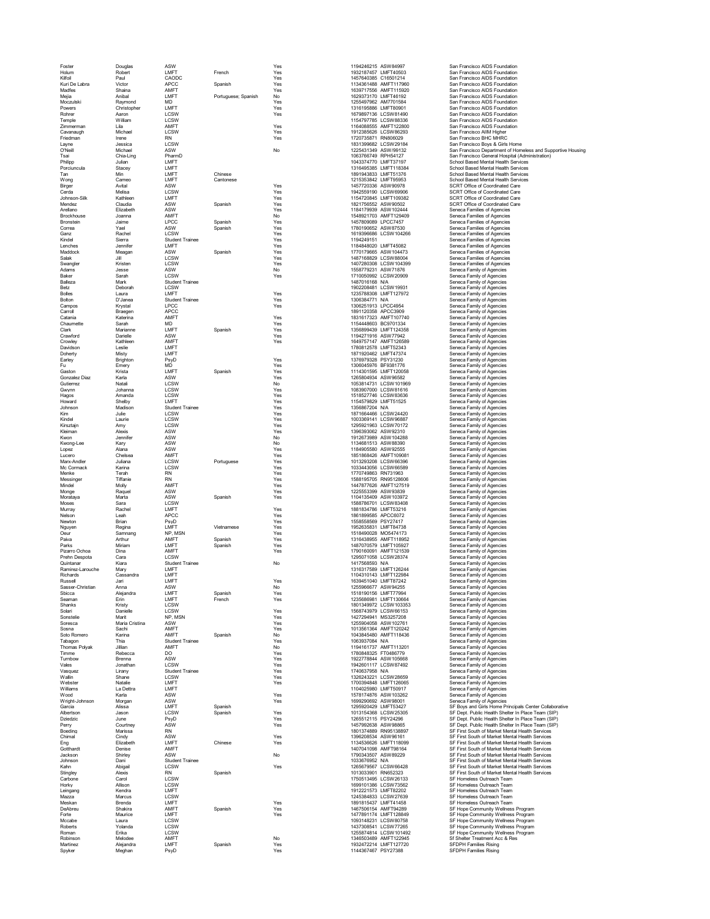| Foster<br>Holum               | Douglas<br>Robert      | ASW<br>LMFT                    | French              | Yes<br>Yes | 1194246215 ASW84997<br>1932187457 LMFT40503    |                       | San Francisco AIDS Foundation<br>San Francisco AIDS Foundation                                        |
|-------------------------------|------------------------|--------------------------------|---------------------|------------|------------------------------------------------|-----------------------|-------------------------------------------------------------------------------------------------------|
| Kilfoil                       | Paul                   | CAODC                          |                     | Yes        | 1457640385 C16501214                           |                       | San Francisco AIDS Foundation                                                                         |
| Kuri De Labra                 | Victor                 | <b>APCC</b>                    | Spanish             | Yes        | 1134361488 AMFT117960                          |                       | San Francisco AIDS Foundation                                                                         |
| Madfes                        | Shaina                 | AMFT                           |                     | Yes        | 1639717556 AMFT115920                          |                       | San Francisco AIDS Foundation                                                                         |
| Meija                         | Anibal                 | LMFT                           | Portuguese; Spanish | No         | 1629373170 LMFT46192                           |                       | San Francisco AIDS Foundation                                                                         |
| Moczulski<br>Powers           | Raymond<br>Christopher | <b>MD</b><br>LMFT              |                     | Yes<br>Yes | 1255497962 AM7701584<br>1316195886 LMFT80901   |                       | San Francisco AIDS Foundation<br>San Francisco AIDS Foundation                                        |
| Rohrer                        | Aaron                  | LCSW                           |                     | Yes        | 1679897136 LCSW81490                           |                       | San Francisco AIDS Foundation                                                                         |
| Temple                        | William                | LCSW                           |                     |            | 1154797785 LCSW88336                           |                       | San Francisco AIDS Foundation                                                                         |
| Zimmerman                     | l ila                  | AMFT                           |                     | Yes        | 1164088555 AMFT122800                          |                       | San Francisco AIDS Foundation                                                                         |
| Cavanaugh                     | Michael                | LCSW                           |                     | Yes        | 1912385626 LCSW86293                           |                       | San Francisco AllM Higher                                                                             |
| Friedman                      | Irene                  | <b>RN</b>                      |                     | Yes        | 1720735871 RN806029                            |                       | San Francisco BHC MHRC                                                                                |
| Lavne<br>O'Neill              | Jessica<br>Michael     | LCSW<br>ASW                    |                     | No         | 1831399682 LCSW29184<br>1225431349 ASW/99132   |                       | San Francisco Boys & Girls Home<br>San Francisco Department of Homeless and Supportive Housing        |
| Tsai                          | Chia-Ling              | PharmD                         |                     |            | 1063766749 RPH54127                            |                       | San Francisco General Hospital (Administration)                                                       |
| Philipp                       | Julian                 | LMFT                           |                     |            | 1043374770 LMFT37197                           |                       | School Based Mental Health Services                                                                   |
| Porciuncula                   | Stacey                 | LMFT                           |                     |            | 1316495385 LMFT118384                          |                       | School Based Mental Health Services                                                                   |
| Tan                           | Min                    | LMFT                           | Chinese             |            | 1891943833 LMFT51376                           |                       | School Based Mental Health Services                                                                   |
| Wong                          | Cameo<br>Avital        | <b>I MFT</b><br>ASW            | Cantonese           | Yes        | 1215353842 LMFT95953<br>1457720336 ASW90978    |                       | School Based Mental Health Services<br>SCRT Office of Coordinated Care                                |
| Birger<br>Cerda               | Melisa                 | <b>LCSW</b>                    |                     | Yes        | 1942559190 LCSW69906                           |                       | SCRT Office of Coordinated Care                                                                       |
| Johnson-Silk                  | Kathleen               | LMFT                           |                     | Yes        | 1154720845 LMFT109382                          |                       | SCRT Office of Coordinated Care                                                                       |
| Mendez                        | Claudia                | ASW                            | Spanish             | Yes        | 1821756552 ASW90502                            |                       | SCRT Office of Coordinated Care                                                                       |
| Arellano                      | Elizabeth              | ASW                            |                     | Yes        | 1184179939 ASW102444                           |                       | Seneca Families of Agencies                                                                           |
| Brockhouse                    | Joanna                 | AMFT                           |                     | No         | 1548921703 AMFT129409                          |                       | Seneca Families of Agencies                                                                           |
| <b>Bronstein</b><br>Correa    | Jaime<br>Yael          | <b>LPCC</b><br>ASW             | Spanish             | Yes<br>Yes | 1457809089 LPCC7457                            |                       | Seneca Families of Agencies                                                                           |
| Ganz                          | Rachel                 | <b>LCSW</b>                    | Spanish             | Yes        | 1780190652 ASW87530<br>1619396686 LCSW104266   |                       | Seneca Families of Agencies<br>Seneca Families of Agencies                                            |
| Kindel                        | Sierra                 | <b>Student Trainee</b>         |                     | Yes        | 1194249151                                     |                       | Seneca Families of Agencies                                                                           |
| Lenches                       | Jennifer               | LMFT                           |                     | Yes        | 1184848020 LMFT45082                           |                       | Seneca Families of Agencies                                                                           |
| Maddock                       | Meagan                 | ASW                            | Spanish             | Yes        | 1770179665 ASW104473                           |                       | Seneca Families of Agencies                                                                           |
| Salak                         | Jill                   | LCSW                           |                     | Yes        | 1487168829 LCSW88004                           |                       | Seneca Families of Agencies                                                                           |
| Swangler                      | Kristen                | LCSW                           |                     | Yes        | 1407280308 LCSW104399                          |                       | Seneca Families of Agencies                                                                           |
| Adams<br>Baker                | Jesse<br>Sarah         | ASW<br><b>LCSW</b>             |                     | No<br>Yes  | 1558779231 ASW71876<br>1710050992 LCSW20909    |                       | Seneca Family of Agencies<br>Seneca Family of Agencies                                                |
| Balleza                       | Mark                   | <b>Student Trainee</b>         |                     |            | 1487016168 N/A                                 |                       | Seneca Family of Agencies                                                                             |
| Betz                          | Deborah                | LCSW                           |                     |            | 1902208481 LCSW19931                           |                       | Seneca Family of Agencies                                                                             |
| <b>Bolles</b>                 | Laura                  | LMFT                           |                     | Yes        | 1235788308 LMFT127972                          |                       | Seneca Family of Agencies                                                                             |
| Bolton                        | D'Janea                | <b>Student Trainee</b>         |                     | Yes        | 1306384771 N/A                                 |                       | Seneca Family of Agencies                                                                             |
| Campos                        | Krystal                | <b>LPCC</b>                    |                     | Yes        | 1306251913 LPCC4954<br>1891120358 APCC3909     |                       | Seneca Family of Agencies                                                                             |
| Carroll<br>Catania            | Braegen<br>Katerina    | APCC<br>AMFT                   |                     | Yes        | 1831617323 AMFT107740                          |                       | Seneca Family of Agencies<br>Seneca Family of Agencies                                                |
| Chaumette                     | Sarah                  | <b>MD</b>                      |                     | Yes        | 1154448603 BC9701334                           |                       | Seneca Family of Agencies                                                                             |
| Clark                         | Marianne               | LMFT                           | Spanish             | Yes        | 1356899439 LMFT124358                          |                       | Seneca Family of Agencies                                                                             |
| Crawford                      | Darielle               | ASW                            |                     | Yes        | 1194271916 ASW77942                            |                       | Seneca Family of Agencies                                                                             |
| Crowley                       | Kathleen               | AMFT                           |                     | Yes        | 1649757147 AMFT126589                          |                       | Seneca Family of Agencies                                                                             |
| Davidson<br>Doherty           | Leslie<br>Misty        | LMFT<br>LMFT                   |                     |            | 1780812578 LMFT52343<br>1871920462 LMFT47374   |                       | Seneca Family of Agencies<br>Seneca Family of Agencies                                                |
| Earley                        | Brighton               | PsyD                           |                     | Yes        | 1376979328 PSY31230                            |                       | Seneca Family of Agencies                                                                             |
| Fu                            | Emerv                  | MD                             |                     | Yes        | 1306045976 BF9381776                           |                       | Seneca Family of Agencies                                                                             |
| Gaston                        | Krista                 | LMFT                           | Spanish             | Yes        | 1114301595 LMFT120058                          |                       | Seneca Family of Agencies                                                                             |
| Gonzalez Diaz                 | Karla                  | ASW                            |                     | Yes        | 1265804934 ASW96582                            |                       | Seneca Family of Agencies                                                                             |
| Gutierrez                     | Natali                 | LCSW                           |                     | No         | 1053814731 LCSW101969                          |                       | Seneca Family of Agencies                                                                             |
| Gwynn                         | Johanna<br>Amanda      | LCSW<br>LCSW                   |                     | Yes        | 1083907000 LCSW81616<br>1518527746 LCSW83636   |                       | Seneca Family of Agencies                                                                             |
| Hagos<br>Howard               | Shelby                 | LMFT                           |                     | Yes<br>Yes | 1154579829 LMFT51525                           |                       | Seneca Family of Agencies<br>Seneca Family of Agencies                                                |
| Johnson                       | Madison                | <b>Student Trainee</b>         |                     | Yes        | 1356867204 N/A                                 |                       | Seneca Family of Agencies                                                                             |
| Kim                           | Julie                  | LCSW                           |                     | Yes        | 1871664466 LCSW24420                           |                       | Seneca Family of Agencies                                                                             |
| Kindel                        | Laurie                 | LCSW                           |                     | Yes        | 1003369141 LCSW96887                           |                       | Seneca Family of Agencies                                                                             |
| Kirsztajn                     | Amy                    | LCSW                           |                     | Yes        | 1295921963 LCSW70172                           |                       | Seneca Family of Agencies                                                                             |
| Kleiman                       | Alexis                 | ASW                            |                     | Yes        | 1396393062 ASW92310                            |                       | Seneca Family of Agencies                                                                             |
| Kwon<br>Kwong-Lee             | Jennifer<br>Karv       | ASW<br>ASW                     |                     | No<br>No   | 1912673989 ASW104288<br>1134681513 ASW88390    |                       | Seneca Family of Agencies<br>Seneca Family of Agencies                                                |
| Lopez                         | Alana                  | ASW                            |                     | Yes        | 1184905580 ASW92555                            |                       | Seneca Family of Agencies                                                                             |
| Lucero                        | Chelsea                | AMFT                           |                     | Yes        | 1851868426 AMFT109081                          |                       | Seneca Family of Agencies                                                                             |
| Marx-Andler                   | Juliana                | LCSW                           | Portuguese          | Yes        | 1013293208 LCSW66396                           |                       | Seneca Family of Agencies                                                                             |
| Mc Cormack                    | Karina                 | LCSW                           |                     | Yes        | 1033443056 LCSW66589                           |                       | Seneca Family of Agencies                                                                             |
| Menke                         | Terah                  | <b>RN</b><br><b>RN</b>         |                     | Yes        | 1770749863 RN731963                            |                       | Seneca Family of Agencies                                                                             |
| Messinger<br>Mindel           | Tiffanie<br>Molly      | AMFT                           |                     | Yes<br>Yes | 1588195705 RN95128606<br>1447877626 AMFT127519 |                       | Seneca Family of Agencies<br>Seneca Family of Agencies                                                |
| Monge                         | Raguel                 | ASW                            |                     | Yes        | 1225553399 ASW93839                            |                       | Seneca Family of Agencies                                                                             |
| Morataya                      | Marta                  | ASW                            | Spanish             | Yes        | 1104135409 ASW103972                           |                       | Seneca Family of Agencies                                                                             |
| Moses                         | Sara                   | LCSW                           |                     |            | 1588786701 LCSW83408                           |                       | Seneca Family of Agencies                                                                             |
| Murray                        | Rachel                 | LMFT                           |                     | Yes        | 1881834786 LMFT53216                           |                       | Seneca Family of Agencies                                                                             |
| Nelson                        | Leah                   | APCC                           |                     | Yes        | 1861899585 APCC6072<br>1558558569 PSY27417     |                       | Seneca Family of Agencies                                                                             |
| Newton<br>Nguyen              | Brian<br>Regina        | PsyD<br>LMFT                   | Vietnamese          | Yes<br>Yes | 1952635831 LMFT84738                           |                       | Seneca Family of Agencies<br>Seneca Family of Agencies                                                |
| Oeur                          | Samnang                | NP, MSN                        |                     | Yes        | 1518490028 MO5474173                           |                       | Seneca Family of Agencies                                                                             |
| Paiva                         | Arthur                 | AMFT                           | Spanish             | Yes        | 1316438955 AMFT118952                          |                       | Seneca Family of Agencies                                                                             |
| Parks                         | Miriam                 | LMFT                           | Spanish             | Yes        | 1487070579 LMFT105927                          |                       | Seneca Family of Agencies                                                                             |
| Pizarro Ochoa                 | Dina                   | AMFT                           |                     | Yes        | 1790160091 AMFT121539                          |                       | Seneca Family of Agencies                                                                             |
| Prehn Despota                 | Cara                   | LCSW                           |                     |            | 1295071058 LCSW28374                           |                       | Seneca Family of Agencies                                                                             |
| Quintanar<br>Ramirez-Larouche | Kiara<br>Mary          | <b>Student Trainee</b><br>LMFT |                     | No         | 1417568593 N/A<br>1316317589 LMFT126244        |                       | Seneca Family of Agencies<br>Seneca Family of Agencies                                                |
| Richards                      | Cassandra              | LMFT                           |                     |            | 1104310143 LMFT122984                          |                       | Seneca Family of Agencies                                                                             |
| Russell                       | Jari                   | LMF <sub>1</sub>               |                     | Yes        | 1639451040   MFT87242                          |                       | Seneca Family of Agencies                                                                             |
| Sasser-Christian              | Anna                   | ASW                            |                     | No         | 1255966677 ASW94255                            |                       | Seneca Family of Agencies                                                                             |
| Sbicca                        | Alejandra              | LMFT                           | Spanish             | Yes        | 1518190156 LMFT77994                           |                       | Seneca Family of Agencies                                                                             |
| Seaman<br>Shanks              | Erin<br>Kristy         | LMFT<br>LCSW                   | French              | Yes        | 1235686981 LMFT130664                          | 1801349972 LCSW103353 | Seneca Family of Agencies<br>Seneca Family of Agencies                                                |
| Solari                        | Danielle               | LCSW                           |                     | Yes        | 1568743979 LCSW66153                           |                       | Seneca Family of Agencies                                                                             |
| Sonstelie                     | Marit                  | NP, MSN                        |                     | Yes        | 1427294941 MS3257208                           |                       | Seneca Family of Agencies                                                                             |
| Soresca                       | Maria Cristina         | ASW                            |                     | Yes        | 1255904058 ASW102761                           |                       | Seneca Family of Agencies                                                                             |
| Sosna                         | Sachi                  | AMFT                           |                     | Yes        | 1013561364 AMFT120242                          |                       | Seneca Family of Agencies                                                                             |
| Soto Romero                   | Karina                 | AMFT                           | Spanish             | No         | 1043845480 AMFT118436                          |                       | Seneca Family of Agencies                                                                             |
| Tabagon<br>Thomas Polyak      | Thia<br>Jillian        | <b>Student Trainee</b><br>AMFT |                     | Yes<br>No  | 1063937084 N/A<br>1194161737 AMFT113201        |                       | Seneca Family of Agencies<br>Seneca Family of Agencies                                                |
| Timme                         | Rebecca                | DO                             |                     | Yes        | 1780848325 FT0486779                           |                       | Seneca Family of Agencies                                                                             |
| Turnbow                       | Brenna                 | ASW                            |                     | Yes        | 1922778844 ASW105668                           |                       | Seneca Family of Agencies                                                                             |
| Vales                         | Jonathan               | LCSW                           |                     | Yes        | 1942601117 LCSW87492                           |                       | Seneca Family of Agencies                                                                             |
| Vasquez                       | Lirany                 | <b>Student Trainee</b>         |                     | Yes        | 1740637958 N/A                                 |                       | Seneca Family of Agencies                                                                             |
| Wallin                        | Shane                  | LCSW<br><b>I MFT</b>           |                     | Yes        | 1326243221 LCSW28659                           |                       | Seneca Family of Agencies                                                                             |
| Webster<br>Williams           | Natalie<br>La Dettra   | LMFT                           |                     | Yes        | 1700394848 LMFT126065<br>1104025980 LMFT50917  |                       | Seneca Family of Agencies<br>Seneca Family of Agencies                                                |
| Wood                          | Karla                  | ASW                            |                     | Yes        | 1578174876 ASW103262                           |                       | Seneca Family of Agencies                                                                             |
| Wright-Johnson                | Morgan                 | ASW                            |                     | Yes        | 1699290692 ASW98001                            |                       | Seneca Family of Agencies                                                                             |
| Garcia                        | Alissa                 | LMFT                           | Spanish             |            | 1295920429 LMFT53427                           |                       | SF Bovs and Girls Home Principals Center Collaborative                                                |
| Albertson                     | Jason                  | LCSW                           | Spanish             | Yes        | 1013154368 LCSW25305                           |                       | SF Dept. Public Health Shelter In Place Team (SIP)                                                    |
| Dziedzic                      | June                   | PsyD                           |                     | Yes        | 1265512115 PSY24296                            |                       | SF Dept. Public Health Shelter In Place Team (SIP)                                                    |
| Perry<br>Boeding              | Courtney<br>Marissa    | ASW<br><b>RN</b>               |                     | Yes        | 1457992638 ASW98865<br>1801374889 RN95138897   |                       | SF Dept. Public Health Shelter In Place Team (SIP)<br>SF First South of Market Mental Health Services |
| Chimal                        | Cindy                  | ASW                            |                     | Yes        | 1396208534 ASW96161                            |                       | SF First South of Market Mental Health Services                                                       |
| Eng                           | Elizabeth              | LMFT                           | Chinese             | Yes        | 1134536626 LMFT118099                          |                       | SF First South of Market Mental Health Services                                                       |
| Gotthardt                     | Denise                 | AMFT                           |                     |            | 1407041098 AMFT98164                           |                       | SF First South of Market Mental Health Services                                                       |
| Jackson                       | Shirley                | ASW                            |                     | No         | 1790343507 ASW89229                            |                       | SF First South of Market Mental Health Services                                                       |
| Johnson                       | Dani                   | <b>Student Trainee</b>         |                     |            | 1033676952 N/A                                 |                       | SF First South of Market Mental Health Services                                                       |
| Kahn<br>Stingley              | Abigail<br>Alexis      | LCSW<br><b>RN</b>              | Spanish             | Yes        | 1265679567 LCSW66428<br>1013033901 RN652323    |                       | SF First South of Market Mental Health Services<br>SF First South of Market Mental Health Services    |
| Carbone                       | Carol                  | LCSW                           |                     |            | 1750513495 LCSW26133                           |                       | SF Homeless Outreach Team                                                                             |
| Horky                         | Allison                | LCSW                           |                     |            | 1699101386 LCSW73562                           |                       | SF Homeless Outreach Team                                                                             |
| Leingang                      | Kendra                 | <b>I MFT</b>                   |                     |            | 1912221573 LMFT82202                           |                       | SF Homeless Outreach Team                                                                             |
| Mazza                         | Marcus                 | LCSW                           |                     |            | 1245384833 LCSW27639                           |                       | SF Homeless Outreach Team                                                                             |
| Meskan                        | Brenda                 | LMFT                           |                     | Yes        | 1891815437 LMFT41458                           |                       | SF Homeless Outreach Team                                                                             |
| DeAbreu<br>Forte              | Shakira<br>Maurice     | AMFT<br>LMFT                   | Spanish             | Yes<br>Yes | 1467506154 AMFT94289<br>1477891174 LMFT128849  |                       | SF Hope Community Wellness Program<br>SF Hope Community Wellness Program                              |
| Mccabe                        | Laura                  | LCSW                           |                     |            | 1093148231 LCSW80758                           |                       | SF Hope Community Wellness Program                                                                    |
| Roberts                       | Yolanda                | LCSW                           |                     |            | 1437308541 LCSW77265                           |                       | SF Hope Community Wellness Program                                                                    |
| Roman                         | Erika                  | <b>LCSW</b>                    |                     |            |                                                | 1255874814 LCSW101492 | SF Hope Community Wellness Program                                                                    |
| Robinson                      | Melodee                | AMFT                           |                     | No         | 1346503489 AMFT122945                          |                       | Sf Shelter Treatment Acc & Res                                                                        |
| Martinez<br>Spyker            | Aleiandra<br>Meghan    | LMFT<br>PsyD                   | Spanish             | Yes<br>Yes | 1932472214 LMFT127720<br>1144367467 PSY27388   |                       | SFDPH Families Rising<br>SFDPH Families Rising                                                        |
|                               |                        |                                |                     |            |                                                |                       |                                                                                                       |

| 1194246215                         | ASW84997                                                   |
|------------------------------------|------------------------------------------------------------|
| 1932187457                         | LMFT40503<br>C16501214<br>Ó                                |
| 1457640385<br>1134361488           |                                                            |
|                                    | AMFT117960<br>AMFT115920                                   |
| 1639717556<br>1629373170           | LMFT46192                                                  |
| 1255497962                         | AM7701584                                                  |
| 1316195886                         | LMFT80901                                                  |
| 1679897136                         | L<br>CSW81490                                              |
| 1154797785                         | CSW88336                                                   |
| 1164088555                         | AMFT122800                                                 |
| 1912385626                         | CSW8629<br>L)<br>3                                         |
| 1720735871                         | RN806029                                                   |
| 1831399682<br>1225<br>431349       | LCSW29184<br>ASW/99132                                     |
| 1063766749                         | RPH54127                                                   |
| 1043374770                         | LMFT37197                                                  |
| 1316495385                         | ı                                                          |
| 1891943833                         | MFT118384<br>MFT51376<br>L                                 |
| 1215353842                         | LMFT95953                                                  |
| 1457720336                         | ASW90978                                                   |
| 1942559190                         | CSW69906<br>ı                                              |
| 1154720845                         | LMFT109382                                                 |
| 1821756552                         | ASW90502                                                   |
| 1184179939                         | ASW102444                                                  |
| 1548921703<br>1457809089           | AMFT129409<br>LPCC7457                                     |
| 1780190652                         | ASW87530                                                   |
| 1619396686                         | LCSW104266                                                 |
| 1194249151                         |                                                            |
| 1184848020                         | LMFT45082                                                  |
| 1770179665                         | ASW104473                                                  |
| 1487168829                         | CSW88004<br>Ĺ                                              |
| 1407280308                         | L<br>CSW104399                                             |
| 1558779231                         | ASW71876<br>LCSW20909                                      |
| 1710050992<br>1487016168           | N/A                                                        |
| 1902208481                         | LCSW19931                                                  |
| 1235788308                         | MFT127972<br>Ī                                             |
| 1306384771                         | N/A                                                        |
| 1306251913                         | LPCC4954                                                   |
| 1891120358                         | APCC3909                                                   |
| 1831617323                         | AMFT107740<br>BC9701334                                    |
| 1154448603                         |                                                            |
| 1356899439                         | LMFT124358                                                 |
| 1194271916                         | ASW77942                                                   |
| 1649757147<br>1780812578           | AMFT126589<br>LMFT52343                                    |
| 1871920462                         | LMFT47374                                                  |
| 1376979328                         | PSY31230                                                   |
| 1306045976                         | BF9381776                                                  |
| 1114301595                         | LMFT120058                                                 |
| 1265804934                         | ASW96582                                                   |
| 1053814731                         | LCSW101969                                                 |
| 1083907000                         | LCSW81616                                                  |
| 1518527746                         | LCSW83636                                                  |
| 1154579829                         | LMFT51525                                                  |
| 1356867204<br>1871664466           | N/A<br>CSW24420<br>ı                                       |
| 1003369141                         | LCSW96887                                                  |
| 1295921963                         | LCSW70172                                                  |
| 1396393062                         | ASW92310                                                   |
| 1912673989                         | ASW104288                                                  |
| 1134681513                         | ASW88390                                                   |
| 1184905580                         | ASW92555                                                   |
| 1851868426                         | AMFT109081                                                 |
|                                    |                                                            |
| 1013293208                         | LCSW66396                                                  |
| 1033443056                         |                                                            |
| 1770749863                         | LCSW66589<br>RN731963                                      |
| 1588195705                         | RN95128606                                                 |
| 1447877626                         | AMFT127519                                                 |
| 1225553399<br>1104135409           | ASW93839<br>ASW103972                                      |
| 1588786701                         | LCSW83408                                                  |
| 1881834786                         |                                                            |
| 1861899585                         | LMFT53216<br>APCC6072                                      |
| 1558558569                         | PSY27417                                                   |
| 1952635831                         | .<br>LMFT84738                                             |
| 1518490028                         |                                                            |
| 1316438955                         |                                                            |
| 1487070579                         | LM 191199<br>MO5474173<br>AMFT118952<br>LMFT105927         |
| 1790160091<br>1295071058           | AMFT121539<br>LCSW28374                                    |
| 1417568593                         | N/A                                                        |
| 1316317589                         | LMFT126244                                                 |
| 1104310143                         | LMFT122984                                                 |
| 89                                 | ٤<br>7                                                     |
| 1255966677                         | ASW94255                                                   |
| 1518190156                         |                                                            |
| 1235686981<br>1801349972           | <br>LMFT77994<br>LMFT130664<br>SW103353<br>Ĺ<br>$\epsilon$ |
| 1568743979                         | LCSW66153                                                  |
| 1427294941                         | MS3257208                                                  |
| 1255904058                         | ASW102761                                                  |
| 1013561364                         | AMFT120242                                                 |
| 1043845480                         | AMFT118436                                                 |
| 1063937084                         | N/A                                                        |
| 1194161737                         | AMFT113201                                                 |
| 1780848325                         | FT0486779<br>ASW105668                                     |
| 1922778844<br>1942601117           | LCSW87492                                                  |
| 1740637958                         | N/A                                                        |
| 1326243221                         | LCSW28659                                                  |
| 1700394848                         | LMFT126065                                                 |
| 1104025980                         | LMFT50917                                                  |
| 1578174876                         | ASW103262                                                  |
| 1699290692                         | ASW98001<br>I MFT53427                                     |
| 1295920429                         |                                                            |
| 1013154368                         | LCSW25305                                                  |
| 1265512115<br>1457992638           | PSY24296<br>ASW98865                                       |
| 1801374889                         | RN95138897                                                 |
| 1396208534                         | ASW96161                                                   |
| 1134536626                         |                                                            |
| 407041098<br>1                     | AU<br>LMFT118099<br>AMFT98164                              |
| 1790343507                         | ASW89229                                                   |
| 1033676952                         | N/A                                                        |
| 1265679567                         | CSW66428<br>ı                                              |
| 1013033901                         | RN652323                                                   |
| 1750513495                         | LCSW26133<br>Ī                                             |
| 1699101386<br>1912221573           | CSW73562<br>LMFT82202                                      |
| 1245384833                         | ť<br>CSW27639<br>l                                         |
| 1891815437                         | LMFT41458                                                  |
| 1467506154                         | AMFT94289                                                  |
| 7891174<br>147                     | T128849<br>Ĺ<br>.MF                                        |
| 1093148231                         | LCSW80758                                                  |
| 1437308541                         | CSW77265<br>Ī                                              |
| 1255874814<br>1                    | LCSW101492                                                 |
| 346503489<br>1932472214<br>4420740 | AMFT122945<br>LMFT127720<br>8022200                        |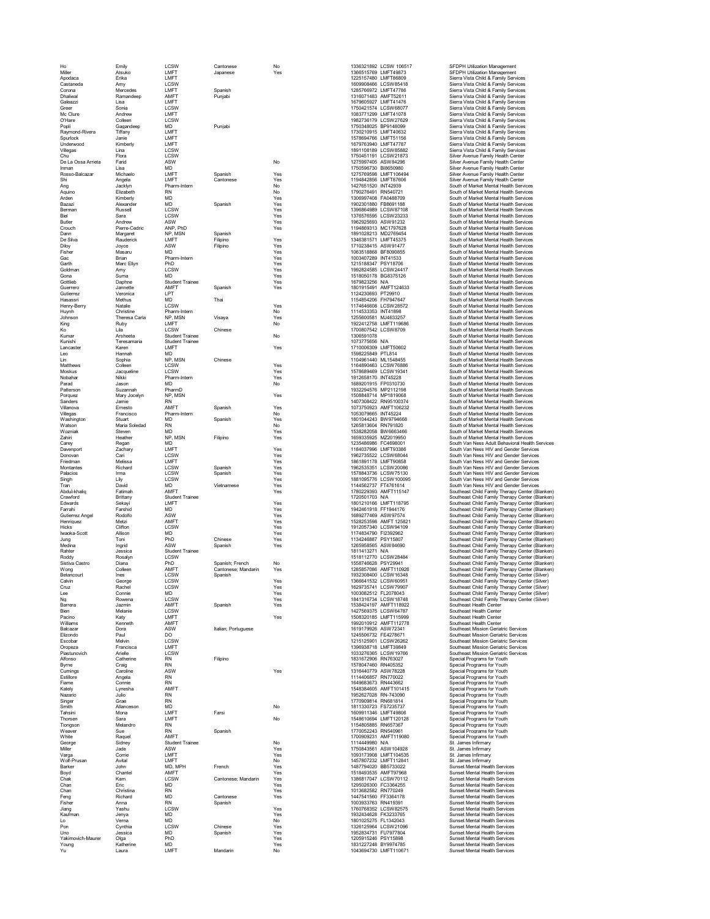| Ho                    | Emily                      | <b>I CSW</b>                  | Cantonese           | No         | 1336321892 LCSW 106517                        | SFDPH Utilization Management                                                                     |
|-----------------------|----------------------------|-------------------------------|---------------------|------------|-----------------------------------------------|--------------------------------------------------------------------------------------------------|
| Miller<br>Anodaca     | Atsuko<br>Erika            | LMFT<br>LMFT                  | Japanese            | Yes        | 1366515769 LMFT49873<br>1225157480 LMFT86809  | SFDPH Utilization Management<br>Sierra Vista Child & Family Services                             |
| Castaneda             | Amy                        | LCSW                          |                     |            | 1609908466 LCSW85418                          | Sierra Vista Child & Family Services                                                             |
| Corona                | Mercedes                   | LMFT                          | Spanish             |            | 1285766972 LMFT47786                          | Sierra Vista Child & Family Services                                                             |
| Dhaliwal              | Ramandeep                  | AMFT                          | Puniabi             |            | 1316071483 AMFT52611                          | Sierra Vista Child & Family Services                                                             |
| Galeazzi<br>Green     | Lisa                       | LMFT<br><b>I CSW</b>          |                     |            | 1679605927 LMFT41476                          | Sierra Vista Child & Family Services                                                             |
| Mc Clure              | Sonia<br>Andrew            | LMFT                          |                     |            | 1750421574 LCSW68077<br>1083771299 LMFT41078  | Sierra Vista Child & Family Services<br>Sierra Vista Child & Family Services                     |
| O'Hare                | Colleen                    | <b>LCSW</b>                   |                     |            | 1982736179 LCSW27629                          | Sierra Vista Child & Family Services                                                             |
| Popli                 | Gagandeep                  | <b>MD</b>                     | Punjabi             |            | 1750348025 BP9148099                          | Sierra Vista Child & Family Services                                                             |
| Raymond-Rivera        | Tiffany                    | LMFT                          |                     |            | 1730210915   MFT40632                         | Sierra Vista Child & Family Services                                                             |
| Spurlock              | Janie                      | LMFT                          |                     |            | 1578694766 LMFT51156                          | Sierra Vista Child & Family Services                                                             |
| Underwood             | Kimberly                   | LMFT<br><b>I CSW</b>          |                     |            | 1679763940 LMFT47787                          | Sierra Vista Child & Family Services                                                             |
| Villegas<br>Chu       | Lina<br>Flora              | LCSW                          |                     |            | 1891108189 LCSW85882<br>1750451191 LCSW21873  | Sierra Vista Child & Family Services<br>Silver Avenue Family Health Center                       |
| De La Ossa Arrieta    | Farid                      | ASW                           |                     | No         | 1275997405 ASW84296                           | Silver Avenue Family Health Center                                                               |
| Inman                 | Lisa                       | <b>MD</b>                     |                     |            | 1750596730 BI8650980                          | Silver Avenue Family Health Center                                                               |
| Rosso-Balcazar        | Michaelo                   | LMFT                          | Spanish             | Yes        | 1275769598 LMFT106494                         | Silver Avenue Family Health Center                                                               |
| Shi                   | Angela                     | LMFT                          | Cantonese           | Yes        | 1194842856 LMFT87606                          | Silver Avenue Family Health Center                                                               |
| Ang                   | Jacklyn                    | Pharm-Intern                  |                     | No         | 1427651520 INT42939                           | South of Market Mental Health Services                                                           |
| Aquino                | Elizabeth                  | <b>RN</b>                     |                     | No         | 1790276491 RN540721                           | South of Market Mental Health Services                                                           |
| Arden                 | Kimberly                   | MD                            |                     | Yes        | 1306997408 FA0488709                          | South of Market Mental Health Services                                                           |
| Bazazi                | Alexander                  | <b>MD</b>                     | Spanish             | Yes        | 1902301880 FB8691188                          | South of Market Mental Health Services                                                           |
| Berman<br><b>Biel</b> | Russell<br>Sara            | LCSW<br><b>I CSW</b>          |                     | Yes<br>Yes | 1396864989 LCSW87108<br>1376576595 LCSW23233  | South of Market Mental Health Services<br>South of Market Mental Health Services                 |
| Butler                | Andrew                     | ASW                           |                     | Yes        | 1962925693 ASW91232                           | South of Market Mental Health Services                                                           |
| Crouch                | Pierre-Cedric              | ANP, PhD                      |                     | Yes        | 1194869313 MC1797628                          | South of Market Mental Health Services                                                           |
| Dann                  | Margaret                   | NP, MSN                       | Spanish             |            | 1891028213 MD2769454                          | South of Market Mental Health Services                                                           |
| De Silva              | Rauderick                  | LMFT                          | Filipino            | Yes        | 1346381571 LMFT45375                          | South of Market Mental Health Services                                                           |
| Diloy                 | Joyce                      | ASW                           | Filipino            | Yes        | 1710238415 ASW91477                           | South of Market Mental Health Services                                                           |
| Fisher                | Masaru                     | MD                            |                     | Yes        | 1063518868 BF8090855                          | South of Market Mental Health Services                                                           |
| Gac<br>Garth          | Brian<br>Marc Ellyn        | Pharm-Intern<br>PhD           |                     | Yes<br>Yes | 1003407289 INT41533<br>1215188347 PSY18706    | South of Market Mental Health Services<br>South of Market Mental Health Services                 |
| Goldman               | Amy                        | <b>I CSW</b>                  |                     | Yes        | 1992824585 LCSW24417                          | South of Market Mental Health Services                                                           |
| Gona                  | Suma                       | MD                            |                     | Yes        | 1518050178 BG8375126                          | South of Market Mental Health Services                                                           |
| Gottlieb              | Daphne                     | <b>Student Trainee</b>        |                     | Yes        | 1679823256 N/A                                | South of Market Mental Health Services                                                           |
| Guerrero              | Jannette                   | AMFT                          | Spanish             | Yes        | 1801915491 AMFT124633                         | South of Market Mental Health Services                                                           |
| Gutierrez             | Veronica                   | I PT                          |                     |            | 1124230693 PT29910                            | South of Market Mental Health Services                                                           |
| Hasassri              | Methus                     | <b>MD</b>                     | Thai                |            | 1154854206 FH7947647                          | South of Market Mental Health Services                                                           |
| Henry-Berry           | Natalie                    | LCSW                          |                     | Yes        | 1174646608 LCSW28572                          | South of Market Mental Health Services                                                           |
| Huynh<br>Johnson      | Christine<br>Theresa Carla | Pharm-Intern<br>NP. MSN       | Visava              | No<br>Yes  | 1114533353 INT41898<br>1255600581 MJ4633257   | South of Market Mental Health Services<br>South of Market Mental Health Services                 |
| King                  | Ruby                       | LMFT                          |                     | No         | 1922412758 LMFT119686                         | South of Market Mental Health Services                                                           |
| Ko                    | Lila                       | LCSW                          | Chinese             |            | 1700807542 LCSW8709                           | South of Market Mental Health Services                                                           |
| Kumar                 | Arsheeta                   | <b>Student Trainee</b>        |                     | No         | 1306591078                                    | South of Market Mental Health Services                                                           |
| Kunishi               | Teresamaria                | Student Trainee               |                     |            | 1073775656 N/A                                | South of Market Mental Health Services                                                           |
| Lancaster             | Karen                      | LMFT                          |                     | Yes        | 1710006309 LMFT50602                          | South of Market Mental Health Services                                                           |
| Leo                   | Hannah                     | <b>MD</b>                     |                     |            | 1598225849 PTL814                             | South of Market Mental Health Services                                                           |
| Lin                   | Sophia                     | NP, MSN                       | Chinese             |            | 1104961440 ML1548455                          | South of Market Mental Health Services                                                           |
| Matthews<br>Moskus    | Colleen<br>Jacqueline      | <b>I CSW</b><br>LCSW          |                     | Yes<br>Yes | 1164890463   CSW76886<br>1578689469 LCSW19341 | South of Market Mental Health Services<br>South of Market Mental Health Services                 |
| Nobahar               | Nikki                      | Pharm-Intern                  |                     | Yes        | 1912658170 INT45228                           | South of Market Mental Health Services                                                           |
| Parad                 | Jason                      | MD                            |                     | No         | 1689201915 FP0310730                          | South of Market Mental Health Services                                                           |
| Patterson             | Suzannah                   | PharmD                        |                     |            | 1932294576 MP2112198                          | South of Market Mental Health Services                                                           |
| Porquez               | Mary Jocelyn               | NP, MSN                       |                     | Yes        | 1508848714 MP1819068                          | South of Market Mental Health Services                                                           |
| Sanders               | Jamie                      | <b>RN</b>                     |                     |            | 1407308422 RN95100374                         | South of Market Mental Health Services                                                           |
| Villanova             | Ernesto                    | AMFT                          | Spanish             | Yes        | 1073750923 AMFT106232                         | South of Market Mental Health Services                                                           |
| Villegas              | Francisco                  | Pharm-Intern                  |                     | No         | 1053079665 INT45224                           | South of Market Mental Health Services                                                           |
| Washington            | Stuart                     | <b>MD</b>                     | Spanish             | Yes        | 1801044243 BW9794668                          | South of Market Mental Health Services                                                           |
| Watson                | Maria Soledad              | <b>RN</b>                     |                     | No         | 1265813604 RN791820                           | South of Market Mental Health Services                                                           |
| Wozniak<br>Zahiri     | Steven<br>Heather          | MD<br>NP, MSN                 | Filipino            | Yes<br>Yes | 1538282058 BW6663466<br>1659335925 MZ2019950  | South of Market Mental Health Services<br>South of Market Mental Health Services                 |
| Carev                 | Regan                      | MD                            |                     |            | 1235486986 FC4698001                          | South Van Ness Adult Behavioral Health Services                                                  |
| Davenport             | Zachary                    | I MFT                         |                     | Yes        | 1184037996 LMFT93386                          | South Van Ness HIV and Gender Services                                                           |
| Donovan               | Cari                       | LCSW                          |                     | Yes        | 1962735522 LCSW68044                          | South Van Ness HIV and Gender Services                                                           |
| Friedman              | Melissa                    | I MFT                         |                     | Yes        | 1861891178 LMFT90858                          | South Van Ness HIV and Gender Services                                                           |
| Montantes             | Richard                    | LCSW                          | Spanish             | Yes        | 1962535351 LCSW20086                          | South Van Ness HIV and Gender Services                                                           |
| Palacios              | Irma                       | LCSW                          | Spanish             | Yes        | 1578843736 LCSW75130                          | South Van Ness HIV and Gender Services                                                           |
| Singh                 | Lily                       | LCSW                          |                     | Yes        | 1881095776 LCSW100095                         | South Van Ness HIV and Gender Services                                                           |
| Tran<br>Abdul-khaliq  | David<br>Fatimah           | MD<br>AMFT                    | Vietnamese          | Yes<br>Yes | 1144562737 FT4761614<br>1780229393 AMFT115147 | South Van Ness HIV and Gender Services<br>Southeast Child Family Therapy Center (Blanken         |
| Crawford              | Brittany                   | <b>Student Trainee</b>        |                     |            | 1720501703 N/A                                | Southeast Child Family Therapy Center (Blanken                                                   |
| <b>Fdwards</b>        | Sekayi                     | LMFT                          |                     | Yes        | 1801210166 LMFT118795                         | Southeast Child Family Therapy Center (Blanken                                                   |
| Farrahi               | Farshid                    | MD                            |                     | Yes        | 1942461918 FF1944176                          | Southeast Child Family Therapy Center (Blanken                                                   |
| Gutierrez Angel       | Rodolfo                    | ASW                           |                     | Yes        | 1689277469 ASW97574                           | Southeast Child Family Therapy Center (Blanken)                                                  |
| Henriquez             | Metzi                      | AMFT                          |                     | Yes        | 1528253598 AMFT 125821                        | Southeast Child Family Therapy Center (Blanken                                                   |
| Hicks                 | Clifton                    | LCSW                          |                     | Yes        | 1912057340 LCSW94109                          | Southeast Child Family Therapy Center (Blanken                                                   |
| Iwaoka-Scott<br>Juna  | Allison<br>Toni            | MD<br>PhD                     | Chinese             | Yes<br>Yes | 1174834790 FI2392962<br>1134246887 PSY15807   | Southeast Child Family Therapy Center (Blanken<br>Southeast Child Family Therapy Center (Blanken |
| Medina                | Ingrid                     | ASW                           | Spanish             | Yes        | 1265958565 ASW84690                           | Southeast Child Family Therapy Center (Blanken                                                   |
| Rahter                | Jessica                    | <b>Student Trainee</b>        |                     |            | 1811413271 N/A                                | Southeast Child Family Therapy Center (Blanken                                                   |
| Roddy                 | Rosalyn                    | <b>LCSW</b>                   |                     |            | 1518112770   CSW28484                         | Southeast Child Family Therapy Center (Blanken                                                   |
| Sistiva Castro        | Diana                      | PhD                           | Spanish: French     | No         | 1558746628 PSY29941                           | Southeast Child Family Therapy Center (Blanken                                                   |
| Wong                  | Colleen                    | AMFT                          | Cantonese: Mandarin | Yes        | 1285857086 AMFT110926                         | Southeast Child Family Therapy Center (Blanken                                                   |
| Betancourt            | Ines                       | LCSW                          | Spanish             |            | 1932308400 LCSW16348                          | Southeast Child Family Therapy Center (Silver)                                                   |
| Calvin                | George                     | LCSW                          |                     | Yes        | 1366641532 LCSW60951<br>1629735741 LCSW79907  | Southeast Child Family Therapy Center (Silver)                                                   |
| Cruz<br>Lee           | Rachel<br>Connie           | LCSW<br><b>MD</b>             |                     | Yes<br>Yes | 1003082512 FL2078043                          | Southeast Child Family Therapy Center (Silver)<br>Southeast Child Family Therapy Center (Silver) |
| Ng                    | Rowena                     | LCSW                          |                     | Yes        | 1841316734   CSW18748                         | Southeast Child Family Therapy Center (Silver)                                                   |
| Barrera               | Jazmin                     | AMFT                          | Spanish             | Yes        | 1538424197 AMFT118922                         | Southeast Health Center                                                                          |
| Bien                  | Melanie                    | <b>I CSW</b>                  |                     |            | 1427569375 LCSW64787                          | Southeast Health Center                                                                          |
| Pacino                | Katv                       | LMFT                          |                     | Yes        | 1508320185 LMFT115999                         | Southeast Health Center                                                                          |
| Williams              | Kenneth                    | AMFT                          |                     |            | 1992010912 AMFT112778                         | Southeast Health Center                                                                          |
| Balcazar<br>Elizondo  | Dora<br>Paul               | ASW<br>DO                     | Italian; Portuguese |            | 1619179926 ASW72341<br>1245506732 FE4278671   | Southeast Mission Geriatric Services<br>Southeast Mission Geriatric Services                     |
| Escobar               | Melvin                     | LCSW                          |                     |            | 1215125901 LCSW26262                          | Southeast Mission Geriatric Services                                                             |
| Oropeza               | Erancisca                  | LMFT                          |                     |            | 1396938718 LMFT39849                          | Southeast Mission Geriatric Services                                                             |
| Piastunovich          | <b>Arielle</b>             | LCSW                          |                     |            | 1033276365   CSW19766                         | Southeast Mission Geriatric Services                                                             |
| Alfonso               | Catherine                  | <b>RN</b>                     | Filipino            |            | 1831672906 RN763027                           | Special Programs for Youth                                                                       |
| Byrne                 | Craig                      | <b>RN</b>                     |                     |            | 1578047460 RN405352                           | Special Programs for Youth                                                                       |
| Cumings               | Caroline                   | ASW                           |                     | Yes        | 1316440779 ASW78228                           | Special Programs for Youth                                                                       |
| Estillore             | Angela                     | <b>RN</b>                     |                     |            | 1114406857 RN770022                           | Special Programs for Youth                                                                       |
| Fiame<br>Kately       | Connie<br>Lynesha          | <b>RN</b><br>AMFT             |                     |            | 1649683673 RN443662<br>1548384605 AMFT101415  | Special Programs for Youth<br>Special Programs for Youth                                         |
| Nazario               | Julio                      | <b>RN</b>                     |                     |            | 1952627028 RN-743090                          | Special Programs for Youth                                                                       |
| Singer                | Grae                       | <b>RN</b>                     |                     |            | 1770909814 RN681814                           | Special Programs for Youth                                                                       |
| Smith                 | Allanceson                 | <b>MD</b>                     |                     | No         | 1811330723 FS7235737                          | Special Programs for Youth                                                                       |
| Tahsini               | Mona                       | LMFT                          | Farsi               |            | 1609911346 LMFT49806                          | Special Programs for Youth                                                                       |
| Thorsen               | Sara                       | I MFT                         |                     | No         | 1548610694 LMFT120128                         | Special Programs for Youth                                                                       |
| Tiongson              | Melandro                   | <b>RN</b>                     |                     |            | 1154805885 RN657367                           | Special Programs for Youth                                                                       |
| Weaver                | Sue                        | <b>RN</b>                     | Spanish             |            | 1770052243 RN540961                           | Special Programs for Youth                                                                       |
| White                 | Raquel                     | AMFT                          |                     |            | 1700909231 AMFT119080                         | Special Programs for Youth                                                                       |
| George<br>Miller      | Sidney<br>Jade             | <b>Student Trainee</b><br>ASW |                     | No<br>Yes  | 1114449980 N/A<br>1750843561 ASW104928        | St. James Infirmary<br>St. James Infirmary                                                       |
| Varga                 | Corrie                     | LMFT                          |                     | Yes        | 1093173908 LMFT104535                         | St. James Infirmary                                                                              |
| Wolf-Prusan           | Avital                     | I MFT                         |                     | No         | 1457807232 LMFT112841                         | St. James Infirmary                                                                              |
| Barker                | John                       | MD, MPH                       | French              | Yes        | 1487794020 BB5733022                          | Sunset Mental Health Services                                                                    |
| Bovd                  | Chantel                    | AMFT                          |                     | Yes        | 1518493535 AMFT97968                          | Sunset Mental Health Services                                                                    |
| Chak                  | Kam                        | LCSW                          | Cantonese; Mandarin | Yes        | 1386817047 LCSW70112                          | Sunset Mental Health Services                                                                    |
| Chan                  | Eric                       | MD                            |                     | Yes        | 1295026300 FC3364255                          | Sunset Mental Health Services                                                                    |
| Chan                  | Christina                  | <b>RN</b>                     |                     | Yes        | 1013682582 RN770249                           | Sunset Mental Health Services                                                                    |
| Feng                  | Richard                    | MD                            | Cantonese           | Yes        | 1447541560 FF3364178                          | Sunset Mental Health Services                                                                    |
| Fisher                | Anna                       | <b>RN</b>                     | Spanish             |            | 1003933763 RN419391                           | Sunset Mental Health Services                                                                    |
| Jiang                 | Yashu                      | LCSW                          |                     | Yes        | 1760768352 LCSW82575                          | Sunset Mental Health Services                                                                    |
| Kaufman               | Jenva<br>Verna             | <b>MD</b><br>MD               |                     | Yes        | 1932434628 FK3233765                          | Sunset Mental Health Services                                                                    |
| Lo<br>Pon             | Cynthia                    | LCSW                          | Chinese             | No<br>Yes  | 1801025275 FL1342043<br>1326125964 LCSW21096  | Sunset Mental Health Services<br>Sunset Mental Health Services                                   |
| Uno                   | Jessica                    | MD                            | Spanish             | Yes        | 1952834731 FU7977804                          | Sunset Mental Health Services                                                                    |
| Yakimovich-Maurer     | Olga                       | PhD                           |                     | Yes        | 1205915246 PSY15898                           | Sunset Mental Health Services                                                                    |
| Young                 | Katherine                  | MD                            |                     | Yes        | 1831227248 BY9974785                          | <b>Sunset Mental Health Services</b>                                                             |
|                       |                            |                               |                     |            |                                               |                                                                                                  |
| Yu                    | Laura                      | LMFT                          | Mandarin            | No         | 1043694730 LMFT110671                         | Sunset Mental Health Services                                                                    |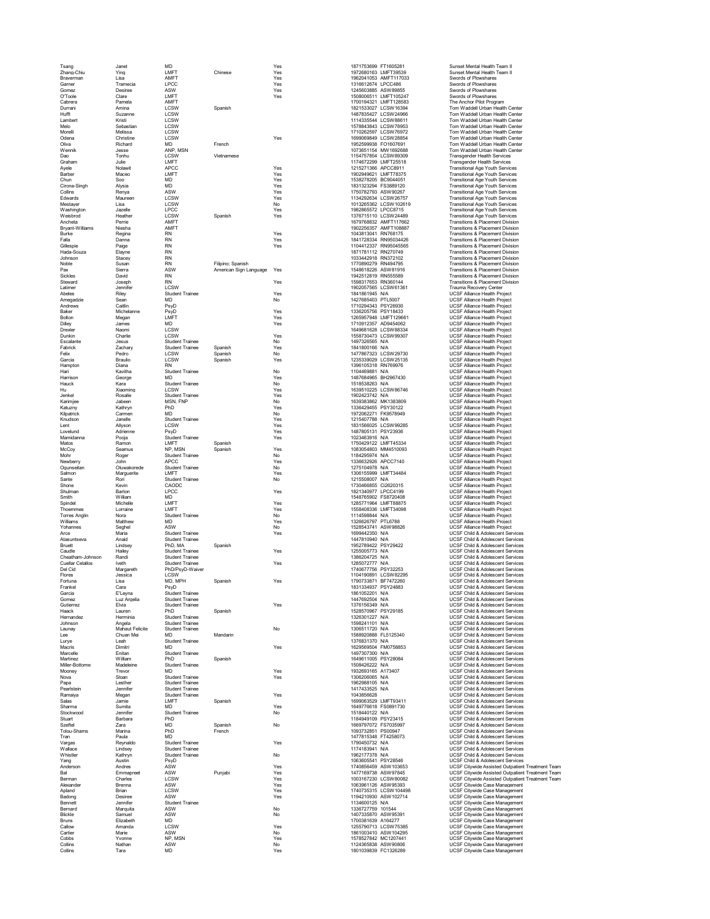| Tsang<br>Zhang-Chiu              | Janet<br>Ying             | MD<br>LMFT                                       | Chinese                | Yes<br>Yes | 1871753699 FT1605281<br>1972680163 LMFT39539   | Sunset Mental Health Team II<br>Sunset Mental Health Team II                               |
|----------------------------------|---------------------------|--------------------------------------------------|------------------------|------------|------------------------------------------------|--------------------------------------------------------------------------------------------|
| Braverman                        | Lisa                      | AMFT                                             |                        | Yes        | 1962041053 AMFT117033                          | Swords of Plowshares                                                                       |
| Garner                           | Tramecia                  | <b>LPCC</b>                                      |                        | Yes        | 1316612674 LPCC486                             | Swords of Plowshares<br>Swords of Plowshares                                               |
| Gomez<br>O'Toole                 | Desiree<br>Clare          | ASW<br>LMFT                                      |                        | Yes<br>Yes | 1245603885 ASW89855<br>1508006511 LMFT105247   | Swords of Plowshares                                                                       |
| Cabrera                          | Pamela                    | AMFT                                             |                        |            | 1700194321 LMFT128583                          | The Anchor Pilot Program                                                                   |
| Durrani                          | Amina                     | LCSW                                             | Spanish                |            | 1821533027 LCSW16394                           | Tom Waddell Urban Health Center                                                            |
| Hufft<br>Lambert                 | Suzanne<br>Kristi         | LCSW<br>LCSW                                     |                        |            | 1487835427 LCSW24966<br>1114335544 LCSW88611   | Tom Waddell Urban Health Center<br>Tom Waddell Urban Health Center                         |
| Melo                             | Sebastian                 | LCSW                                             |                        |            | 1578843843 LCSW78953                           | Tom Waddell Urban Health Center                                                            |
| Morelli<br>Odena                 | Melissa<br>Christine      | LCSW<br><b>LCSW</b>                              |                        | Yes        | 1710262597 LCSW76972<br>1699069849 LCSW28854   | Tom Waddell Urban Health Center<br>Tom Waddell Urban Health Center                         |
| Oliva                            | Richard                   | <b>MD</b>                                        | French                 |            | 1952599938 FO1607691                           | Tom Waddell Urban Health Center                                                            |
| Wennik                           | Jesse                     | ANP, MSN                                         |                        |            | 1073651154 MW 1692688                          | Tom Waddell Urban Health Center                                                            |
| Dao<br>Graham                    | Tonhu<br>Julie            | LCSW<br>LMFT                                     | Vietnamese             |            | 1154757854 LCSW89309<br>1174672299 LMFT25518   | <b>Transgender Health Services</b><br><b>Transgender Health Services</b>                   |
| Ayele                            | Nolawit                   | <b>APCC</b>                                      |                        | Yes        | 1215271366 APCC8911                            | Transitional Age Youth Services                                                            |
| Barber                           | Maceo                     | LMFT                                             |                        | Yes        | 1902949621 LMFT78375                           | <b>Transitional Age Youth Services</b>                                                     |
| Chun<br>Cirona-Singh             | Soo<br>Alysia             | MD<br><b>MD</b>                                  |                        | Yes<br>Yes | 1538278205 BC9044051<br>1831323294 FS3889120   | <b>Transitional Age Youth Services</b><br><b>Transitional Age Youth Services</b>           |
| Collins                          | Renva                     | ASW                                              |                        | Yes        | 1750782793 ASW90267                            | <b>Transitional Age Youth Services</b>                                                     |
| Edwards                          | Maureen                   | LCSW<br>LCSW                                     |                        | Yes        | 1134292634 LCSW26757<br>1013265362 LCSW102619  | <b>Transitional Age Youth Services</b>                                                     |
| Mestaver<br>Washington           | Lisa<br>Jazelle           | <b>LPCC</b>                                      |                        | No<br>Yes  | 1982865572 LPCC8715                            | <b>Transitional Age Youth Services</b><br><b>Transitional Age Youth Services</b>           |
| Weisbrod                         | Heather                   | LCSW                                             | Spanish                | Yes        | 1376715110 LCSW24489                           | <b>Transitional Age Youth Services</b>                                                     |
| Ancheta<br>Bryant-Williams       | Perrie<br>Niesha          | AMFT<br>AMFT                                     |                        |            | 1679768832 AMFT117662<br>1902256357 AMFT108887 | Transitions & Placement Division<br>Transitions & Placement Division                       |
| Burke                            | Regina                    | <b>RN</b>                                        |                        | Yes        | 1043813041 RN768175                            | Transitions & Placement Division                                                           |
| Falla                            | Danna                     | <b>RN</b>                                        |                        | Yes        | 1841728334 RN95034426                          | Transitions & Placement Division                                                           |
| Gillespie<br>Hada-Souza          | Paige<br>Elayne           | <b>RN</b><br><b>RN</b>                           |                        | Yes        | 1104412337 RN95045565<br>1871781112 RN270749   | Transitions & Placement Division<br>Transitions & Placement Division                       |
| Johnson                          | Stacey                    | <b>RN</b>                                        |                        |            | 1033442918 RN372102                            | Transitions & Placement Division                                                           |
| Noble                            | Susan                     | <b>RN</b>                                        | Filipino; Spanish      |            | 1770890279 RN494795                            | Transitions & Placement Division                                                           |
| Pax<br>Sickles                   | Sierra<br>David           | ASW<br><b>RN</b>                                 | American Sign Language | Yes        | 1548618226 ASW81916<br>1942512819 RN555589     | Transitions & Placement Division<br>Transitions & Placement Division                       |
| Steward                          | Joseph                    | <b>RN</b>                                        |                        | Yes        | 1598317653 RN360144                            | Transitions & Placement Division                                                           |
| Latimer                          | Jennifer                  | <b>LCSW</b>                                      |                        |            | 1902057565 LCSW61361                           | Trauma Recovery Center                                                                     |
| Abeles<br>Amegadzie              | Riley<br>Sean             | <b>Student Trainee</b><br>MD                     |                        | Yes<br>No  | 1841861945 N/A<br>1427685403 PTI 5007          | UCSF Alliance Health Project<br><b>UCSF Alliance Health Project</b>                        |
| Andrews                          | Caitlin                   | PsyD                                             |                        |            | 1710294343 PSY26930                            | <b>UCSF Alliance Health Project</b>                                                        |
| Baker<br>Bolton                  | Michelanne<br>Megan       | PsyD<br>LMFT                                     |                        | Yes<br>Yes | 1336205756 PSY18433<br>1265957948 LMFT129661   | <b>UCSF Alliance Health Project</b><br><b>UCSF Alliance Health Project</b>                 |
| Dilley                           | James                     | <b>MD</b>                                        |                        | Yes        | 1710912357 AD9454062                           | UCSF Alliance Health Project                                                               |
| Drexler                          | Naomi                     | LCSW                                             |                        |            | 1649681628 LCSW88334                           | UCSF Alliance Health Project                                                               |
| Dunkin<br>Escalante              | Charlie<br>Jesus          | LCSW<br><b>Student Trainee</b>                   |                        | Yes<br>No  | 1558730473 LCSW99307<br>1497326565 N/A         | UCSF Alliance Health Project<br><b>UCSF Alliance Health Project</b>                        |
| Fabrick                          | Zachary                   | <b>Student Trainee</b>                           | Spanish                | Yes        | 1841800166 N/A                                 | UCSF Alliance Health Project                                                               |
| Felix                            | Pedro                     | LCSW                                             | Spanish                | No         | 1477867323 LCSW29730                           | <b>UCSF Alliance Health Project</b>                                                        |
| Garcia<br>Hampton                | Braulio<br>Diana          | LCSW<br><b>RN</b>                                | Spanish                | Yes        | 1235339029 LCSW25135<br>1396105318 RN769976    | <b>UCSF Alliance Health Project</b><br><b>UCSF Alliance Health Project</b>                 |
| Hari                             | Kavitha                   | <b>Student Trainee</b>                           |                        | No         | 1104469881 N/A                                 | <b>UCSF Alliance Health Project</b>                                                        |
| Harrison                         | George                    | <b>MD</b>                                        |                        | Yes        | 1487684965 BH2967430<br>1518538263 N/A         | <b>UCSF Alliance Health Project</b>                                                        |
| Hauck<br>Hu                      | Kara<br>Xiaoming          | <b>Student Trainee</b><br>LCSW                   |                        | No<br>Yes  | 1639510225 LCSW86746                           | UCSF Alliance Health Project<br><b>UCSF Alliance Health Project</b>                        |
| Jenkel                           | Rosalie                   | <b>Student Trainee</b>                           |                        | Yes        | 1902423742 N/A                                 | <b>UCSF Alliance Health Project</b>                                                        |
| Karimjee<br>Katuzny              | Jabeen<br>Kathrvn         | MSN, FNP<br>PhD                                  |                        | No<br>Yes  | 1639383862 MK1383809<br>1336429455 PSY30122    | UCSF Alliance Health Project<br><b>UCSF Alliance Health Project</b>                        |
| Kilpatrick                       | Carmen                    | <b>MD</b>                                        |                        | No         | 1972062271 FK9578949                           | UCSF Alliance Health Project                                                               |
| Knudson                          | Janelle                   | <b>Student Trainee</b>                           |                        | Yes        | 1215407788 N/A                                 | <b>UCSF Alliance Health Project</b>                                                        |
| Lent<br>Lovelund                 | Allyson<br>Adrienne       | <b>LCSW</b><br>PsyD                              |                        | Yes<br>Yes | 1831566025 LCSW99285<br>1487805131 PSY23936    | UCSF Alliance Health Project<br>UCSF Alliance Health Project                               |
| Mamidanna                        | Pooja                     | <b>Student Trainee</b>                           |                        | Yes        | 1023463916 N/A                                 | <b>UCSF Alliance Health Project</b>                                                        |
| Matos                            | Ramon                     | LMFT                                             | Spanish                |            | 1750429122 LMFT45334                           | UCSF Alliance Health Project                                                               |
| McCov<br>Mohr                    | Seamus<br>Roger           | NP. MSN<br><b>Student Trainee</b>                | Spanish                | Yes<br>No  | 1083054803 MM4510093<br>1184295974 N/A         | <b>UCSF Alliance Health Project</b><br>UCSF Alliance Health Project                        |
| Newberry                         | John                      | <b>APCC</b>                                      |                        | Yes        | 1336632926 APCC7140                            | <b>UCSF Alliance Health Project</b>                                                        |
| Ogunseitan                       | Oluwakorede               | <b>Student Trainee</b>                           |                        | No         | 1275104978 N/A                                 | UCSF Alliance Health Project                                                               |
| Salmon<br>Sante                  | Marguerite<br>Rori        | LMFT<br><b>Student Trainee</b>                   |                        | Yes<br>No  | 1306155999 LMFT34484<br>1215508007 N/A         | UCSF Alliance Health Project<br><b>UCSF Alliance Health Project</b>                        |
| Shone                            | Kevin                     | CAODC                                            |                        |            | 1730466855 Ci2620315                           | UCSF Alliance Health Project                                                               |
| Shulman                          | Barton                    | I PCC                                            |                        | Yes        | 1821340977 LPCC4199                            | <b>UCSF Alliance Health Project</b>                                                        |
| Smith<br>Spindel                 | William<br>Michelle       | MD<br>LMFT                                       |                        | Yes        | 1548765902 FS8720408<br>1285771964 LMFT88875   | UCSF Alliance Health Project<br><b>UCSF Alliance Health Project</b>                        |
| Thoemmes                         | Lorraine                  | LMFT                                             |                        | Yes        | 1558408336 LMFT34098                           | UCSF Alliance Health Project                                                               |
| <b>Torres Analin</b><br>Williams | Nora<br>Matthew           | <b>Student Trainee</b><br><b>MD</b>              |                        | No<br>Yes  | 1114598844 N/A<br>1326626797 PTL6788           | UCSF Alliance Health Project<br><b>UCSF Alliance Health Project</b>                        |
| Yohannes                         | Seghel                    | ASW                                              |                        | No         | 1528543741 ASW98826                            | UCSF Alliance Health Project                                                               |
| Arce                             | Maria                     | <b>Student Trainee</b>                           |                        | Yes        | 1699442350 N/A                                 | <b>UCSF Child &amp; Adolescent Services</b>                                                |
| Atasuntseva<br>Bruett            | Anaid<br>Lindsey          | <b>Student Trainee</b><br>PhD, MA                | Spanish                |            | 1447810940 N/A<br>1952789422 PSY29422          | UCSF Child & Adolescent Services<br><b>UCSE Child &amp; Adolescent Services</b>            |
| Caudle                           | Hailey                    | <b>Student Trainee</b>                           |                        | Yes        | 1255005773 N/A                                 | UCSF Child & Adolescent Services                                                           |
| Cheatham-Johnson                 | Randi                     | <b>Student Trainee</b>                           |                        |            | 1386204725 N/A                                 | <b>UCSF Child &amp; Adolescent Services</b>                                                |
| Cuellar Celallos<br>Del Cid      | Iveth<br>Margareth        | <b>Student Trainee</b><br>PhD/PsvD-Waiver        |                        | Yes        | 1285072777 N/A<br>1740677756 PSY32253          | UCSF Child & Adolescent Services<br>UCSF Child & Adolescent Services                       |
| Flores                           | Jessica                   | LCSW                                             |                        |            | 1104190891 LCSW82295                           | UCSF Child & Adolescent Services                                                           |
| Fortuna                          | Lisa                      | MD, MPH                                          | Spanish                | Yes        | 1790733871 BF7472260                           | UCSF Child & Adolescent Services                                                           |
| Frankel<br>Garcia                | Cara<br>E'Leyna           | PsyD<br>Student Trainee                          |                        |            | 1831334937 PSY24883<br>1861052201 N/A          | <b>UCSF Child &amp; Adolescent Services</b><br>UCSF Child & Adolescent Services            |
| Gomez                            | Luz Argelia               | <b>Student Trainee</b>                           |                        |            | 1447692504 N/A                                 | <b>UCSF Child &amp; Adolescent Services</b>                                                |
| Gutierrez<br>Haack               | Elvia<br>Lauren           | <b>Student Trainee</b><br>PhD                    | Spanish                | Yes        | 1376156349 N/A<br>1528570967 PSY29185          | UCSF Child & Adolescent Services<br>UCSF Child & Adolescent Services                       |
| Hernandez                        | Herminia                  | <b>Student Trainee</b>                           |                        |            | 1326301227 N/A                                 | UCSF Child & Adolescent Services                                                           |
| Johnson                          | Angela<br>Mahaut Felicite | <b>Student Trainee</b>                           |                        |            | 1598241101 N/A                                 | UCSF Child & Adolescent Services                                                           |
| Launay<br>Lee                    | Chuan Mei                 | <b>Student Trainee</b><br><b>MD</b>              | Mandarin               | No         | 1306511720 N/A<br>1588920888 FL5125340         | <b>UCSF Child &amp; Adolescent Services</b><br>UCSF Child & Adolescent Services            |
| Lurve                            | I eah                     | <b>Student Trainee</b>                           |                        |            | 1376831370 N/A                                 | <b>UCSF Child &amp; Adolescent Services</b>                                                |
| Macris<br>Marcelle               | Dimitri<br>Enitan         | <b>MD</b><br><b>Student Trainee</b>              |                        | Yes        | 1629569504 FM0758853<br>1497307300 N/A         | UCSF Child & Adolescent Services<br>UCSF Child & Adolescent Services                       |
| Martinez                         | William                   | PhD                                              | Spanish                |            | 1649611005 PSY28084                            | UCSF Child & Adolescent Services                                                           |
| Miller-Bottome                   | Madeleine                 | <b>Student Trainee</b>                           |                        |            | 1508426222 N/A                                 | UCSF Child & Adolescent Services                                                           |
| Mooney<br>Nova                   | Trevor<br>Sloan           | <b>MD</b><br><b>Student Trainee</b>              |                        | Yes<br>Yes | 1932693165 A173407<br>1306206065 N/A           | UCSF Child & Adolescent Services<br>UCSF Child & Adolescent Services                       |
| Papa                             | Lesther                   | <b>Student Trainee</b>                           |                        |            | 1962988105 N/A                                 | <b>UCSF Child &amp; Adolescent Services</b>                                                |
| Pearlstein<br>Ramaiva            | Jennifer                  | <b>Student Trainee</b><br><b>Student Trainee</b> |                        | Yes        | 1417433525 N/A<br>1043856628                   | <b>UCSF Child &amp; Adolescent Services</b><br><b>UCSF Child &amp; Adolescent Services</b> |
| Salas                            | Megan<br>Jamie            | LMFT                                             | Spanish                |            | 1699063529 LMFT93411                           | UCSF Child & Adolescent Services                                                           |
| Sharma                           | Sumita                    | <b>MD</b>                                        |                        | Yes        | 1649776618 FS0891730                           | UCSF Child & Adolescent Services                                                           |
| Stockwood<br>Stuart              | Jennifer<br>Barbara       | <b>Student Trainee</b><br>PhD                    |                        | No         | 1518440122 N/A<br>1184949109 PSY23415          | UCSF Child & Adolescent Services<br><b>UCSF Child &amp; Adolescent Services</b>            |
| Szeftel                          | Zara                      | <b>MD</b>                                        | Spanish                | No         | 1669797072 FS7035997                           | <b>UCSF Child &amp; Adolescent Services</b>                                                |
| Tolou-Shams                      | Marina                    | PhD                                              | French                 |            | 1093732851 PS00947                             | <b>UCSF Child &amp; Adolescent Services</b>                                                |
| Tran<br>Vargas                   | Paula<br>Reynaldo         | <b>MD</b><br><b>Student Trainee</b>              |                        | Yes        | 1477815348 FT4258073<br>1790450732 N/A         | <b>UCSF Child &amp; Adolescent Services</b><br>UCSF Child & Adolescent Services            |
| Wallace                          | Lindsev                   | <b>Student Trainee</b>                           |                        |            | 1174183941 N/A                                 | <b>UCSF Child &amp; Adolescent Services</b>                                                |
| Whistler                         | Kathryn                   | <b>Student Trainee</b>                           |                        | No         | 1962177378 N/A                                 | UCSF Child & Adolescent Services                                                           |
| Yang<br>Anderson                 | Austin<br>Andres          | PsyD<br>ASW                                      |                        | Yes        | 1063605541 PSY28546<br>1740856459 ASW103653    | UCSF Child & Adolescent Services<br>UCSF Citywide Assisted Outpatient Treatment Team       |
| Bal                              | Emmapreet                 | ASW                                              | Punjabi                | Yes        | 1477169738 ASW97845                            | UCSF Citywide Assisted Outpatient Treatment Team                                           |
| Berman                           | Charles<br>Brenna         | <b>LCSW</b><br>ASW                               |                        | Yes        | 1003167230 LCSW80082                           | UCSF Citywide Assisted Outpatient Treatment Team                                           |
| Alexander<br>Apland              | Brian                     | <b>LCSW</b>                                      |                        | Yes<br>Yes | 1063961126 ASW95393<br>1740735315   CSW104498  | UCSF Citywide Case Management<br><b>UCSF Citywide Case Management</b>                      |
| Badong                           | Desiree                   | ASW                                              |                        | Yes        | 1194210930 ASW102714                           | UCSF Citywide Case Management                                                              |
| Bennett<br>Bernard               | Jennifer<br>Marquita      | <b>Student Trainee</b><br>ASW                    |                        | No         | 1134600125 N/A<br>1336727759 101544            | <b>UCSF Citywide Case Management</b><br>UCSF Citywide Case Management                      |
| Blickle                          | Samuel                    | ASW                                              |                        | No         | 1407335870 ASW95391                            | UCSF Citywide Case Management                                                              |
| Bruns                            | Elizabeth                 | MD                                               |                        |            | 1700381639 A164277                             | UCSF Citywide Case Management                                                              |
| Callow<br>Cartier                | Amanda<br>Marie           | LCSW<br>ASW                                      |                        | Yes<br>No  | 1255790713 LCSW75385<br>1861003410 ASW104295   | UCSF Citywide Case Management<br>UCSF Citywide Case Management                             |
| Cobbs                            | Yvonne                    | NP, MSN                                          |                        | Yes        | 1578527842 MC1207441                           | UCSF Citywide Case Management                                                              |
| Collins<br>Collins               | Nathan<br>Tara            | ASW<br>MD                                        |                        | No<br>Yes  | 1124365838 ASW90806<br>1801039839 FC1326289    | <b>UCSF Citywide Case Management</b><br>UCSF Citywide Case Management                      |
|                                  |                           |                                                  |                        |            |                                                |                                                                                            |

|                                          | FT1605281                   |
|------------------------------------------|-----------------------------|
| 1871753699<br>1972680163                 | LMFT39539                   |
| 1962041053<br>1316612674                 | AMFT117033<br>LPCC486       |
| 1245603885                               | ASW89855                    |
| 1508006511                               | MFT105247<br>Ĺ              |
| 1700194321                               | LMFT128583                  |
| 1821533027                               | CSW16394<br>l               |
| 1487835427<br>11143355<br>44             | LCSW24966<br>CSW88611<br>Ī  |
| 1578843843                               | <b>LCSW7895</b><br>3        |
| 1710262597                               | SW76972<br>ı<br>l           |
| 1699069849                               | LCSW28854                   |
| 1952599938                               | FO1607691<br>MW 1692688     |
| 1073651154<br>1154757854                 | LCSW89309                   |
| 1174672299                               | LMFT25518                   |
| 1215271366<br>1902949621                 | APCC8911                    |
|                                          | <b>LMFT78375</b>            |
| 1538278205                               | BC9044051                   |
| 1831323294                               | FS3889120                   |
| 1750782793<br>1134292634                 | ASW90267<br>LCSW26757       |
| 1013265362                               | CSW102619<br>ı              |
| 1982865572                               | <b>LPCC8715</b>             |
| 1376715110                               | LCSW24489                   |
| 1679768832<br>1902256357                 | AMFT117662<br>AMFT108887    |
| 1043813041                               | RN768175                    |
| 1841728334                               | RN95034426                  |
| 1104412337                               | RN95045565                  |
| 1871781112                               | RN270749                    |
| 1033442918                               | RN372102                    |
| 1770890279<br>1548618226                 | RN494795<br>ASW81916        |
| 1942512819                               | RN555589                    |
| 1598317653                               | RN360144                    |
| 1902057565                               | LCSW61361                   |
| 1841861945                               | N/A                         |
| 1427685403<br>1710294343                 | PTL5007<br>PSY26930         |
| 1336205756                               | PSY18433                    |
|                                          | LMFT129661                  |
| 1265957948<br>1710912357                 | AI                          |
| 1649681628                               | LCSW88334                   |
| 1558730473<br>1497326565                 | CSW99307<br>Ī<br>$\epsilon$ |
| 1841800166                               | N/A<br>N/A                  |
| 1477867323                               | LCSW29730                   |
| 1235339029                               | LCSW25135                   |
| 396105318<br>1                           | RN769976                    |
| 1104469881                               | N/A                         |
| 1487684965<br>1518538263                 | BH2967430<br>N/A            |
| 1639510225                               | CSW86746<br>I (             |
| 1902423742                               | N/A                         |
| 1639383862                               | MK1383809                   |
| 1336429455                               | PSY30122                    |
| 1972062271                               | FK9578949                   |
| 1215407788<br>1831566025                 | N/A<br>LCSW99285            |
| 1487805131                               | PSY23936                    |
| 1023463916                               | N/A                         |
| 1750429122                               | MFT45334<br>ı               |
| 1083054803                               | MM4510093                   |
| 1184295974<br>1336632926                 | N/A<br>APCC7140             |
| 1275104978                               | N/A                         |
| 1306155999                               | MFT34484<br>ı               |
| 1215508007                               | N/A                         |
| 1730466855                               | Ci2620315                   |
|                                          |                             |
| 1821340977                               | PCC4199                     |
| 1548765902                               | FS8720408                   |
| 1285771964                               | LMFT88875                   |
| 1558408336<br>1114598844                 | LMFT34098<br>N/A            |
| 1326626797                               | PTL6788                     |
| 1528543741                               | ASW98826                    |
| 1699442350                               | N/A                         |
| 1447810940                               | N/A                         |
| 1952789422                               | PSY29422<br>N/A             |
| 1255005773<br>1386204725                 | N/A                         |
| 1285072777                               | N/A                         |
| 1740677756                               | PSY32253                    |
| 1104190891<br>------------<br>1790733871 | LCSW82295<br>BF7472260      |
| 1831334937                               | PSY24883                    |
| 1861052201                               | N/A                         |
| 1447692504                               | N/A                         |
| 1376156349<br>1528570967                 | N/A                         |
|                                          | PSY29185<br>N/A             |
| 1326301227<br>1598241101                 | N/A                         |
| 1306511720                               | N/A                         |
| 1588920888                               | FL5125340                   |
| 1376831370<br>1629569504                 | N/A<br>FM0758853            |
| 1497307300                               | N/A                         |
| 1649611005                               | PSY28084                    |
| 1508426222                               | N/A                         |
| 1932693165                               | A173407<br>N/A              |
| 1306206065<br>1962988105                 | N/A                         |
| 1417433525                               | N/A                         |
| 1043856628                               |                             |
| 1699063529                               | LMFT93411                   |
| 1649776618                               | FS0891730                   |
| 1518440122<br>1184949109                 | N/A<br>PSY23415             |
| 1669797072                               | FS7035997                   |
| 1093732851                               | PS00947                     |
| 1477815348                               | FT4258073                   |
| 1790450732                               | N/A                         |
| 1174183941<br>1962177378                 | N/A<br>N/A                  |
| 1063605541                               | PSY28546                    |
| 1740856459                               | ASW103653                   |
| 1477169738                               | ASW97845                    |
| 1003167230                               | L<br>CSW80082               |
| 1063961126                               | ASW95393<br>Ĺ               |
| 1740735315<br>1194210930                 | CSW104498<br>ASW102714      |
| 1134600125                               | N/A                         |
| 1336727759                               | 101544                      |
| 335870<br>1407                           | ASW95391                    |
| 1700381639<br>1255790713                 | A164277<br>CSW75385<br>L    |
| 1861003410                               | ASW104295                   |
| 1578527842<br>1124365838                 | MC1207441<br><br>ASW90806   |

| inset Mental Health Team II<br>inset Mental Health Team II                                                                                                                                                                                          |
|-----------------------------------------------------------------------------------------------------------------------------------------------------------------------------------------------------------------------------------------------------|
| vords of Plowshares                                                                                                                                                                                                                                 |
| vords of Plowshares<br>vords of Plowshares                                                                                                                                                                                                          |
| vords of Plowshares<br>e Anchor Pilot Program                                                                                                                                                                                                       |
| m Waddell Urban Health Center                                                                                                                                                                                                                       |
| m Waddell Urban Health Center<br>m Waddell Urban Health (<br>Center                                                                                                                                                                                 |
| m Waddell Urban Health Center                                                                                                                                                                                                                       |
| m Waddell Urban Health Center<br>m Waddell Urban Health Center                                                                                                                                                                                      |
| m Waddell Urban Health Center                                                                                                                                                                                                                       |
| m Waddell Urban Health Center<br>ansgender Health Services                                                                                                                                                                                          |
| ansgender Health Services                                                                                                                                                                                                                           |
| ansitional Age Youth Services<br>ansitional Age Youth Services                                                                                                                                                                                      |
| ansitional Age Youth Services                                                                                                                                                                                                                       |
| ansitional Age Youth Services<br>ansitional Age Youth Services                                                                                                                                                                                      |
| ansitional Age Youth Services                                                                                                                                                                                                                       |
| ansitional Age Youth Services<br>ansitional Age Youth Services                                                                                                                                                                                      |
| ansitional Age Youth Services                                                                                                                                                                                                                       |
| ansitions & Placement Division<br>ansitions & Placement Division                                                                                                                                                                                    |
| ansitions & Placement Division                                                                                                                                                                                                                      |
| ansitions & Placement Division<br>ansitions & Placement Division                                                                                                                                                                                    |
| ansitions & Placement Division                                                                                                                                                                                                                      |
| ansitions & Placement Division<br>ansitions & Placement Division                                                                                                                                                                                    |
| ansitions & Placement Division                                                                                                                                                                                                                      |
| ansitions & Placement Division<br>ansitions & Placement Division                                                                                                                                                                                    |
| auma Recovery Center                                                                                                                                                                                                                                |
| admin Necovery Center<br>CSF Alliance Health Project<br>CSF Alliance Health Project<br>CSF Alliance Health Project                                                                                                                                  |
|                                                                                                                                                                                                                                                     |
|                                                                                                                                                                                                                                                     |
|                                                                                                                                                                                                                                                     |
| <b>CORPORATION FIGURE 11 AUGUST Alliance Health Project</b><br>CSF Alliance Health Project<br>CSF Alliance Health Project<br>CSF Alliance Health Project                                                                                            |
|                                                                                                                                                                                                                                                     |
| <b>COF Alliance Health Project</b><br>CSF Alliance Health Project<br>CSF Alliance Health Project<br>CSF Alliance Health Project                                                                                                                     |
| CSF Alliance Health Project                                                                                                                                                                                                                         |
| SSE Alliance Health Project<br>CSF Alliance Health Project<br>CSF Alliance Health Project<br>CSF Alliance Health Project                                                                                                                            |
|                                                                                                                                                                                                                                                     |
| <b>CSF Alliance Health Project</b>                                                                                                                                                                                                                  |
| .<br>CSF Alliance Health Project<br>CSF Alliance Health Project                                                                                                                                                                                     |
| CSF Alliance Health Project                                                                                                                                                                                                                         |
| SSF Alliance Health Project<br>SSF Alliance Health Project<br>SSF Alliance Health Project<br>SSF Alliance Health Project                                                                                                                            |
| SF Alliance Health Project                                                                                                                                                                                                                          |
|                                                                                                                                                                                                                                                     |
| SSF Alliance Fream Project<br>SSF Alliance Health Project<br>SSF Alliance Health Project<br>SSF Alliance Health Project<br>SSF Alliance Health Project<br>SSF Alliance Health Project<br>SSF Alliance Health Project<br>SSF Alliance Health Project |
|                                                                                                                                                                                                                                                     |
|                                                                                                                                                                                                                                                     |
| <b>CORPORATION FIGHER PROJECTS</b><br>CSF Alliance Health Project<br>CSF Alliance Health Project<br>CSF Alliance Health Project                                                                                                                     |
|                                                                                                                                                                                                                                                     |
|                                                                                                                                                                                                                                                     |
| <b>CSF Alliance Health Project</b><br>CSF Alliance Health Project<br>CSF Alliance Health Project<br>CSF Alliance Health Project                                                                                                                     |
| CSF Alliance Health Project                                                                                                                                                                                                                         |
|                                                                                                                                                                                                                                                     |
| <b>CSF Alliance Health Project</b><br>CSF Alliance Health Project<br>CSF Alliance Health Project<br>CSF Alliance Health Project                                                                                                                     |
| <b>CSF Child &amp; Adolescent Services</b>                                                                                                                                                                                                          |
| -<br>CSF Child & Adolescent Services<br>CSF Child & Adolescent Services                                                                                                                                                                             |
| CSF Child & Adolescent Services                                                                                                                                                                                                                     |
| CSF Child & Adolescent Services                                                                                                                                                                                                                     |
| .<br>CSF Child & Adolescent Services<br>CSF Child & Adolescent Services                                                                                                                                                                             |
| CSF Child & Adolescent Services                                                                                                                                                                                                                     |
| <b>SSE Child &amp; Adolescent Services</b><br>CSF Child & Adolescent Services<br>CSF Child & Adolescent Services<br>CSF Child & Adolescent Services                                                                                                 |
|                                                                                                                                                                                                                                                     |
| CSF Child & Adolescent Services<br>CSF Child & Adolescent Services                                                                                                                                                                                  |
|                                                                                                                                                                                                                                                     |
| ے سے یہ صوبات SF Child & Adolescent Services<br>SSF Child & Adolescent Services<br>SSF Child & Adol                                                                                                                                                 |
| CSF Child & Adolescent Services                                                                                                                                                                                                                     |
| <b>CSF Child &amp; Adolescent Services</b><br>CSF Child & Adolescent Services                                                                                                                                                                       |
| CSF Child & Adolescent Services                                                                                                                                                                                                                     |
| CSF Child & Adolescent Services                                                                                                                                                                                                                     |
| SSF Child & Adolescent Services<br>SSF Child & Adolescent Services<br>SSF Child & Adolescent Services                                                                                                                                               |
| CSF Child & Adolescent Services<br>SSF Child & Adolescent Services                                                                                                                                                                                  |
| .<br>CSF Child & Adolescent Services<br>CSF Child & Adolescent Services                                                                                                                                                                             |
| CSF Child & Adolescent Services                                                                                                                                                                                                                     |
| CSF Child & Adolescent Services                                                                                                                                                                                                                     |
| .<br>CSF Child & Adolescent Services<br>CSF Child & Adolescent Services                                                                                                                                                                             |
| CSF Child & Adolescent Services                                                                                                                                                                                                                     |
| <b>CSF Child &amp; Adolescent Services</b>                                                                                                                                                                                                          |
| CSF Child & Adolescent Services<br>CSF Child & Adolescent Services<br>CSF Child & Adolescent Services                                                                                                                                               |
| CSF Child & Adolescent Services<br>CSF Child & Adolescent Services                                                                                                                                                                                  |
|                                                                                                                                                                                                                                                     |
| CSF Citywide Assisted Outpatient Treatment Te<br>CSF Citywide Assisted Outpatient Treatment Te<br>CSF Citywide Assisted Outpatient Treatment Te                                                                                                     |
| CSF Citywide Assisted Outpatient Treatment Te<br>CSF Citywide Assisted Outpatient Treatment Te<br>CSF Citywide Case Management                                                                                                                      |
|                                                                                                                                                                                                                                                     |
| <b>CSF</b> Citywide Case Management<br>CSF Citywide Case Management<br>CSF Citywide Case Management<br>CSF Citywide Case Management                                                                                                                 |
| CSF Citywide Case Management                                                                                                                                                                                                                        |
|                                                                                                                                                                                                                                                     |
|                                                                                                                                                                                                                                                     |
| <b>COF Citywide Case Management</b><br>CSF Citywide Case Management<br>CSF Citywide Case Management<br>CSF Citywide Case Management<br>CSF Citywide Case Management                                                                                 |
| CSF Citywide Case Management<br>.<br>CSF Citywide Case Management<br>CSF Citywide Case Management                                                                                                                                                   |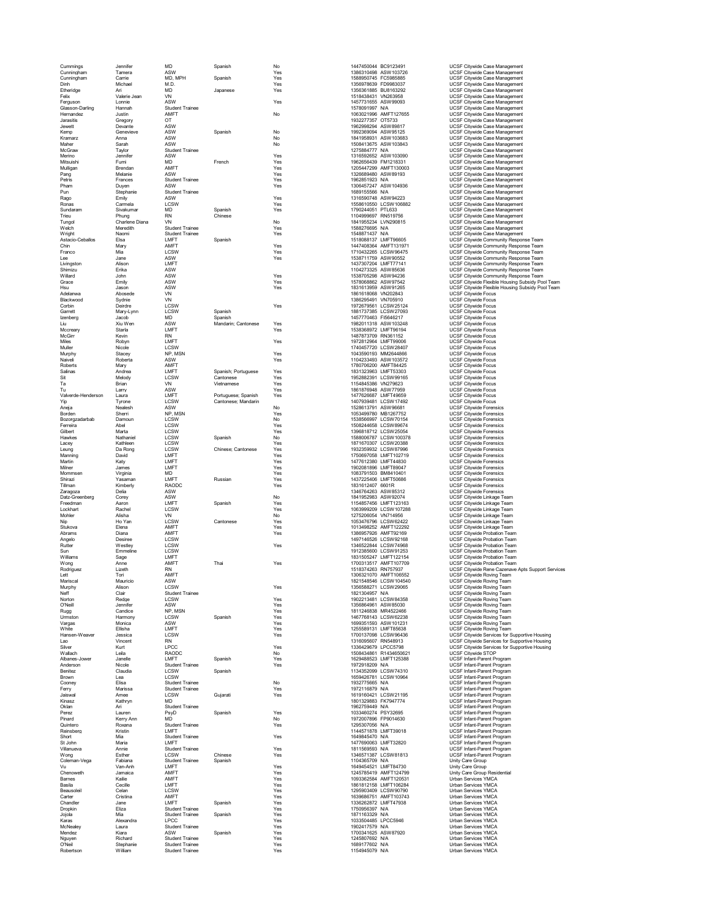| Cummings                     | Jennifer                | MD                                        | Spanish                                    | No                |                                  | 1447450044 BC9123491                           | UCSF Citywide Case Management                                                                  |
|------------------------------|-------------------------|-------------------------------------------|--------------------------------------------|-------------------|----------------------------------|------------------------------------------------|------------------------------------------------------------------------------------------------|
| Cunningham<br>Cunningham     | Tamera<br>Carrie        | ASW<br>MD, MPH                            | Spanish                                    | Yes<br>Yes        |                                  | 1386310498 ASW103726<br>1588950745 FC5985885   | <b>UCSF Citywide Case Management</b><br>UCSF Citywide Case Management                          |
| Dinh                         | Michael                 | M.D.                                      |                                            | Yes               |                                  | 1356978639 FD9983037                           | UCSF Citywide Case Management                                                                  |
| Etheridge<br>Felix           | Ari<br>Valerie Jean     | <b>MD</b><br>VN                           | Japanese                                   | Yes               |                                  | 1356361885 BU8163292<br>1518438431 VN263958    | UCSF Citywide Case Management<br>UCSF Citywide Case Management                                 |
| Ferguson                     | I onnie                 | ASW                                       |                                            | Yes               |                                  | 1457731655 ASW99093                            | <b>UCSF Citywide Case Management</b>                                                           |
| Glasson-Darling<br>Hernandez | Hannah<br>Justin        | Student Trainee<br>AMFT                   |                                            | No                | 1578091997 N/A                   | 1063021996 AMFT127655                          | UCSF Citywide Case Management<br>UCSF Citywide Case Management                                 |
| Jarasitis                    | Gregory                 | OT                                        |                                            |                   | 1932277357 OT5733                |                                                | UCSF Citywide Case Management                                                                  |
| Jewett                       | Devante                 | ASW                                       |                                            |                   |                                  | 1962998294 ASW89817                            | <b>UCSF Citywide Case Management</b>                                                           |
| Kemp<br>Kramarz              | Genevieve<br>Anna       | ASW<br>ASW                                | Spanish                                    | No<br>No          |                                  | 1992369094 ASW95125<br>1841958931 ASW103683    | UCSF Citywide Case Management<br><b>UCSF Citywide Case Management</b>                          |
| Maher                        | Sarah                   | ASW                                       |                                            | No                |                                  | 1508413675 ASW103843                           | UCSF Citywide Case Management                                                                  |
| McGraw<br>Merino             | Taylor<br>Jennifer      | Student Trainee<br>ASW                    |                                            | Yes               | 1275884777 N/A                   | 1316592652 ASW103090                           | UCSF Citywide Case Management<br>UCSF Citywide Case Management                                 |
| Mitsuishi                    | Fumi                    | <b>MD</b>                                 | French                                     | Yes               |                                  | 1962656439 FM1218331                           | UCSF Citywide Case Management                                                                  |
| Mulligan                     | Brendan                 | AMFT                                      |                                            | Yes               |                                  | 1205447299 AMFT130003                          | <b>UCSF Citywide Case Management</b>                                                           |
| Pang<br>Petris               | Melanie<br>Frances      | ASW<br><b>Student Trainee</b>             |                                            | Yes<br>Yes        | 1962851923 N/A                   | 1326689480 ASW89193                            | UCSF Citywide Case Management<br><b>UCSF Citywide Case Management</b>                          |
| Pham                         | Duyen                   | ASW                                       |                                            | Yes               |                                  | 1306457247 ASW104936                           | UCSF Citywide Case Management                                                                  |
| Pun                          | Stephanie               | <b>Student Trainee</b><br>ASW             |                                            | Yes               | 1689155566 N/A                   | 1316590748 ASW94223                            | UCSF Citywide Case Management<br><b>UCSF Citywide Case Management</b>                          |
| Rago<br>Ronas                | Emily<br>Carmela        | LCSW                                      |                                            | Yes               |                                  | 1558610550 LCSW106882                          | UCSF Citywide Case Management                                                                  |
| Sundaram                     | Sivakumar               | <b>MD</b>                                 | Spanish                                    | Yes               | 1790244051 PTL633                |                                                | <b>UCSF Citywide Case Management</b>                                                           |
| Trieu<br>Tungol              | Phung<br>Charlene Diana | <b>RN</b><br>VN                           | Chinese                                    | No                |                                  | 1104999697 RN519756<br>1841955234 LVN290815    | UCSF Citywide Case Management<br><b>UCSF Citywide Case Management</b>                          |
| Welch                        | Meredith                | Student Trainee                           |                                            | Yes               | 1588276695 N/A                   |                                                | UCSF Citywide Case Management                                                                  |
| <b>Wright</b>                | Naomi                   | <b>Student Trainee</b>                    |                                            | Yes               | 1548871437 N/A                   |                                                | UCSF Citywide Case Management                                                                  |
| Astacio-Ceballos<br>Chin     | Elsa<br>Mary            | LMFT<br>AMFT                              | Spanish                                    | Yes               |                                  | 1518088137 LMFT96605<br>1447408364 AMFT131971  | UCSF Citywide Community Response Team<br>UCSF Citywide Community Response Team                 |
| Franco                       | Mia                     | <b>I CSW</b>                              |                                            | Yes               |                                  | 1710432265 LCSW96475                           | UCSF Citywide Community Response Team                                                          |
| Lee                          | Jane                    | ASW                                       |                                            | Yes               |                                  | 1538711759 ASW90552                            | UCSF Citywide Community Response Team                                                          |
| Livingston<br>Shimizu        | Alison<br>Erika         | <b>I MFT</b><br>ASW                       |                                            |                   |                                  | 1437307204 LMFT77141<br>1104273325 ASW85636    | UCSF Citywide Community Response Team<br>UCSF Citywide Community Response Team                 |
| Willard                      | John                    | ASW                                       |                                            | Yes               |                                  | 1538705298 ASW94236                            | UCSF Citywide Community Response Team                                                          |
| Grace<br>Hsu                 | Emily<br>Jason          | ASW<br>ASW                                |                                            | Yes<br>Yes        |                                  | 1578068862 ASW97542<br>1831613959 ASW91265     | UCSF Citywide Flexible Housing Subsidy Pool Team                                               |
| Adelanwa                     | Abosede                 | VN                                        |                                            |                   |                                  | 1861618068 VN202843                            | UCSF Citywide Flexible Housing Subsidy Pool Team<br><b>UCSF Citywide Focus</b>                 |
| Blackwood                    | Sydnie                  | VN                                        |                                            |                   | 1386295491 VN705910              |                                                | <b>UCSF Citywide Focus</b>                                                                     |
| Corbin<br>Garrett            | Deirdre<br>Mary-Lynn    | <b>I CSW</b><br>LCSW                      | Spanish                                    | Yes               |                                  | 1972679561 LCSW25124<br>1881737385 LCSW27093   | <b>UCSF Citywide Focus</b><br><b>UCSF Citywide Focus</b>                                       |
| Izenberg                     | Jacob                   | <b>MD</b>                                 | Spanish                                    |                   |                                  | 1457770463 FI5646217                           | <b>LICSE Citywide Focus</b>                                                                    |
| Liu                          | Xiu Wen                 | ASW                                       | Mandarin; Cantonese                        | Yes               |                                  | 1982011318 ASW103248                           | <b>UCSF Citywide Focus</b>                                                                     |
| Mccreary<br>McGirr           | Starla<br>Kevin         | LMFT<br><b>RN</b>                         |                                            | Yes               |                                  | 1538368972 LMFT96194<br>1487873709 RN361152    | <b>UCSF Citywide Focus</b><br><b>UCSF Citywide Focus</b>                                       |
| Miles                        | Robyn                   | LMFT                                      |                                            | Yes               |                                  | 1972812964 LMFT99006                           | <b>UCSF Citywide Focus</b>                                                                     |
| Muller                       | Nicole                  | <b>LCSW</b>                               |                                            |                   |                                  | 1740457720 LCSW28407                           | <b>UCSF Citywide Focus</b>                                                                     |
| Murphy<br>Naiveli            | Stacev<br>Roberta       | NP. MSN<br>ASW                            |                                            | Yes<br>Yes        |                                  | 1043590193 MM2644866<br>1104233493 ASW103572   | <b>UCSF Citywide Focus</b><br><b>UCSF Citywide Focus</b>                                       |
| Roberts                      | Marv                    | AMFT                                      |                                            |                   |                                  | 1780706200 AMFT84425                           | UCSF Citywide Focus                                                                            |
| Salinas                      | Andrea                  | LMFT                                      | Spanish; Portuguese                        | Yes               |                                  | 1831323963 LMFT53303                           | <b>UCSF Citywide Focus</b>                                                                     |
| Sit<br>Ta                    | Melody<br><b>Brian</b>  | LCSW<br>VN                                | Cantonese<br>Vietnamese                    | Yes<br>Yes        |                                  | 1952882391 LCSW99165<br>1154845386 VN279623    | <b>UCSF Citywide Focus</b><br><b>UCSF Citywide Focus</b>                                       |
| Tu                           | Larry                   | ASW                                       |                                            | Yes               |                                  | 1861876948 ASW77959                            | <b>UCSF Citywide Focus</b>                                                                     |
| Valverde-Henderson           | Laura                   | LMFT<br><b>I CSW</b>                      | Portuguese; Spanish<br>Cantonese: Mandarin | Yes               |                                  | 1477626687 LMFT49659<br>1407939481 LCSW17492   | <b>UCSF Citywide Focus</b><br><b>UCSF Citywide Focus</b>                                       |
| Yip<br>Aneja                 | Tyrone<br>Nealesh       | ASW                                       |                                            | No                |                                  | 1528613791 ASW96681                            | <b>UCSF Citywide Forensics</b>                                                                 |
| Borden                       | Sherri                  | NP. MSN                                   |                                            | Yes               |                                  | 1053499780 MB1267752                           | <b>UCSF Citywide Forensics</b>                                                                 |
| Bozorozadarbab<br>Ferreira   | Damoun<br>Abel          | LCSW<br>LCSW                              |                                            | No<br>Yes         |                                  | 1538566997 LCSW70154<br>1508244658 LCSW89674   | <b>UCSF Citywide Forensics</b><br><b>UCSF Citywide Forensics</b>                               |
| Gilbert                      | Marta                   | LCSW                                      |                                            | Yes               |                                  | 1396818712 LCSW25054                           | <b>UCSF Citywide Forensics</b>                                                                 |
| Hawkes                       | Nathaniel               | LCSW                                      | Spanish                                    | No                |                                  | 1588006787 LCSW100378                          | <b>UCSF Citywide Forensics</b>                                                                 |
| Lacey<br>Leung               | Kathleen<br>Da Rong     | LCSW<br>LCSW                              | Chinese: Cantonese                         | Yes<br>Yes        |                                  | 1871670307 LCSW20388<br>1932359932 LCSW87996   | <b>UCSF Citywide Forensics</b><br><b>UCSF Citywide Forensics</b>                               |
| Manning                      | David                   | <b>I MFT</b>                              |                                            | Yes               |                                  | 1750697058 LMFT102719                          | <b>UCSF Citywide Forensics</b>                                                                 |
| Martin                       | Katv                    | LMFT                                      |                                            | Yes               |                                  | 1477612380 LMFT44830                           | <b>UCSF Citywide Forensics</b>                                                                 |
| Milner<br>Mommsen            | James<br>Virginia       | <b>I MFT</b><br><b>MD</b>                 |                                            | Yes<br>Yes        |                                  | 1902081896   MET89047<br>1083791503 BM8410401  | <b>UCSF Citywide Forensics</b><br><b>UCSF Citywide Forensics</b>                               |
| Shirazi                      | Yasaman                 | LMFT                                      | Russian                                    | Yes               |                                  | 1437225406 LMFT50686                           | <b>UCSF Citywide Forensics</b>                                                                 |
| Tillman<br>Zaragoza          | Kimberly<br>Delia       | RAODC<br>ASW                              |                                            | Yes               | 1831612407 6601R                 | 1346764263 ASW85312                            | <b>UCSF Citywide Forensics</b><br><b>UCSF Citywide Forensics</b>                               |
| Datz-Greenberg               | Corey                   | ASW                                       |                                            | No                |                                  | 1841952983 ASW92074                            | UCSF Citywide Linkage Team                                                                     |
| Freedman                     | Aaron                   | LMFT                                      | Spanish                                    | Yes               |                                  | 1154857456 LMFT123163                          | UCSF Citywide Linkage Team                                                                     |
| Lockhart<br>Mohler           | Rachel<br>Alisha        | LCSW<br>VN                                |                                            | Yes<br>No         |                                  | 1063999209 LCSW107288<br>1275206054 VN714956   | UCSF Citywide Linkage Team<br>UCSF Citywide Linkage Team                                       |
| Nip                          | Ho Yan                  | LCSW                                      | Cantonese                                  | Yes               |                                  | 1053476796 LCSW62422                           | UCSF Citywide Linkage Team                                                                     |
| Stukova                      | Elena                   | AMFT                                      |                                            | Yes               |                                  | 1013498252 AMFT122292                          | UCSF Citywide Linkage Team                                                                     |
| Abrams<br>Angelo             | Diana<br>Desiree        | AMFT<br>LCSW                              |                                            | Yes               |                                  | 1386957926 AMFT92169<br>1497146526 LCSW92168   | UCSF Citywide Probation Team<br>UCSF Citywide Probation Team                                   |
| Rutter                       | Westlev                 | LCSW                                      |                                            | Yes               |                                  | 1346522844 LCSW74968                           | UCSF Citywide Probation Team                                                                   |
| Sun<br>Williams              | Emmeline<br>Sage        | LCSW<br>LMFT                              |                                            |                   |                                  | 1912385600 LCSW91253<br>1831505247 LMFT122154  | UCSF Citywide Probation Team<br>UCSF Citywide Probation Team                                   |
| Wona                         | Anne                    | AMFT                                      | Thai                                       | Yes               |                                  | 1700313517 AMFT107709                          | <b>UCSF Citywide Probation Team</b>                                                            |
| Rodriguez                    | Lizeth                  | <b>RN</b>                                 |                                            |                   | 1518374263 RN757937              |                                                | UCSF Citywide Rene Cazenave Apts Support Services                                              |
| Lett<br>Mariscal             | Tori<br>Mauricio        | AMFT<br>ASW                               |                                            |                   |                                  | 1306321070 AMFT106552<br>1821548546 LCSW104540 | UCSF Citywide Roving Team<br><b>UCSF Citywide Roving Team</b>                                  |
| Murphy                       | Alison                  | LCSW                                      |                                            | Yes               |                                  | 1356588271 LCSW29065                           | UCSF Citywide Roving Team                                                                      |
| Neff<br>Norton               | Clair<br>Redge          | Student Trainee<br>LCSW                   |                                            | Yes               | 1821304957 N/A                   | 1902213481 LCSW84358                           | UCSF Citywide Roving Team<br>UCSF Citywide Roving Team                                         |
| O'Neill                      | Jennifer                | ASW                                       |                                            | Yes               |                                  | 1356864961 ASW85030                            | UCSF Citywide Roving Team                                                                      |
| Rugg                         | Candice                 | NP, MSN                                   |                                            | Yes               |                                  | 1811246838 MR4522466                           | UCSF Citywide Roving Team                                                                      |
| Urmston<br>Vargas            | Harmony<br>Monica       | <b>I CSW</b><br>ASW                       | Spanish                                    | <b>Yes</b><br>Yes |                                  | 1467768143 LCSW62238<br>1699351593 ASW101231   | UCSF Citywide Roving Team<br>UCSF Citywide Roving Team                                         |
| White                        | Ellisha                 | LMFT                                      |                                            | Yes               |                                  | 1255589131 LMFT85638                           | UCSF Citywide Roving Team                                                                      |
| Hansen-Weaver                | Jessica                 | LCSW                                      |                                            | Yes               |                                  | 1700137098 LCSW96436                           | UCSF Citywide Services for Supportive Housing                                                  |
| Lao<br>Silver                | Vincent<br>Kurt         | <b>RN</b><br>LPCC                         |                                            | Yes               |                                  | 1316095607 RN548913<br>1336429679 LPCC5798     | UCSF Citywide Services for Supportive Housing<br>UCSF Citywide Services for Supportive Housing |
| Wallach                      | Leila                   | RAODC                                     |                                            | No                |                                  | 1508434861 R1434650621                         | UCSF Citywide STOP                                                                             |
| Albanes-Jower<br>Anderson    | Janelle<br>Nicole       | I MFT<br>Student Trainee                  | Spanish                                    | Yes<br>Yes        | 1972918209 N/A                   | 1629488523 LMFT125388                          | UCSF Infant-Parent Program<br>UCSF Infant-Parent Program                                       |
| Benitez                      | Claudia                 | LCSW                                      | Spanish                                    |                   |                                  | 1134352099 LCSW74310                           | UCSF Infant-Parent Program                                                                     |
| Brown                        | Lea                     | LCSW                                      |                                            |                   |                                  | 1659426781 LCSW10964                           | UCSF Infant-Parent Program                                                                     |
| Cooney<br>Ferry              | Elisa<br>Marissa        | Student Trainee<br><b>Student Trainee</b> |                                            | No<br>Yes         | 1932775665 N/A<br>1972116879 N/A |                                                | UCSF Infant-Parent Program<br>UCSF Infant-Parent Program                                       |
| Jaiswal                      | Amee                    | LCSW                                      | Gujarati                                   | Yes               |                                  | 1619160421 LCSW21195                           | UCSF Infant-Parent Program                                                                     |
| Kinasz                       | Kathrvn                 | <b>MD</b>                                 |                                            |                   |                                  | 1801329883 FK7947774                           | UCSF Infant-Parent Program                                                                     |
| Oklan<br>Perez               | Ari<br>Lauren           | Student Trainee<br>PsvD                   | Spanish                                    | Yes               | 1962759449 N/A                   | 1033460274 PSY32695                            | UCSF Infant-Parent Program<br>UCSF Infant-Parent Program                                       |
| Pinard                       | Kerry Ann               | MD                                        |                                            | No                |                                  | 1972007896 FP9014630                           | UCSF Infant-Parent Program                                                                     |
| Quintero                     | Roxana                  | <b>Student Trainee</b><br>LMFT            |                                            | Yes               | 1295307056 N/A                   | 1144571878 LMFT39018                           | UCSF Infant-Parent Program                                                                     |
| Reinsberg<br>Short           | Kristin<br>Mia          | <b>Student Trainee</b>                    |                                            | Yes               | 1649845470 N/A                   |                                                | UCSF Infant-Parent Program<br>UCSF Infant-Parent Program                                       |
| St John                      | Maria                   | LMFT                                      |                                            |                   |                                  | 1477690063 LMFT32820                           | <b>UCSF Infant-Parent Program</b>                                                              |
| Villanueva<br>Wong           | Annie<br>Esther         | Student Trainee<br>I CSW                  | Chinese                                    | Yes<br>Yes        | 1811569593 N/A                   | 1346571387 LCSW81813                           | UCSF Infant-Parent Program<br>UCSF Infant-Parent Program                                       |
| Coleman-Vega                 | Fabiana                 | Student Trainee                           | Spanish                                    |                   | 1104365709 N/A                   |                                                | Unity Care Group                                                                               |
| Vu                           | Van-Anh                 | I MFT                                     |                                            | Yes               |                                  | 1649454521 LMFT84730                           | Unity Care Group                                                                               |
| Chenoweth<br>Barnes          | Jamaica<br>Kailie       | AMFT<br>AMFT                              |                                            | Yes<br>Yes        |                                  | 1245785419 AMFT124799<br>1093362584 AMFT120531 | Unity Care Group Residential<br>Urban Services YMCA                                            |
| Basila                       | Cecille                 | LMFT                                      |                                            | Yes               |                                  | 1861812158 LMFT106284                          | Urban Services YMCA                                                                            |
| Beausoleil                   | Celan                   | LCSW                                      |                                            | Yes               |                                  | 1295903409 LCSW90790                           | Urban Services YMCA                                                                            |
| Carter<br>Chandler           | Cristina<br>Jane        | AMFT<br>LMFT                              | Spanish                                    | Yes<br>Yes        |                                  | 1639686751 AMFT103743<br>1336262872 LMFT47938  | Urban Services YMCA<br>Urban Services YMCA                                                     |
| Dropkin                      | Fliza                   | <b>Student Trainee</b>                    |                                            | Yes               | 1750956397 N/A                   |                                                | <b>Urban Services YMCA</b>                                                                     |
| Jojola                       | Mia                     | Student Trainee                           | Spanish                                    | Yes               | 1871163329 N/A                   |                                                | Urban Services YMCA                                                                            |
| Karas<br>McNealey            | Alexandra<br>Laura      | LPCC<br>Student Trainee                   |                                            | Yes<br>Yes        | 1902417579 N/A                   | 1033504485 LPCC5946                            | Urban Services YMCA<br>Urban Services YMCA                                                     |
| Mendez                       | Kiara                   | ASW                                       | Spanish                                    | Yes               |                                  | 1700341625 ASW87920                            | Urban Services YMCA                                                                            |
| Nguyen<br>O'Neil             | Richard                 | Student Trainee<br><b>Student Trainee</b> |                                            | Yes<br>Yes        | 1245807692 N/A<br>1689177602 N/A |                                                | <b>Urban Services YMCA</b><br>Urban Services YMCA                                              |
| Robertson                    | Stephanie<br>William    | <b>Student Trainee</b>                    |                                            | Yes               | 1154945079 N/A                   |                                                | <b>Urban Services YMCA</b>                                                                     |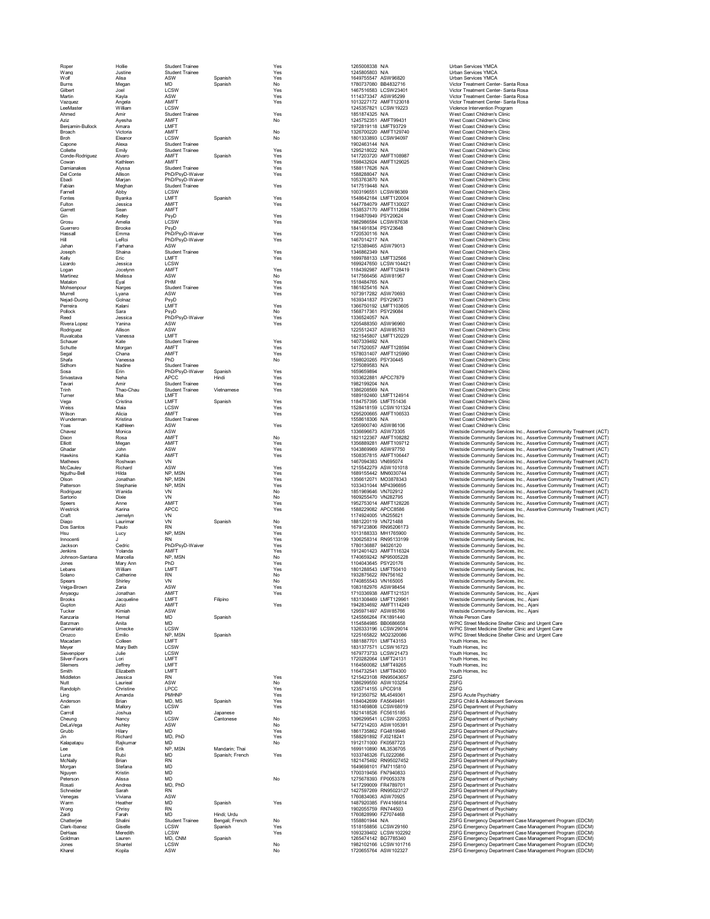| Roper                  | Hollie<br>Justine    | <b>Student Trainee</b><br><b>Student Trainee</b> |                 | Yes<br>Yes | 1265008338 N/A<br>1245805803 N/A             |                       | <b>Urban Services YMCA</b><br><b>Urban Services YMCA</b>                   |
|------------------------|----------------------|--------------------------------------------------|-----------------|------------|----------------------------------------------|-----------------------|----------------------------------------------------------------------------|
| Wang<br>Wolf           | Alisa                | ASW                                              |                 |            |                                              |                       |                                                                            |
| Burns                  |                      | <b>MD</b>                                        | Spanish         | Yes<br>No  | 1649755547 ASW96820<br>1780737080 BB4832716  |                       | Urban Services YMCA<br>Victor Treatment Center- Santa Rosa                 |
| Gilbert                | Megan<br>Joel        | LCSW                                             | Spanish         | Yes        | 1467516583 LCSW23401                         |                       | Victor Treatment Center- Santa Rosa                                        |
| Martin                 | Kayla                | ASW                                              |                 | Yes        | 1114373347 ASW95299                          |                       | Victor Treatment Center- Santa Rosa                                        |
| Vazquez                | Angela               | AMFT                                             |                 | Yes        |                                              | 1013227172 AMFT123018 | Victor Treatment Center- Santa Rosa                                        |
| LeeMaster              | William              | LCSW                                             |                 |            | 1245357821 LCSW19223                         |                       | Violence Intervention Program                                              |
| Ahmed                  | Amir                 | <b>Student Trainee</b>                           |                 | Yes        | 1851874325 N/A                               |                       | West Coast Children's Clinic                                               |
| Aziz                   | Avesha               | AMFT                                             |                 | No         | 1245752351 AMFT99431                         |                       | West Coast Children's Clinic                                               |
| Benjamin-Bullock       | Amara                | <b>I MFT</b>                                     |                 |            | 1972819118 LMFT93729                         |                       | West Coast Children's Clinic                                               |
| Broach                 | Victoria             | AMFT                                             |                 | No         |                                              | 1326700220 AMFT129740 | West Coast Children's Clinic                                               |
| Broh                   | Eleanor              | LCSW                                             | Spanish         | No         | 1801333893 LCSW94097                         |                       | West Coast Children's Clinic                                               |
| Capone                 | Alexa                | <b>Student Trainee</b>                           |                 |            | 1902463144 N/A                               |                       | West Coast Children's Clinic                                               |
| Collette               | Emily                | <b>Student Trainee</b>                           |                 | Yes        | 1295218022 N/A                               |                       | West Coast Children's Clinic                                               |
| Conde-Rodriguez        | Alvaro               | AMFT                                             | Spanish         | Yes        |                                              | 1417203720 AMFT108987 | West Coast Children's Clinic                                               |
| Cowan                  | Kathleen             | AMFT                                             |                 | Yes        |                                              | 1598432924 AMFT129025 | West Coast Children's Clinic                                               |
| Damianakes             | Alyssa               | Student Trainee                                  |                 | Yes        | 1588117626 N/A                               |                       | West Coast Children's Clinic                                               |
| Del Conte              | Allison              | PhD/PsyD-Waiver                                  |                 | Yes        | 1588288047 N/A                               |                       | West Coast Children's Clinic                                               |
| Fhadi                  | Marian               | PhD/PsyD-Waiver                                  |                 |            | 1053763870 N/A                               |                       | West Coast Children's Clinic                                               |
| Fabian                 | Meghan               | <b>Student Trainee</b>                           |                 | Yes        | 1417519448 N/A                               |                       | West Coast Children's Clinic                                               |
| Famell                 | Abby                 | <b>LCSW</b>                                      |                 |            | 1003196551 LCSW86369                         |                       | West Coast Children's Clinic                                               |
| Fontes                 | Byanka               | LMFT                                             | Spanish         | Yes        |                                              | 1548642184 LMFT120004 | West Coast Children's Clinic                                               |
| Fulton                 | Jessica              | AMFT                                             |                 | Yes        | 1447784079 AMFT130027                        |                       | West Coast Children's Clinic                                               |
| Garrett                | Sean                 | AMFT                                             |                 |            |                                              | 1538537170 AMFT112694 | West Coast Children's Clinic                                               |
| Gin                    | Kellev               | PsyD                                             |                 | Yes        | 1194870949 PSY20624                          |                       | West Coast Children's Clinic                                               |
| Grosu                  | Amelia               | I CSW                                            |                 | Yes        | 1982986584 LCSW87638                         |                       | West Coast Children's Clinic                                               |
| Guerrero               | Brooke               | PsyD                                             |                 |            | 1841491834 PSY23648                          |                       | West Coast Children's Clinic                                               |
| Hassall                | Emma                 | PhD/PsvD-Waiver                                  |                 | Yes        | 1720530116 N/A                               |                       | West Coast Children's Clinic                                               |
| Hill                   | LeRoi                | PhD/PsyD-Waiver                                  |                 | Yes        | 1467014217 N/A                               |                       | West Coast Children's Clinic                                               |
| Jahan                  | Farhana              | ASW                                              |                 |            | 1215389465 ASW79013                          |                       | West Coast Children's Clinic                                               |
| Joseph                 | Shaina               | <b>Student Trainee</b>                           |                 | Yes        | 1346862349 N/A                               |                       | West Coast Children's Clinic                                               |
| Kelly                  | Eric                 | LMFT                                             |                 | Yes        | 1699788133 LMFT32566                         |                       | West Coast Children's Clinic                                               |
| Lizardo                | Jessica              | LCSW                                             |                 |            |                                              | 1699247650 LCSW104421 | West Coast Children's Clinic                                               |
| Logan                  | Jocelynn             | AMFT                                             |                 | Yes        |                                              | 1184392987 AMFT128419 | West Coast Children's Clinic                                               |
| Martinez               | Melissa              | ASW                                              |                 | No         | 1417566456 ASW81967                          |                       | West Coast Children's Clinic                                               |
| Matalon                | Eyal                 | PHM                                              |                 | Yes        | 1518484765 N/A                               |                       | West Coast Children's Clinic                                               |
| Mohsenpour             | Narges               | <b>Student Trainee</b>                           |                 | Yes        | 1861825416 N/A                               |                       | West Coast Children's Clinic                                               |
| Murrell                | Lyana                | ASW                                              |                 | Yes        | 1073917282 ASW70693                          |                       | West Coast Children's Clinic                                               |
| Neiad-Duong            | Golnaz               | PsyD                                             |                 |            | 1639341837 PSY29673                          |                       | West Coast Children's Clinic                                               |
| Perreira               | Kalani               | LMFT                                             |                 | Yes        |                                              | 1366750192 LMFT103605 | West Coast Children's Clinic                                               |
| Pollock                | Sara                 | PsyD                                             |                 | No         | 1568717361 PSY29084                          |                       | West Coast Children's Clinic                                               |
| Reed                   | Jessica              | PhD/PsyD-Waiver                                  |                 | Yes        | 1336524057 N/A                               |                       | West Coast Children's Clinic                                               |
| Rivera Lopez           | Yanina               | ASW                                              |                 | Yes        | 1205488350 ASW96960                          |                       | West Coast Children's Clinic                                               |
| Rodriguez              | Allison              | ASW                                              |                 |            | 1225512437 ASW85763                          |                       | West Coast Children's Clinic                                               |
| Ruvalcaba              | Vanessa              | LMFT                                             |                 |            | 1821545807 LMFT120229                        |                       | West Coast Children's Clinic                                               |
| Schauer                | Kate                 | <b>Student Trainee</b>                           |                 | Yes        | 1407339492 N/A                               |                       | West Coast Children's Clinic                                               |
| Schutte                | Morgan               | AMFT                                             |                 | Yes        |                                              | 1417520057 AMFT128594 | West Coast Children's Clinic                                               |
| Segal                  | Chana                | AMFT                                             |                 | Yes        |                                              | 1578031407 AMFT125990 | West Coast Children's Clinic                                               |
| Shafa                  | Vanessa              | PhD                                              |                 | No         | 1598020265 PSY30445                          |                       | West Coast Children's Clinic                                               |
| Sidhom                 | Nadine               | <b>Student Trainee</b>                           |                 |            | 1275089583 N/A                               |                       | West Coast Children's Clinic                                               |
| Sosa                   | Frin                 | PhD/PsvD-Waiver                                  | Spanish         | Yes        | 1659659894                                   |                       | West Coast Children's Clinic                                               |
| Srivastava             | Neha                 | <b>APCC</b>                                      | Hindi           | Yes        | 1033622881 APCC7879                          |                       | West Coast Children's Clinic                                               |
| Tavari                 | Amir                 | <b>Student Trainee</b>                           |                 | Yes        | 1982199204 N/A                               |                       | West Coast Children's Clinic                                               |
| Trinh                  | Thao-Chau            | Student Trainee                                  | Vietnamese      | Yes        | 1386208569 N/A                               |                       | West Coast Children's Clinic                                               |
| Turner                 | Mia                  | LMFT                                             |                 |            | 1689192460 LMFT124914                        |                       | West Coast Children's Clinic                                               |
| Vega                   | Cristina             | LMFT                                             | Spanish         | Yes        | 1184757395 LMFT51436                         |                       | West Coast Children's Clinic                                               |
| Weiss                  | Maia                 | LCSW                                             |                 | Yes        |                                              | 1528418159 LCSW101324 | West Coast Children's Clinic                                               |
| Wilson                 | Alicia               | AMFT                                             |                 | Yes        |                                              | 1295200665 AMFT106533 | West Coast Children's Clinic                                               |
| Wunderman              | Kristina             | <b>Student Trainee</b>                           |                 |            | 1558618306 N/A                               |                       | West Coast Children's Clinic                                               |
| Yoas                   | Kathleen             | ASW                                              |                 | Yes        | 1265900740 ASW86106                          |                       | West Coast Children's Clinic                                               |
| Chavez                 | Monica               | ASW                                              |                 |            | 1336696673 ASW73305                          |                       | Westside Community Services Inc., .                                        |
| Dixon                  | Rosa                 | AMFT                                             |                 | No         |                                              | 1821122367 AMFT108282 | Westside Community Services Inc.,                                          |
| Elliott                | Megan                | AMFT                                             |                 | Yes        |                                              | 1356889281 AMFT109712 | Westside Community Services Inc., .                                        |
| Ghadar                 | John                 | ASW                                              |                 | Yes        | 1043869969 ASW97750                          |                       | Westside Community Services Inc.,                                          |
| Hawkins                | Kahlia               | <b>AMFT</b>                                      |                 | Yes        |                                              | 1508357815 AMFT106447 | Westside Community Services Inc., .                                        |
| Mathews                | Roshwan              | VN                                               |                 |            | 1467094383 VN695074                          |                       | Westside Community Services Inc., .                                        |
| McCauley               | Richard              | ASW                                              |                 | Yes        | 1215542279 ASW101018                         |                       | Westside Community Services Inc., .                                        |
| Nguthu-Bell            | Hilda                | NP. MSN                                          |                 | Yes        | 1689155442 MN6030744                         |                       | Westside Community Services Inc., .                                        |
| Olson                  | Jonathan             | NP MSN                                           |                 | Yes        | 1356612071 MO3878343                         |                       | Westside Community Services Inc., .                                        |
| Patterson              | Stephanie            | NP, MSN                                          |                 | Yes        | 1033431044 MP4396695                         |                       | Westside Community Services Inc., .                                        |
| Rodriguez              | Wanida               | VN                                               |                 | No         | 1851969646 VN702912                          |                       | Westside Community Services Inc.,                                          |
| Sartorio               | Dixie                | VN                                               |                 | No         | 1609255470 VN282795                          |                       | Westside Community Services Inc., .                                        |
| Speers                 | Anne                 | AMFT                                             |                 | Yes        |                                              | 1952753014 AMFT128226 | Westside Community Services Inc                                            |
| Westrick               | Karina               | APCC                                             |                 | Yes        | 1588229082 APCC8586                          |                       | Westside Community Services Inc., .                                        |
| Craft                  | Jernelvn             | VN                                               |                 |            | 1174924005 VN255621                          |                       | Westside Community Services, Inc.                                          |
| Diago                  | Laurimar             | VN                                               | Spanish         | No         | 1881220119 VN721488                          |                       | Westside Community Services, Inc.                                          |
| Dos Santos             | Paulo                | <b>RN</b>                                        |                 | Yes        |                                              | 1679123806 RN95206173 | Westside Community Services, Inc.                                          |
| Hsu                    | Lucy                 | NP. MSN                                          |                 | Yes        | 1013188333 MH1765900                         |                       | Westside Community Services, Inc.                                          |
| Innocenti              | J                    | <b>RN</b>                                        |                 | Yes        |                                              | 1306258314 RN95133199 | Westside Community Services, Inc.                                          |
| Jackson                | Cedric               | PhD/PsyD-Waiver                                  |                 | Yes        | 1780136887 94026120                          |                       | Westside Community Services, Inc.                                          |
| Jenkins                | Yolanda              | AMFT                                             |                 | Yes        |                                              | 1912401423 AMFT116324 | Westside Community Services, Inc.                                          |
| Johnson-Santana        | Marcella             | NP, MSN                                          |                 | No         |                                              | 1740659242 NP95005228 | Westside Community Services, Inc.                                          |
| Jones                  | Mary Ann             | PhD                                              |                 | Yes        | 1104043645 PSY20176                          |                       | Westside Community Services, Inc.                                          |
| Lebans                 | William              | LMFT                                             |                 | Yes        | 1801288543 LMFT50410                         |                       | Westside Community Services, Inc.                                          |
| Solano                 | Catherine            | <b>RN</b>                                        |                 | No         | 1932875622 RN756162                          |                       | Westside Community Services, Inc.                                          |
| spears                 | surie∖               | VN                                               |                 | NO         | 1740855543 VN165005                          |                       | westside Community Services, Inc.                                          |
| Veiga-Brown            | Zaria                | ASW                                              |                 | Yes        | 1083182976 ASW98454                          |                       | Westside Community Services, Inc.                                          |
| Anyaogu                | Jonathan             | AMFT                                             |                 | Yes        |                                              | 1710336938 AMFT121531 | Westside Community Services, Inc.,                                         |
| <b>Brooks</b>          | Jacqueline           | LMFT                                             | Filipino        |            |                                              | 1831308469 LMFT129961 | Westside Community Services, Inc.,                                         |
| Gupton                 | Azizi<br>Kimiah      | AMFT<br>ASW                                      |                 | Yes        | 1295971497 ASW85766                          | 1942834692 AMFT114249 | Westside Community Services, Inc.,                                         |
| Tucker                 |                      |                                                  |                 |            |                                              |                       | Westside Community Services, Inc.,                                         |
| Kanzaria<br>Barzman    | Hemal<br>Anita       | <b>MD</b><br><b>MD</b>                           | Spanish         |            | 1245566264 FK1891440<br>1154584985 BB0686658 |                       | Whole Person Care<br>WPIC Street Medicine Shelter Clinic                   |
| Cannariato             |                      |                                                  |                 |            |                                              |                       |                                                                            |
| Orozco                 | Umecke<br>Emilio     | <b>LCSW</b><br>NP, MSN                           | Spanish         |            | 1326333196 LCSW29014<br>1225165822 MO2320086 |                       | WPIC Street Medicine Shelter Clinic<br>WPIC Street Medicine Shelter Clinic |
|                        |                      | <b>I MFT</b>                                     |                 |            | 1881887701 LMFT43153                         |                       |                                                                            |
| Macadam<br>Meyer       | Colleen<br>Mary Beth | LCSW                                             |                 |            |                                              | 1831377571 LCSW16723  | Youth Homes, Inc.<br>Youth Homes, Inc                                      |
| Sievenpiper            | Julie                | LCSW                                             |                 |            | 1679773733 LCSW21473                         |                       | Youth Homes, Inc.                                                          |
| Silver-Favors          | Lori                 | LMFT                                             |                 |            | 1720282064 LMFT24131                         |                       | Youth Homes, Inc.                                                          |
| Sliemers               | Jeffrev              | LMFT                                             |                 |            | 1164560082 LMFT49265                         |                       | Youth Homes, Inc.                                                          |
| Smith                  | Flizabeth            | LMFT                                             |                 |            | 1164732541 LMFT84300                         |                       | Youth Homes, Inc.                                                          |
| Middleton              | Jessica              | <b>RN</b>                                        |                 | Yes        | 1215423108 RN95043657                        |                       | ZSFG                                                                       |
| Nutt                   | I aurieal            | ASW                                              |                 | No         | 1386299550 ASW103254                         |                       | ZSFG                                                                       |
| Randolph               | Christine            | LPCC                                             |                 | Yes        | 1235714155 LPCC918                           |                       | ZSFG                                                                       |
| Ling                   | Amanda               | PMHNP                                            |                 | Yes        | 1912350752 ML4549361                         |                       | <b>ZSFG Acute Psychiatry</b>                                               |
| Anderson               | Brian                | MD, MS                                           | Spanish         | Yes        | 1184042699 FA5649491                         |                       | ZSFG Child & Adolescent Services                                           |
| Cain                   | Mallory              | LCSW                                             |                 | Yes        |                                              | 1831469808 LCSW68019  | ZSFG Department of Psychiatry                                              |
| Carroll                | Joshua               | MD                                               | Japanese        |            | 1821418526 FC5615185                         |                       | ZSFG Department of Psychiatry                                              |
| Cheung                 | Nancy                | LCSW                                             | Cantonese       | No         |                                              | 1396299541 LCSW-22053 | ZSFG Department of Psychiatry                                              |
| DeLaVega               | Ashley               | ASW                                              |                 | No         | 1477214203 ASW105391                         |                       | ZSFG Department of Psychiatry                                              |
| Grubb                  | Hilary               | <b>MD</b>                                        |                 | Yes        | 1861735862 FG4819946                         |                       | ZSFG Department of Psychiatry                                              |
| .lin                   | Richard              | MD. PhD                                          |                 | Yes        | 1588291892 FJ0218241                         |                       | ZSFG Department of Psychiatry                                              |
| Kalapatapu             | Raikumar             | <b>MD</b>                                        |                 | No         | 1912171000 FK0587723                         |                       | ZSFG Department of Psychiatry                                              |
| Lee                    | Erik                 | NP, MSN                                          | Mandarin; Thai  |            | 1699110890 ML3536705                         |                       | ZSFG Department of Psychiatry                                              |
| Luna                   | Rubi                 | MD                                               | Spanish; French | Yes        | 1033746326 FL0222086                         |                       | ZSFG Department of Psychiatry                                              |
| McNally                | Brian                | <b>RN</b>                                        |                 |            |                                              | 1821475492 RN95027452 | ZSFG Department of Psychiatry                                              |
| Morgan                 | Stefana              | <b>MD</b>                                        |                 |            | 1649698101 FM7115810                         |                       | ZSFG Department of Psychiatry                                              |
| Nguyen                 | Kristin              | <b>MD</b>                                        |                 |            | 1700319456 FN7940833                         |                       | ZSFG Department of Psychiatry                                              |
| Peterson               | Alissa               | <b>MD</b>                                        |                 | No         | 1275678393 FP0053378                         |                       | ZSFG Department of Psychiatry                                              |
| Rosati                 | Andrea               | MD. PhD                                          |                 |            | 1417299009 FR4789701                         |                       | ZSFG Department of Psychiatry                                              |
| Schneider              | Sarah                | <b>RN</b>                                        |                 |            | 1427597269 RN95023127                        |                       | ZSFG Department of Psychiatry                                              |
| Venegas                | Viviana              | ASW                                              |                 |            | 1760834063 ASW70925                          |                       | ZSFG Department of Psychiatry                                              |
| Warm                   | Heather              | <b>MD</b>                                        | Spanish         | Yes        | 1487920385 FW4166814                         |                       | ZSFG Department of Psychiatry                                              |
| Wong                   | Chrisy               | <b>RN</b>                                        |                 |            | 1902055759 RN744503                          |                       | ZSFG Department of Psychiatry                                              |
| Zaidi                  | Farah<br>Shalini     | MD<br>Student Trainee                            | Hindi; Urdu     | No         | 1760828990 FZ7074468                         |                       | ZSFG Department of Psychiatry                                              |
| Chatterjee             | Giselle              | LCSW                                             | Bengali; French |            | 1558801944 N/A                               | 1518158856 LCSW29160  | ZSFG Emergency Department Case                                             |
| Clark-Ibanez<br>DeHaas | Meredith             | LCSW                                             | Spanish         | Yes<br>Yes |                                              | 1093239402 LCSW102292 | ZSFG Emergency Department Case<br>ZSFG Emergency Department Case           |
| Goldman                | Lauren               | MD, CNM                                          | Spanish         |            | 1265474142 BG7785340                         |                       | ZSFG Emergency Department Case                                             |
|                        | Shantel              | LCSW                                             |                 | No         |                                              | 1982102166 LCSW101716 | ZSFG Emergency Department Case                                             |
| Jones                  |                      |                                                  |                 |            |                                              |                       |                                                                            |
| Kharel                 | Kopila               | ASW                                              |                 | No         |                                              | 1720655764 ASW102327  | ZSFG Emergency Department Case                                             |

Segal Chana AMFT Yes 1578031407 AMFT125990 West Coast Children's Clinic Shafa Vanessa PhD No 1598020265 PSY30445 West Coast Children's Clinic Sidhom Nadine Student Trainee 1275089583 N/A West Coast Children's Clinic Sosa Erin PhD/PsyD-Waiver Spanish Yes 1659659894 West Coast Children's Clinic Srivastava Neha APCC Hindi Yes 1033622881 APCC7879 West Coast Children's Clinic Tavari Amir Student Trainee Yes 1982199204 N/A West Coast Children's Clinic Trinh Thao-Chau Student Trainee Vietnamese Yes 1386208569 N/A West Coast Children's Clinic Turner Mia LMFT 1689192460 LMFT124914 West Coast Children's Clinic Vega Cristina LMFT Spanish Yes 1184757395 LMFT51436 West Coast Children's Clinic Weiss Maia LCSW Yes 1528418159 LCSW101324 West Coast Children's Clinic Wilson Alicia AMFT Yes 1295200665 AMFT106533 West Coast Children's Clinic Wunderman Kristina Student Trainee 1558618306 N/A West Coast Children's Clinic Yoas Kathleen ASW Yes 1265900740 ASW86106 West Coast Children's Clinic Chavez Monica ASW 1336696673 ASW73305 Westside Community Services Inc., Assertive Community Treatment (ACT) Dixon Rosa AMFT No 1821122367 AMFT108282 Westside Community Services Inc., Assertive Community Treatment (ACT) Elliott Megan AMFT Yes 1356889281 AMFT109712 Westside Community Services Inc., Assertive Community Treatment (ACT) Ghadar John ASW Yes 1043869969 ASW97750 Westside Community Services Inc., Assertive Community Treatment (ACT) Hawkins Kahlia AMFT Yes 1508357815 AMFT106447 Westside Community Services Inc., Assertive Community Treatment (ACT) Mathews Roshwan VN 1467094383 VN695074 Westside Community Services Inc., Assertive Community Treatment (ACT) McCauley Richard ASW Yes 1215542279 ASW101018 Westside Community Services Inc., Assertive Community Treatment (ACT) Nguthu-Bell Hilda NP, MSN Yes 1689155442 MN6030744 Westside Community Services Inc., Assertive Community Treatment (ACT) Olson Jonathan NP, MSN Yes 1356612071 MO3878343 Westside Community Services Inc., Assertive Community Treatment (ACT) Patterson Stephanie NP, MSN Yes 1033431044 MP4396695 Westside Community Services Inc., Assertive Community Treatment (ACT) Rodriguez Wanida VN No 1851969646 VN702912 Westside Community Services Inc., Assertive Community Treatment (ACT) Sartorio Dixie VN No 1609255470 VN282795 Westside Community Services Inc., Assertive Community Treatment (ACT) Speers Anne AMFT Yes 1952753014 AMFT128226 Westside Community Services Inc., Assertive Community Treatment (ACT) Vestical Craft<br>Craft Mandra APC VR Spanish No 198822008 APC268821 AMET<br>Craft Media Community Services Inc., Assertive Community Treatment (ACT<br>Craft Media Paulo RM PRIM No 1981-2011 VR 1981-2011<br>2003<br>Dos Santos Paulo RM P المسابر المسابر المسابر المسابر المسابر المسابر المسابر المسابر المسابر المسابر المسابر المسابر المسابر المساب<br>1154584985 BB068666 MD 11591 MD 1154584985 BB068668 BB068668 While Street Medicine Shelter Clinic and Urgent C Cannariato Umecke LCSW 1326343196 LCSW29014 1326333196 LCSW29014 WPIC Street Medicine Shelter Clinic and Urgent Care<br>Orozco Pimilio NP, MSN Spanish Spanish 1225165822 MO2320086 WPIC Street Medicine Shelter Clinic and Urgen Andreas Management Management Management (1990)<br>Carl Management (1990)<br>Carl Management (1990)<br>Management Management (1990)<br>Management Management Management Management (1990)<br>Management Management Management Management Mana